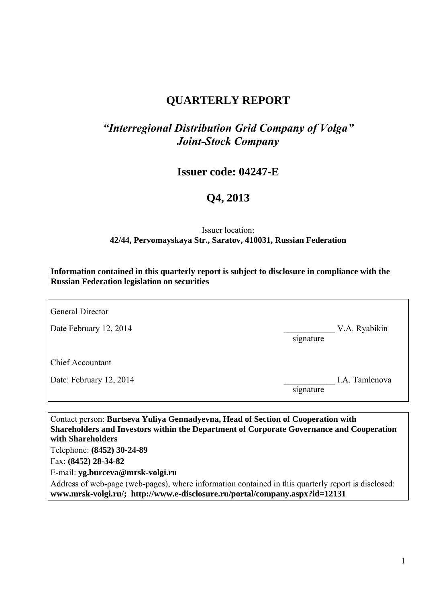## **QUARTERLY REPORT**

## *"Interregional Distribution Grid Company of Volga" Joint-Stock Company*

**Issuer code: 04247-E** 

## **Q4, 2013**

#### Issuer location: **42/44, Pervomayskaya Str., Saratov, 410031, Russian Federation**

**Information contained in this quarterly report is subject to disclosure in compliance with the Russian Federation legislation on securities**

| <b>General Director</b> |           |                |
|-------------------------|-----------|----------------|
| Date February 12, 2014  | signature | V.A. Ryabikin  |
| <b>Chief Accountant</b> |           |                |
| Date: February 12, 2014 | signature | I.A. Tamlenova |

Contact person: **Burtseva Yuliya Gennadyevna, Head of Section of Cooperation with Shareholders and Investors within the Department of Corporate Governance and Cooperation with Shareholders**  Telephone: **(8452) 30-24-89**  Fax: **(8452) 28-34-82**  E-mail: **yg.burceva@mrsk-volgi.ru**  Address of web-page (web-pages), where information contained in this quarterly report is disclosed: **www.mrsk-volgi.ru/; http://www.e-disclosure.ru/portal/company.aspx?id=12131**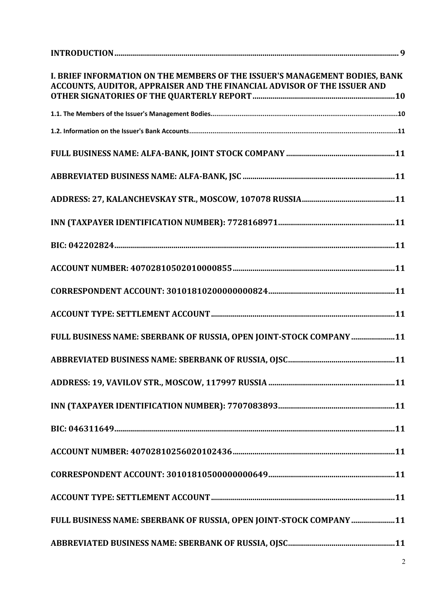| I. BRIEF INFORMATION ON THE MEMBERS OF THE ISSUER'S MANAGEMENT BODIES, BANK<br>ACCOUNTS, AUDITOR, APPRAISER AND THE FINANCIAL ADVISOR OF THE ISSUER AND |
|---------------------------------------------------------------------------------------------------------------------------------------------------------|
|                                                                                                                                                         |
|                                                                                                                                                         |
|                                                                                                                                                         |
|                                                                                                                                                         |
|                                                                                                                                                         |
|                                                                                                                                                         |
|                                                                                                                                                         |
|                                                                                                                                                         |
|                                                                                                                                                         |
|                                                                                                                                                         |
| FULL BUSINESS NAME: SBERBANK OF RUSSIA, OPEN JOINT-STOCK COMPANY 11                                                                                     |
|                                                                                                                                                         |
|                                                                                                                                                         |
|                                                                                                                                                         |
|                                                                                                                                                         |
|                                                                                                                                                         |
|                                                                                                                                                         |
|                                                                                                                                                         |
| FULL BUSINESS NAME: SBERBANK OF RUSSIA, OPEN JOINT-STOCK COMPANY 11                                                                                     |
|                                                                                                                                                         |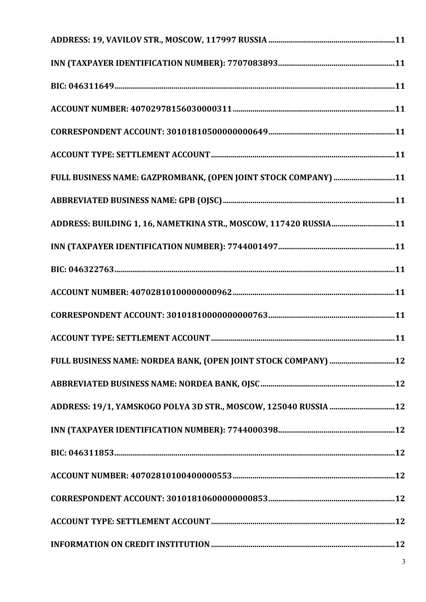| FULL BUSINESS NAME: GAZPROMBANK, (OPEN JOINT STOCK COMPANY) 11   |
|------------------------------------------------------------------|
|                                                                  |
| ADDRESS: BUILDING 1, 16, NAMETKINA STR., MOSCOW, 117420 RUSSIA11 |
|                                                                  |
|                                                                  |
|                                                                  |
|                                                                  |
|                                                                  |
| FULL BUSINESS NAME: NORDEA BANK, (OPEN JOINT STOCK COMPANY)  12  |
|                                                                  |
| ADDRESS: 19/1, YAMSKOGO POLYA 3D STR., MOSCOW, 125040 RUSSIA  12 |
|                                                                  |
|                                                                  |
|                                                                  |
|                                                                  |
|                                                                  |
|                                                                  |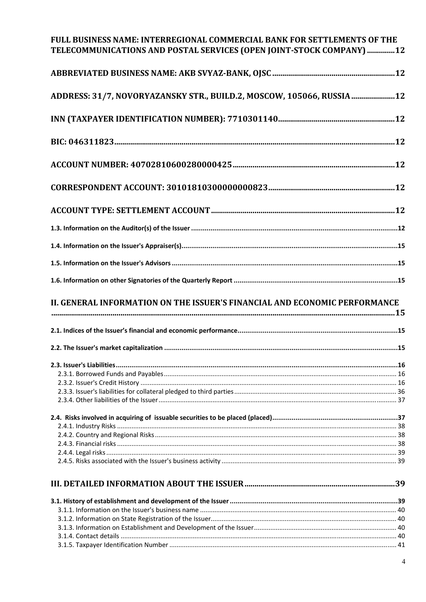## FULL BUSINESS NAME: INTERREGIONAL COMMERCIAL BANK FOR SETTLEMENTS OF THE TELECOMMUNICATIONS AND POSTAL SERVICES (OPEN JOINT-STOCK COMPANY) ..............12

| ADDRESS: 31/7, NOVORYAZANSKY STR., BUILD.2, MOSCOW, 105066, RUSSIA 12      |  |
|----------------------------------------------------------------------------|--|
|                                                                            |  |
|                                                                            |  |
|                                                                            |  |
|                                                                            |  |
|                                                                            |  |
|                                                                            |  |
|                                                                            |  |
|                                                                            |  |
|                                                                            |  |
|                                                                            |  |
| II. GENERAL INFORMATION ON THE ISSUER'S FINANCIAL AND ECONOMIC PERFORMANCE |  |
|                                                                            |  |
|                                                                            |  |
|                                                                            |  |
|                                                                            |  |
|                                                                            |  |
|                                                                            |  |
|                                                                            |  |
|                                                                            |  |
|                                                                            |  |
|                                                                            |  |
|                                                                            |  |
|                                                                            |  |
|                                                                            |  |
|                                                                            |  |
|                                                                            |  |
|                                                                            |  |
|                                                                            |  |
|                                                                            |  |
|                                                                            |  |
|                                                                            |  |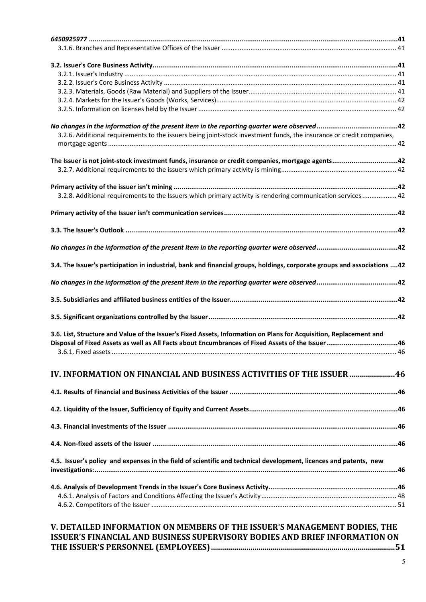| 3.2.6. Additional requirements to the issuers being joint-stock investment funds, the insurance or credit companies,     |  |
|--------------------------------------------------------------------------------------------------------------------------|--|
|                                                                                                                          |  |
|                                                                                                                          |  |
| The Issuer is not joint-stock investment funds, insurance or credit companies, mortgage agents42                         |  |
|                                                                                                                          |  |
|                                                                                                                          |  |
|                                                                                                                          |  |
| 3.2.8. Additional requirements to the Issuers which primary activity is rendering communication services 42              |  |
|                                                                                                                          |  |
|                                                                                                                          |  |
|                                                                                                                          |  |
|                                                                                                                          |  |
|                                                                                                                          |  |
|                                                                                                                          |  |
| 3.4. The Issuer's participation in industrial, bank and financial groups, holdings, corporate groups and associations 42 |  |
|                                                                                                                          |  |
|                                                                                                                          |  |
|                                                                                                                          |  |
|                                                                                                                          |  |
|                                                                                                                          |  |
|                                                                                                                          |  |
|                                                                                                                          |  |
| 3.6. List, Structure and Value of the Issuer's Fixed Assets, Information on Plans for Acquisition, Replacement and       |  |
| Disposal of Fixed Assets as well as All Facts about Encumbrances of Fixed Assets of the Issuer46                         |  |
|                                                                                                                          |  |
|                                                                                                                          |  |
| 10. INFORMATION ON FINANCIAL AND BUSINESS ACTIVITIES OF THE ISSUER 46                                                    |  |
|                                                                                                                          |  |
|                                                                                                                          |  |
|                                                                                                                          |  |
|                                                                                                                          |  |
|                                                                                                                          |  |
|                                                                                                                          |  |
|                                                                                                                          |  |
|                                                                                                                          |  |
| 4.5. Issuer's policy and expenses in the field of scientific and technical development, licences and patents, new        |  |
|                                                                                                                          |  |
|                                                                                                                          |  |
|                                                                                                                          |  |
|                                                                                                                          |  |
|                                                                                                                          |  |
|                                                                                                                          |  |
| V. DETAILED INFORMATION ON MEMBERS OF THE ISSUER'S MANAGEMENT BODIES, THE                                                |  |
| <b>UAMOIAL AND DUCINECC CUREDUICABLY BABIEC AND DRIFE INFARMATION ON</b>                                                 |  |

## **ISSUER'S FINANCIAL AND BUSINESS SUPERVISORY BODIES AND BRIEF INFORMATION ON THE ISSUER'S PERSONNEL (EMPLOYEES) .............................................................................................51**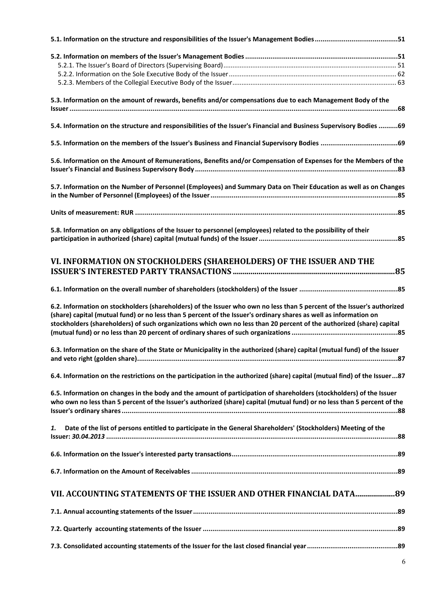| 5.3. Information on the amount of rewards, benefits and/or compensations due to each Management Body of the                                                                                                                                      |
|--------------------------------------------------------------------------------------------------------------------------------------------------------------------------------------------------------------------------------------------------|
|                                                                                                                                                                                                                                                  |
| 5.4. Information on the structure and responsibilities of the Issuer's Financial and Business Supervisory Bodies 69                                                                                                                              |
|                                                                                                                                                                                                                                                  |
| 5.6. Information on the Amount of Remunerations, Benefits and/or Compensation of Expenses for the Members of the                                                                                                                                 |
|                                                                                                                                                                                                                                                  |
|                                                                                                                                                                                                                                                  |
| 5.7. Information on the Number of Personnel (Employees) and Summary Data on Their Education as well as on Changes                                                                                                                                |
|                                                                                                                                                                                                                                                  |
|                                                                                                                                                                                                                                                  |
| 5.8. Information on any obligations of the Issuer to personnel (employees) related to the possibility of their                                                                                                                                   |
|                                                                                                                                                                                                                                                  |
| VI. INFORMATION ON STOCKHOLDERS (SHAREHOLDERS) OF THE ISSUER AND THE                                                                                                                                                                             |
|                                                                                                                                                                                                                                                  |
| 6.2. Information on stockholders (shareholders) of the Issuer who own no less than 5 percent of the Issuer's authorized<br>(share) capital (mutual fund) or no less than 5 percent of the Issuer's ordinary shares as well as information on     |
| stockholders (shareholders) of such organizations which own no less than 20 percent of the authorized (share) capital                                                                                                                            |
| 6.3. Information on the share of the State or Municipality in the authorized (share) capital (mutual fund) of the Issuer                                                                                                                         |
| 6.4. Information on the restrictions on the participation in the authorized (share) capital (mutual find) of the Issuer87                                                                                                                        |
| 6.5. Information on changes in the body and the amount of participation of shareholders (stockholders) of the Issuer<br>who own no less than 5 percent of the Issuer's authorized (share) capital (mutual fund) or no less than 5 percent of the |
| 1.<br>Date of the list of persons entitled to participate in the General Shareholders' (Stockholders) Meeting of the                                                                                                                             |
|                                                                                                                                                                                                                                                  |
|                                                                                                                                                                                                                                                  |
| VII. ACCOUNTING STATEMENTS OF THE ISSUER AND OTHER FINANCIAL DATA 89                                                                                                                                                                             |
|                                                                                                                                                                                                                                                  |
|                                                                                                                                                                                                                                                  |
|                                                                                                                                                                                                                                                  |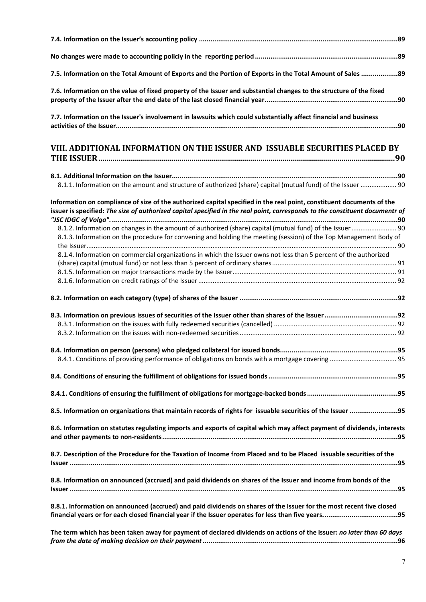| 7.5. Information on the Total Amount of Exports and the Portion of Exports in the Total Amount of Sales  89                                                                                                                                           |
|-------------------------------------------------------------------------------------------------------------------------------------------------------------------------------------------------------------------------------------------------------|
| 7.6. Information on the value of fixed property of the Issuer and substantial changes to the structure of the fixed                                                                                                                                   |
| 7.7. Information on the Issuer's involvement in lawsuits which could substantially affect financial and business                                                                                                                                      |
| VIII. ADDITIONAL INFORMATION ON THE ISSUER AND ISSUABLE SECURITIES PLACED BY                                                                                                                                                                          |
| 8.1.1. Information on the amount and structure of authorized (share) capital (mutual fund) of the Issuer  90                                                                                                                                          |
| Information on compliance of size of the authorized capital specified in the real point, constituent documents of the<br>issuer is specified: The size of authorized capital specified in the real point, corresponds to the constituent documentr of |
| 8.1.2. Information on changes in the amount of authorized (share) capital (mutual fund) of the Issuer 90                                                                                                                                              |
| 8.1.3. Information on the procedure for convening and holding the meeting (session) of the Top Management Body of                                                                                                                                     |
| 8.1.4. Information on commercial organizations in which the Issuer owns not less than 5 percent of the authorized                                                                                                                                     |
|                                                                                                                                                                                                                                                       |
|                                                                                                                                                                                                                                                       |
|                                                                                                                                                                                                                                                       |
|                                                                                                                                                                                                                                                       |
|                                                                                                                                                                                                                                                       |
|                                                                                                                                                                                                                                                       |
|                                                                                                                                                                                                                                                       |
|                                                                                                                                                                                                                                                       |
|                                                                                                                                                                                                                                                       |
|                                                                                                                                                                                                                                                       |
|                                                                                                                                                                                                                                                       |
| 8.5. Information on organizations that maintain records of rights for issuable securities of the Issuer 95                                                                                                                                            |
| 8.6. Information on statutes regulating imports and exports of capital which may affect payment of dividends, interests                                                                                                                               |
| 8.7. Description of the Procedure for the Taxation of Income from Placed and to be Placed issuable securities of the                                                                                                                                  |
| 8.8. Information on announced (accrued) and paid dividends on shares of the Issuer and income from bonds of the                                                                                                                                       |
| 8.8.1. Information on announced (accrued) and paid dividends on shares of the Issuer for the most recent five closed                                                                                                                                  |
| The term which has been taken away for payment of declared dividends on actions of the issuer: no later than 60 days                                                                                                                                  |
|                                                                                                                                                                                                                                                       |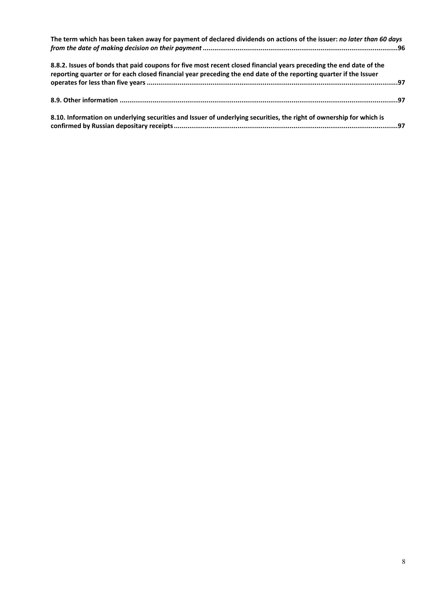| The term which has been taken away for payment of declared dividends on actions of the issuer: no later than 60 days                                                                                                                    |  |
|-----------------------------------------------------------------------------------------------------------------------------------------------------------------------------------------------------------------------------------------|--|
| 8.8.2. Issues of bonds that paid coupons for five most recent closed financial years preceding the end date of the<br>reporting quarter or for each closed financial year preceding the end date of the reporting quarter if the Issuer |  |
|                                                                                                                                                                                                                                         |  |
|                                                                                                                                                                                                                                         |  |
| 8.10. Information on underlying securities and Issuer of underlying securities, the right of ownership for which is                                                                                                                     |  |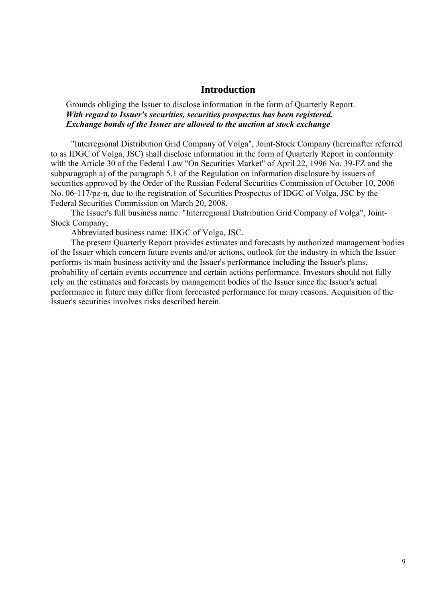#### **Introduction**

Grounds obliging the Issuer to disclose information in the form of Quarterly Report. *With regard to Issuer's securities, securities prospectus has been registered. Exchange bonds of the Issuer are allowed to the auction at stock exchange* 

"Interregional Distribution Grid Company of Volga", Joint-Stock Company (hereinafter referred to as IDGC of Volga, JSC) shall disclose information in the form of Quarterly Report in conformity with the Article 30 of the Federal Law "On Securities Market" of April 22, 1996 No. 39-FZ and the subparagraph a) of the paragraph 5.1 of the Regulation on information disclosure by issuers of securities approved by the Order of the Russian Federal Securities Commission of October 10, 2006 No. 06-117/pz-n, due to the registration of Securities Prospectus of IDGC of Volga, JSC by the Federal Securities Commission on March 20, 2008.

The Issuer's full business name: "Interregional Distribution Grid Company of Volga", Joint-Stock Company;

Abbreviated business name: IDGC of Volga, JSC.

The present Quarterly Report provides estimates and forecasts by authorized management bodies of the Issuer which concern future events and/or actions, outlook for the industry in which the Issuer performs its main business activity and the Issuer's performance including the Issuer's plans, probability of certain events occurrence and certain actions performance. Investors should not fully rely on the estimates and forecasts by management bodies of the Issuer since the Issuer's actual performance in future may differ from forecasted performance for many reasons. Acquisition of the Issuer's securities involves risks described herein.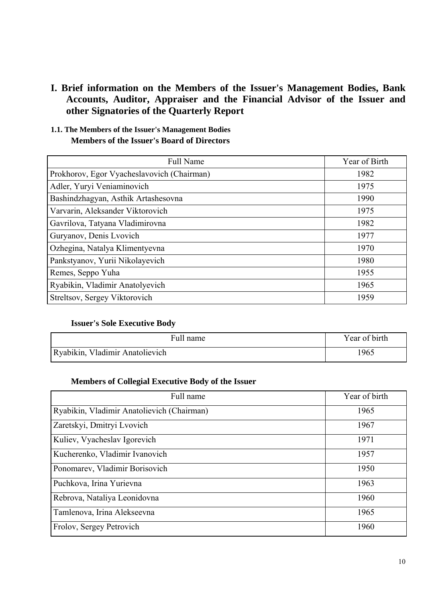## **I. Brief information on the Members of the Issuer's Management Bodies, Bank Accounts, Auditor, Appraiser and the Financial Advisor of the Issuer and other Signatories of the Quarterly Report**

#### **1.1. The Members of the Issuer's Management Bodies Members of the Issuer's Board of Directors**

| <b>Full Name</b>                           | Year of Birth |
|--------------------------------------------|---------------|
| Prokhorov, Egor Vyacheslavovich (Chairman) | 1982          |
| Adler, Yuryi Veniaminovich                 | 1975          |
| Bashindzhagyan, Asthik Artashesovna        | 1990          |
| Varvarin, Aleksander Viktorovich           | 1975          |
| Gavrilova, Tatyana Vladimirovna            | 1982          |
| Guryanov, Denis Lvovich                    | 1977          |
| Ozhegina, Natalya Klimentyevna             | 1970          |
| Pankstyanov, Yurii Nikolayevich            | 1980          |
| Remes, Seppo Yuha                          | 1955          |
| Ryabikin, Vladimir Anatolyevich            | 1965          |
| Streltsov, Sergey Viktorovich              | 1959          |

#### **Issuer's Sole Executive Body**

| Full name                       | Year of birth |
|---------------------------------|---------------|
| Ryabikin, Vladimir Anatolievich | 1965          |

#### **Members of Collegial Executive Body of the Issuer**

| Full name                                  | Year of birth |
|--------------------------------------------|---------------|
| Ryabikin, Vladimir Anatolievich (Chairman) | 1965          |
| Zaretskyi, Dmitryi Lvovich                 | 1967          |
| Kuliev, Vyacheslav Igorevich               | 1971          |
| Kucherenko, Vladimir Ivanovich             | 1957          |
| Ponomarev, Vladimir Borisovich             | 1950          |
| Puchkova, Irina Yurievna                   | 1963          |
| Rebrova, Nataliya Leonidovna               | 1960          |
| Tamlenova, Irina Alekseevna                | 1965          |
| Frolov, Sergey Petrovich                   | 1960          |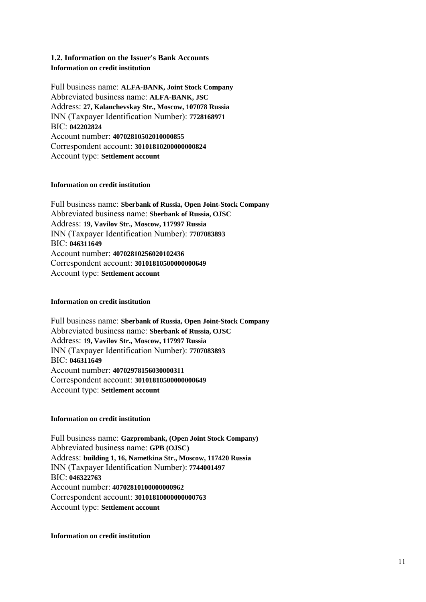#### **1.2. Information on the Issuer's Bank Accounts Information on credit institution**

Full business name: **ALFA-BANK, Joint Stock Company** Abbreviated business name: **ALFA-BANK, JSC** Address: **27, Kalanchevskay Str., Moscow, 107078 Russia** INN (Taxpayer Identification Number): **7728168971** BIC: **042202824** Account number: **40702810502010000855** Correspondent account: **30101810200000000824** Account type: **Settlement account**

#### **Information on credit institution**

Full business name: **Sberbank of Russia, Open Joint-Stock Company** Abbreviated business name: **Sberbank of Russia, OJSC** Address: **19, Vavilov Str., Moscow, 117997 Russia** INN (Taxpayer Identification Number): **7707083893**  BIC: **046311649** Account number: **40702810256020102436** Correspondent account: **30101810500000000649** Account type: **Settlement account**

#### **Information on credit institution**

Full business name: **Sberbank of Russia, Open Joint-Stock Company** Abbreviated business name: **Sberbank of Russia, OJSC** Address: **19, Vavilov Str., Moscow, 117997 Russia** INN (Taxpayer Identification Number): **7707083893** BIC: **046311649** Account number: **40702978156030000311** Correspondent account: **30101810500000000649** Account type: **Settlement account**

#### **Information on credit institution**

Full business name: **Gazprombank, (Open Joint Stock Company)** Abbreviated business name: **GPB (OJSC)** Address: **building 1, 16, Nametkina Str., Moscow, 117420 Russia**  INN (Taxpayer Identification Number): **7744001497** BIC: **046322763** Account number: **40702810100000000962** Correspondent account: **30101810000000000763** Account type: **Settlement account**

#### **Information on credit institution**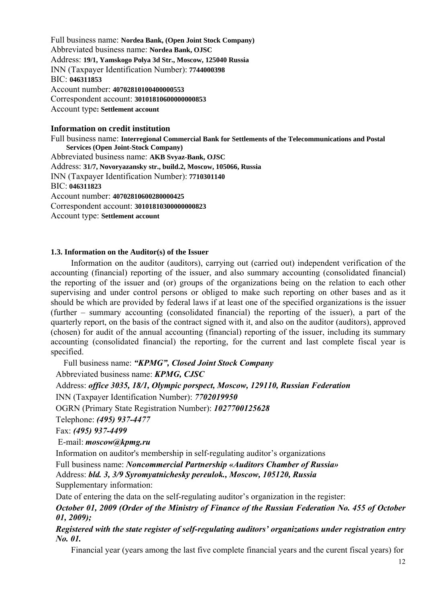Full business name: **Nordea Bank, (Open Joint Stock Company)** Abbreviated business name: **Nordea Bank, OJSC** Address: **19/1, Yamskogo Polya 3d Str., Moscow, 125040 Russia** INN (Taxpayer Identification Number): **7744000398** BIC: **046311853** Account number: **40702810100400000553** Correspondent account: **30101810600000000853** Account type**: Settlement account**

#### **Information on credit institution**

Full business name: **Interregional Commercial Bank for Settlements of the Telecommunications and Postal Services (Open Joint-Stock Company)** Abbreviated business name: **AKB Svyaz-Bank, OJSC** Address: **31/7, Novoryazansky str., build.2, Moscow, 105066, Russia** INN (Taxpayer Identification Number): **7710301140** BIC: **046311823** Account number: **40702810600280000425** Correspondent account: **30101810300000000823** Account type: **Settlement account**

#### **1.3. Information on the Auditor(s) of the Issuer**

Information on the auditor (auditors), carrying out (carried out) independent verification of the accounting (financial) reporting of the issuer, and also summary accounting (consolidated financial) the reporting of the issuer and (or) groups of the organizations being on the relation to each other supervising and under control persons or obliged to make such reporting on other bases and as it should be which are provided by federal laws if at least one of the specified organizations is the issuer (further – summary accounting (consolidated financial) the reporting of the issuer), a part of the quarterly report, on the basis of the contract signed with it, and also on the auditor (auditors), approved (chosen) for audit of the annual accounting (financial) reporting of the issuer, including its summary accounting (consolidated financial) the reporting, for the current and last complete fiscal year is specified.

Full business name: *"KPMG", Closed Joint Stock Company* 

Abbreviated business name: *KPMG, CJSC* 

Address: *office 3035, 18/1, Olympic porspect, Moscow, 129110, Russian Federation* 

INN (Taxpayer Identification Number): *7702019950* 

OGRN (Primary State Registration Number): *1027700125628* 

Telephone: *(495) 937-4477* 

Fax: *(495) 937-4499* 

E-mail: *moscow@kpmg.ru* 

Information on auditor's membership in self-regulating auditor's organizations

Full business name: *Noncommercial Partnership «Auditors Chamber of Russia»*  Address: *bld. 3, 3/9 Syromyatnichesky pereulok., Moscow, 105120, Russia* 

Supplementary information:

Date of entering the data on the self-regulating auditor's organization in the register:

*October 01, 2009 (Order of the Ministry of Finance of the Russian Federation No. 455 of October 01, 2009);* 

*Registered with the state register of self-regulating auditors' organizations under registration entry No. 01.* 

Financial year (years among the last five complete financial years and the curent fiscal years) for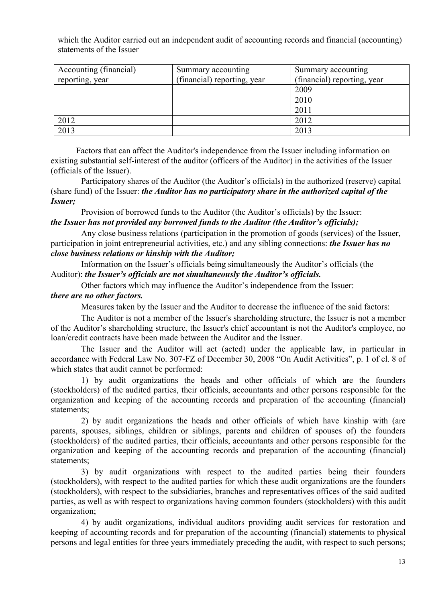which the Auditor carried out an independent audit of accounting records and financial (accounting) statements of the Issuer

| Accounting (financial) | Summary accounting          | Summary accounting          |
|------------------------|-----------------------------|-----------------------------|
| reporting, year        | (financial) reporting, year | (financial) reporting, year |
|                        |                             | 2009                        |
|                        |                             | 2010                        |
|                        |                             | 2011                        |
| 2012                   |                             | 2012                        |
| 2013                   |                             | 2013                        |

Factors that can affect the Auditor's independence from the Issuer including information on existing substantial self-interest of the auditor (officers of the Auditor) in the activities of the Issuer (officials of the Issuer).

Participatory shares of the Auditor (the Auditor's officials) in the authorized (reserve) capital (share fund) of the Issuer: *the Auditor has no participatory share in the authorized capital of the Issuer;* 

Provision of borrowed funds to the Auditor (the Auditor's officials) by the Issuer: *the Issuer has not provided any borrowed funds to the Auditor (the Auditor's officials);* 

Any close business relations (participation in the promotion of goods (services) of the Issuer, participation in joint entrepreneurial activities, etc.) and any sibling connections: *the Issuer has no close business relations or kinship with the Auditor;* 

Information on the Issuer's officials being simultaneously the Auditor's officials (the Auditor): *the Issuer's officials are not simultaneously the Auditor's officials.* 

Other factors which may influence the Auditor's independence from the Issuer:

#### *there are no other factors.*

Measures taken by the Issuer and the Auditor to decrease the influence of the said factors:

The Auditor is not a member of the Issuer's shareholding structure, the Issuer is not a member of the Auditor's shareholding structure, the Issuer's chief accountant is not the Auditor's employee, no loan/credit contracts have been made between the Auditor and the Issuer.

The Issuer and the Auditor will act (acted) under the applicable law, in particular in accordance with Federal Law No. 307-FZ of December 30, 2008 "On Audit Activities", p. 1 of cl. 8 of which states that audit cannot be performed:

1) by audit organizations the heads and other officials of which are the founders (stockholders) of the audited parties, their officials, accountants and other persons responsible for the organization and keeping of the accounting records and preparation of the accounting (financial) statements;

2) by audit organizations the heads and other officials of which have kinship with (are parents, spouses, siblings, children or siblings, parents and children of spouses of) the founders (stockholders) of the audited parties, their officials, accountants and other persons responsible for the organization and keeping of the accounting records and preparation of the accounting (financial) statements;

3) by audit organizations with respect to the audited parties being their founders (stockholders), with respect to the audited parties for which these audit organizations are the founders (stockholders), with respect to the subsidiaries, branches and representatives offices of the said audited parties, as well as with respect to organizations having common founders (stockholders) with this audit organization;

4) by audit organizations, individual auditors providing audit services for restoration and keeping of accounting records and for preparation of the accounting (financial) statements to physical persons and legal entities for three years immediately preceding the audit, with respect to such persons;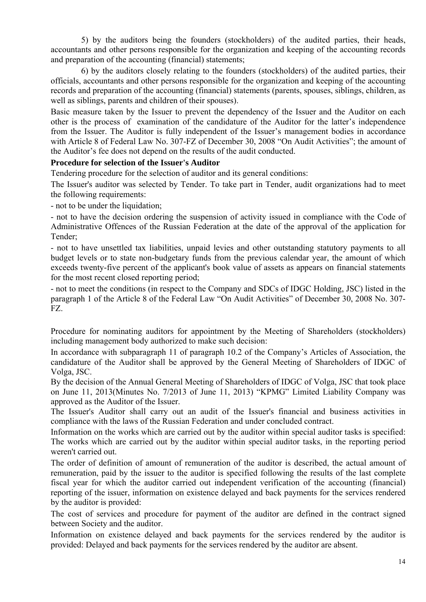5) by the auditors being the founders (stockholders) of the audited parties, their heads, accountants and other persons responsible for the organization and keeping of the accounting records and preparation of the accounting (financial) statements;

6) by the auditors closely relating to the founders (stockholders) of the audited parties, their officials, accountants and other persons responsible for the organization and keeping of the accounting records and preparation of the accounting (financial) statements (parents, spouses, siblings, children, as well as siblings, parents and children of their spouses).

Basic measure taken by the Issuer to prevent the dependency of the Issuer and the Auditor on each other is the process of examination of the candidature of the Auditor for the latter's independence from the Issuer. The Auditor is fully independent of the Issuer's management bodies in accordance with Article 8 of Federal Law No. 307-FZ of December 30, 2008 "On Audit Activities"; the amount of the Auditor's fee does not depend on the results of the audit conducted.

#### **Procedure for selection of the Issuer's Auditor**

Tendering procedure for the selection of auditor and its general conditions:

The Issuer's auditor was selected by Tender. To take part in Tender, audit organizations had to meet the following requirements:

- not to be under the liquidation;

- not to have the decision ordering the suspension of activity issued in compliance with the Code of Administrative Offences of the Russian Federation at the date of the approval of the application for Tender;

- not to have unsettled tax liabilities, unpaid levies and other outstanding statutory payments to all budget levels or to state non-budgetary funds from the previous calendar year, the amount of which exceeds twenty-five percent of the applicant's book value of assets as appears on financial statements for the most recent closed reporting period;

- not to meet the conditions (in respect to the Company and SDCs of IDGC Holding, JSC) listed in the paragraph 1 of the Article 8 of the Federal Law "On Audit Activities" of December 30, 2008 No. 307- FZ.

Procedure for nominating auditors for appointment by the Meeting of Shareholders (stockholders) including management body authorized to make such decision:

In accordance with subparagraph 11 of paragraph 10.2 of the Company's Articles of Association, the candidature of the Auditor shall be approved by the General Meeting of Shareholders of IDGC of Volga, JSC.

By the decision of the Annual General Meeting of Shareholders of IDGC of Volga, JSC that took place on June 11, 2013(Minutes No. 7/2013 of June 11, 2013) "KPMG" Limited Liability Company was approved as the Auditor of the Issuer.

The Issuer's Auditor shall carry out an audit of the Issuer's financial and business activities in compliance with the laws of the Russian Federation and under concluded contract.

Information on the works which are carried out by the auditor within special auditor tasks is specified: The works which are carried out by the auditor within special auditor tasks, in the reporting period weren't carried out.

The order of definition of amount of remuneration of the auditor is described, the actual amount of remuneration, paid by the issuer to the auditor is specified following the results of the last complete fiscal year for which the auditor carried out independent verification of the accounting (financial) reporting of the issuer, information on existence delayed and back payments for the services rendered by the auditor is provided:

The cost of services and procedure for payment of the auditor are defined in the contract signed between Society and the auditor.

Information on existence delayed and back payments for the services rendered by the auditor is provided: Delayed and back payments for the services rendered by the auditor are absent.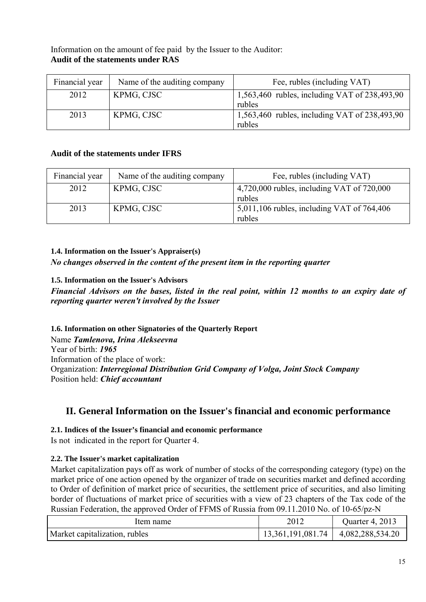## Information on the amount of fee paid by the Issuer to the Auditor: **Audit of the statements under RAS**

| Financial year | Name of the auditing company | Fee, rubles (including VAT)                   |
|----------------|------------------------------|-----------------------------------------------|
| 2012           | KPMG, CJSC                   | 1,563,460 rubles, including VAT of 238,493,90 |
|                |                              | rubles                                        |
| 2013           | KPMG, CJSC                   | 1,563,460 rubles, including VAT of 238,493,90 |
|                |                              | rubles                                        |

### **Audit of the statements under IFRS**

| Financial year | Name of the auditing company | Fee, rubles (including VAT)                    |
|----------------|------------------------------|------------------------------------------------|
| 2012           | KPMG, CJSC                   | $4,720,000$ rubles, including VAT of $720,000$ |
|                |                              | rubles                                         |
| 2013           | KPMG, CJSC                   | 5,011,106 rubles, including VAT of $764,406$   |
|                |                              | rubles                                         |

### **1.4. Information on the Issuer's Appraiser(s)**

*No changes observed in the content of the present item in the reporting quarter* 

### **1.5. Information on the Issuer's Advisors**

*Financial Advisors on the bases, listed in the real point, within 12 months to an expiry date of reporting quarter weren't involved by the Issuer*

**1.6. Information on other Signatories of the Quarterly Report**  Name *Tamlenova, Irina Alekseevna*  Year of birth: *1965* Information of the place of work: Organization: *Interregional Distribution Grid Company of Volga, Joint Stock Company* Position held: *Chief accountant*

## **II. General Information on the Issuer's financial and economic performance**

### **2.1. Indices of the Issuer's financial and economic performance**

Is not indicated in the report for Quarter 4.

## **2.2. The Issuer's market capitalization**

Market capitalization pays off as work of number of stocks of the corresponding category (type) on the market price of one action opened by the organizer of trade on securities market and defined according to Order of definition of market price of securities, the settlement price of securities, and also limiting border of fluctuations of market price of securities with a view of 23 chapters of the Tax code of the Russian Federation, the approved Order of FFMS of Russia from 09.11.2010 No. of 10-65/pz-N

| Item name                     | 2012              | Quarter 4, 2013  |
|-------------------------------|-------------------|------------------|
| Market capitalization, rubles | 13,361,191,081.74 | 4,082,288,534.20 |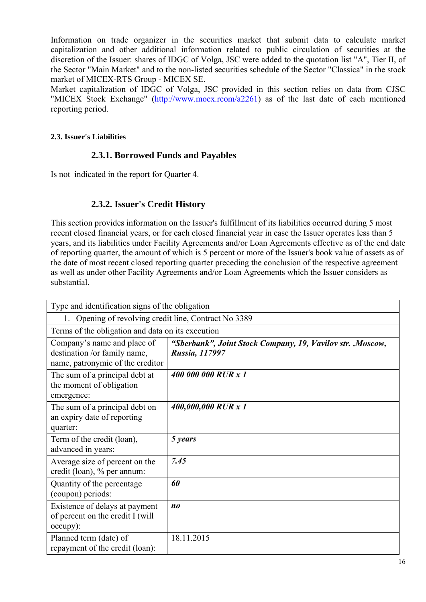Information on trade organizer in the securities market that submit data to calculate market capitalization and other additional information related to public circulation of securities at the discretion of the Issuer: shares of IDGC of Volga, JSC were added to the quotation list "A", Tier II, of the Sector "Main Market" and to the non-listed securities schedule of the Sector "Classica" in the stock market of MICEX-RTS Group - MICEX SE.

Market capitalization of IDGC of Volga, JSC provided in this section relies on data from CJSC "MICEX Stock Exchange" (http://www.moex.rcom/a2261) as of the last date of each mentioned reporting period.

#### **2.3. Issuer's Liabilities**

## **2.3.1. Borrowed Funds and Payables**

Is not indicated in the report for Quarter 4.

## **2.3.2. Issuer's Credit History**

This section provides information on the Issuer's fulfillment of its liabilities occurred during 5 most recent closed financial years, or for each closed financial year in case the Issuer operates less than 5 years, and its liabilities under Facility Agreements and/or Loan Agreements effective as of the end date of reporting quarter, the amount of which is 5 percent or more of the Issuer's book value of assets as of the date of most recent closed reporting quarter preceding the conclusion of the respective agreement as well as under other Facility Agreements and/or Loan Agreements which the Issuer considers as substantial.

| Type and identification signs of the obligation                                                 |                                                                              |  |
|-------------------------------------------------------------------------------------------------|------------------------------------------------------------------------------|--|
| Opening of revolving credit line, Contract No 3389<br>1.                                        |                                                                              |  |
| Terms of the obligation and data on its execution                                               |                                                                              |  |
| Company's name and place of<br>destination /or family name,<br>name, patronymic of the creditor | "Sberbank", Joint Stock Company, 19, Vavilov str., Moscow,<br>Russia, 117997 |  |
| The sum of a principal debt at<br>the moment of obligation<br>emergence:                        | 400 000 000 RUR x 1                                                          |  |
| The sum of a principal debt on<br>an expiry date of reporting<br>quarter:                       | 400,000,000 RUR x 1                                                          |  |
| Term of the credit (loan),<br>advanced in years:                                                | 5 years                                                                      |  |
| Average size of percent on the<br>credit (loan), % per annum:                                   | 7.45                                                                         |  |
| Quantity of the percentage<br>(coupon) periods:                                                 | 60                                                                           |  |
| Existence of delays at payment<br>of percent on the credit I (will<br>occupy):                  | n <sub>0</sub>                                                               |  |
| Planned term (date) of<br>repayment of the credit (loan):                                       | 18.11.2015                                                                   |  |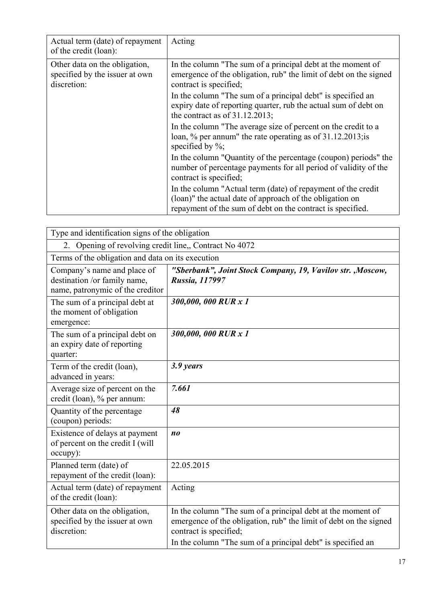| Actual term (date) of repayment<br>of the credit (loan):                       | Acting                                                                                                                                                                                 |
|--------------------------------------------------------------------------------|----------------------------------------------------------------------------------------------------------------------------------------------------------------------------------------|
| Other data on the obligation,<br>specified by the issuer at own<br>discretion: | In the column "The sum of a principal debt at the moment of<br>emergence of the obligation, rub" the limit of debt on the signed<br>contract is specified;                             |
|                                                                                | In the column "The sum of a principal debt" is specified an<br>expiry date of reporting quarter, rub the actual sum of debt on<br>the contract as of $31.12.2013$ ;                    |
|                                                                                | In the column "The average size of percent on the credit to a<br>loan, $\%$ per annum" the rate operating as of 31.12.2013; is<br>specified by $\%$ ;                                  |
|                                                                                | In the column "Quantity of the percentage (coupon) periods" the<br>number of percentage payments for all period of validity of the<br>contract is specified;                           |
|                                                                                | In the column "Actual term (date) of repayment of the credit<br>(loan)" the actual date of approach of the obligation on<br>repayment of the sum of debt on the contract is specified. |

| Type and identification signs of the obligation                                                 |                                                                                                                                                                                                                           |  |
|-------------------------------------------------------------------------------------------------|---------------------------------------------------------------------------------------------------------------------------------------------------------------------------------------------------------------------------|--|
| Opening of revolving credit line, Contract No 4072<br>2.                                        |                                                                                                                                                                                                                           |  |
| Terms of the obligation and data on its execution                                               |                                                                                                                                                                                                                           |  |
| Company's name and place of<br>destination /or family name,<br>name, patronymic of the creditor | "Sberbank", Joint Stock Company, 19, Vavilov str., Moscow,<br>Russia, 117997                                                                                                                                              |  |
| The sum of a principal debt at<br>the moment of obligation<br>emergence:                        | 300,000,000 RUR x 1                                                                                                                                                                                                       |  |
| The sum of a principal debt on<br>an expiry date of reporting<br>quarter:                       | 300,000,000 RUR x 1                                                                                                                                                                                                       |  |
| Term of the credit (loan),<br>advanced in years:                                                | 3.9 years                                                                                                                                                                                                                 |  |
| Average size of percent on the<br>credit (loan), % per annum:                                   | 7.661                                                                                                                                                                                                                     |  |
| Quantity of the percentage<br>(coupon) periods:                                                 | 48                                                                                                                                                                                                                        |  |
| Existence of delays at payment<br>of percent on the credit I (will<br>occupy):                  | n <sub>0</sub>                                                                                                                                                                                                            |  |
| Planned term (date) of<br>repayment of the credit (loan):                                       | 22.05.2015                                                                                                                                                                                                                |  |
| Actual term (date) of repayment<br>of the credit (loan):                                        | Acting                                                                                                                                                                                                                    |  |
| Other data on the obligation,<br>specified by the issuer at own<br>discretion:                  | In the column "The sum of a principal debt at the moment of<br>emergence of the obligation, rub" the limit of debt on the signed<br>contract is specified;<br>In the column "The sum of a principal debt" is specified an |  |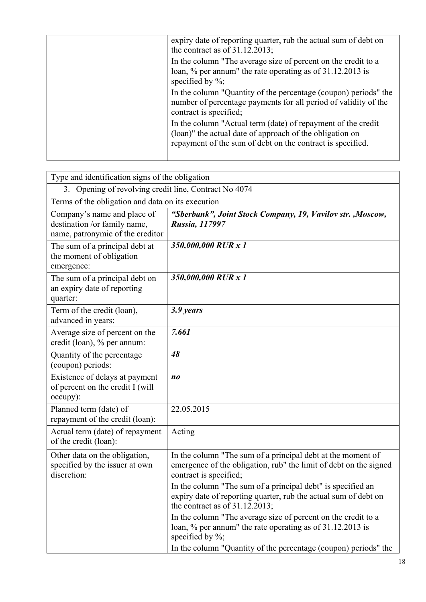| expiry date of reporting quarter, rub the actual sum of debt on<br>the contract as of $31.12.2013$ ;                                                                                   |
|----------------------------------------------------------------------------------------------------------------------------------------------------------------------------------------|
| In the column "The average size of percent on the credit to a<br>loan, $\%$ per annum" the rate operating as of 31.12.2013 is<br>specified by $\%$ ;                                   |
| In the column "Quantity of the percentage (coupon) periods" the<br>number of percentage payments for all period of validity of the<br>contract is specified;                           |
| In the column "Actual term (date) of repayment of the credit<br>(loan)" the actual date of approach of the obligation on<br>repayment of the sum of debt on the contract is specified. |
|                                                                                                                                                                                        |

| Type and identification signs of the obligation                                                 |                                                                                                                                                                                                                                                                                                                                   |  |
|-------------------------------------------------------------------------------------------------|-----------------------------------------------------------------------------------------------------------------------------------------------------------------------------------------------------------------------------------------------------------------------------------------------------------------------------------|--|
| 3. Opening of revolving credit line, Contract No 4074                                           |                                                                                                                                                                                                                                                                                                                                   |  |
| Terms of the obligation and data on its execution                                               |                                                                                                                                                                                                                                                                                                                                   |  |
| Company's name and place of<br>destination /or family name,<br>name, patronymic of the creditor | "Sberbank", Joint Stock Company, 19, Vavilov str., Moscow,<br><b>Russia, 117997</b>                                                                                                                                                                                                                                               |  |
| The sum of a principal debt at<br>the moment of obligation<br>emergence:                        | 350,000,000 RUR x 1                                                                                                                                                                                                                                                                                                               |  |
| The sum of a principal debt on<br>an expiry date of reporting<br>quarter:                       | 350,000,000 RUR x 1                                                                                                                                                                                                                                                                                                               |  |
| Term of the credit (loan),<br>advanced in years:                                                | 3.9 years                                                                                                                                                                                                                                                                                                                         |  |
| Average size of percent on the<br>credit (loan), % per annum:                                   | 7.661                                                                                                                                                                                                                                                                                                                             |  |
| Quantity of the percentage<br>(coupon) periods:                                                 | 48                                                                                                                                                                                                                                                                                                                                |  |
| Existence of delays at payment<br>of percent on the credit I (will<br>occupy):                  | $n_{0}$                                                                                                                                                                                                                                                                                                                           |  |
| Planned term (date) of<br>repayment of the credit (loan):                                       | 22.05.2015                                                                                                                                                                                                                                                                                                                        |  |
| Actual term (date) of repayment<br>of the credit (loan):                                        | Acting                                                                                                                                                                                                                                                                                                                            |  |
| Other data on the obligation,<br>specified by the issuer at own<br>discretion:                  | In the column "The sum of a principal debt at the moment of<br>emergence of the obligation, rub" the limit of debt on the signed<br>contract is specified;<br>In the column "The sum of a principal debt" is specified an<br>expiry date of reporting quarter, rub the actual sum of debt on<br>the contract as of $31.12.2013$ ; |  |
|                                                                                                 | In the column "The average size of percent on the credit to a<br>loan, % per annum" the rate operating as of 31.12.2013 is<br>specified by $\%$ ;<br>In the column "Quantity of the percentage (coupon) periods" the                                                                                                              |  |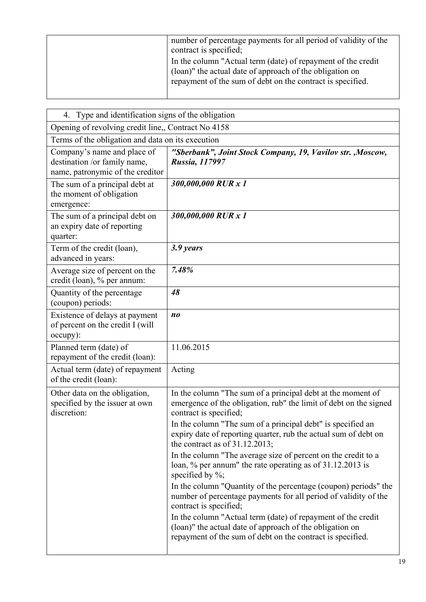| number of percentage payments for all period of validity of the<br>contract is specified;                                                                                              |
|----------------------------------------------------------------------------------------------------------------------------------------------------------------------------------------|
| In the column "Actual term (date) of repayment of the credit<br>(loan)" the actual date of approach of the obligation on<br>repayment of the sum of debt on the contract is specified. |

| 4. Type and identification signs of the obligation                                              |                                                                                                                                                                                        |  |
|-------------------------------------------------------------------------------------------------|----------------------------------------------------------------------------------------------------------------------------------------------------------------------------------------|--|
| Opening of revolving credit line,, Contract No 4158                                             |                                                                                                                                                                                        |  |
| Terms of the obligation and data on its execution                                               |                                                                                                                                                                                        |  |
| Company's name and place of<br>destination /or family name,<br>name, patronymic of the creditor | "Sberbank", Joint Stock Company, 19, Vavilov str., Moscow,<br>Russia, 117997                                                                                                           |  |
| The sum of a principal debt at<br>the moment of obligation<br>emergence:                        | 300,000,000 RUR x 1                                                                                                                                                                    |  |
| The sum of a principal debt on<br>an expiry date of reporting<br>quarter:                       | 300,000,000 RUR x 1                                                                                                                                                                    |  |
| Term of the credit (loan),<br>advanced in years:                                                | 3.9 years                                                                                                                                                                              |  |
| Average size of percent on the<br>credit (loan), % per annum:                                   | 7.48%                                                                                                                                                                                  |  |
| Quantity of the percentage<br>(coupon) periods:                                                 | 48                                                                                                                                                                                     |  |
| Existence of delays at payment<br>of percent on the credit I (will<br>occupy):                  | n <sub>o</sub>                                                                                                                                                                         |  |
| Planned term (date) of<br>repayment of the credit (loan):                                       | 11.06.2015                                                                                                                                                                             |  |
| Actual term (date) of repayment<br>of the credit (loan):                                        | Acting                                                                                                                                                                                 |  |
| Other data on the obligation,<br>specified by the issuer at own<br>discretion:                  | In the column "The sum of a principal debt at the moment of<br>emergence of the obligation, rub" the limit of debt on the signed<br>contract is specified;                             |  |
|                                                                                                 | In the column "The sum of a principal debt" is specified an<br>expiry date of reporting quarter, rub the actual sum of debt on<br>the contract as of $31.12.2013$ ;                    |  |
|                                                                                                 | In the column "The average size of percent on the credit to a<br>loan, % per annum" the rate operating as of 31.12.2013 is<br>specified by $\%$ ;                                      |  |
|                                                                                                 | In the column "Quantity of the percentage (coupon) periods" the<br>number of percentage payments for all period of validity of the<br>contract is specified;                           |  |
|                                                                                                 | In the column "Actual term (date) of repayment of the credit<br>(loan)" the actual date of approach of the obligation on<br>repayment of the sum of debt on the contract is specified. |  |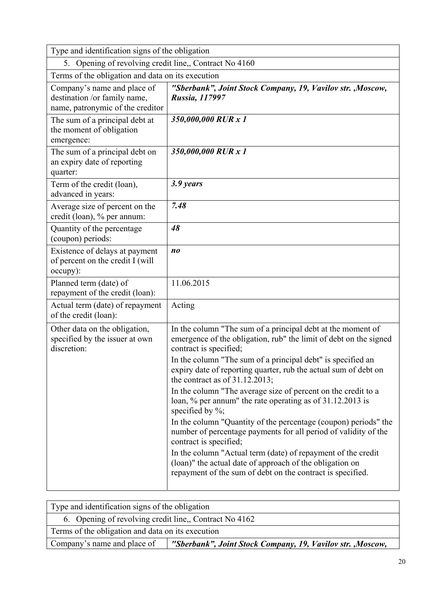| Type and identification signs of the obligation                                                 |                                                                                                                                                                                        |  |
|-------------------------------------------------------------------------------------------------|----------------------------------------------------------------------------------------------------------------------------------------------------------------------------------------|--|
| 5. Opening of revolving credit line,, Contract No 4160                                          |                                                                                                                                                                                        |  |
| Terms of the obligation and data on its execution                                               |                                                                                                                                                                                        |  |
| Company's name and place of<br>destination /or family name,<br>name, patronymic of the creditor | "Sberbank", Joint Stock Company, 19, Vavilov str., Moscow,<br>Russia, 117997                                                                                                           |  |
| The sum of a principal debt at<br>the moment of obligation<br>emergence:                        | 350,000,000 RUR x 1                                                                                                                                                                    |  |
| The sum of a principal debt on<br>an expiry date of reporting<br>quarter:                       | 350,000,000 RUR x 1                                                                                                                                                                    |  |
| Term of the credit (loan),<br>advanced in years:                                                | 3.9 years                                                                                                                                                                              |  |
| Average size of percent on the<br>credit (loan), % per annum:                                   | 7.48                                                                                                                                                                                   |  |
| Quantity of the percentage<br>(coupon) periods:                                                 | 48                                                                                                                                                                                     |  |
| Existence of delays at payment<br>of percent on the credit I (will<br>occupy):                  | n <sub>0</sub>                                                                                                                                                                         |  |
| Planned term (date) of<br>repayment of the credit (loan):                                       | 11.06.2015                                                                                                                                                                             |  |
| Actual term (date) of repayment<br>of the credit (loan):                                        | Acting                                                                                                                                                                                 |  |
| Other data on the obligation,<br>specified by the issuer at own<br>discretion:                  | In the column "The sum of a principal debt at the moment of<br>emergence of the obligation, rub" the limit of debt on the signed<br>contract is specified;                             |  |
|                                                                                                 | In the column "The sum of a principal debt" is specified an<br>expiry date of reporting quarter, rub the actual sum of debt on<br>the contract as of $31.12.2013$ ;                    |  |
|                                                                                                 | In the column "The average size of percent on the credit to a<br>loan, % per annum" the rate operating as of 31.12.2013 is<br>specified by $\%$ ;                                      |  |
|                                                                                                 | In the column "Quantity of the percentage (coupon) periods" the<br>number of percentage payments for all period of validity of the<br>contract is specified;                           |  |
|                                                                                                 | In the column "Actual term (date) of repayment of the credit<br>(loan)" the actual date of approach of the obligation on<br>repayment of the sum of debt on the contract is specified. |  |

| Type and identification signs of the obligation                                           |  |  |
|-------------------------------------------------------------------------------------------|--|--|
| 6. Opening of revolving credit line, Contract No 4162                                     |  |  |
| Terms of the obligation and data on its execution                                         |  |  |
| Company's name and place of<br>"Sberbank", Joint Stock Company, 19, Vavilov str., Moscow, |  |  |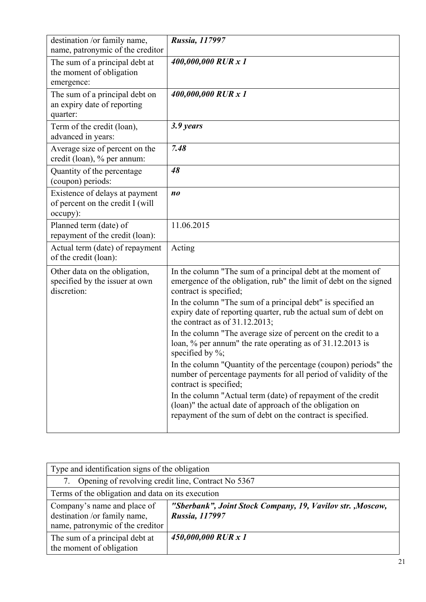| destination /or family name,<br>name, patronymic of the creditor               | Russia, 117997                                                                                                                                                                                                            |
|--------------------------------------------------------------------------------|---------------------------------------------------------------------------------------------------------------------------------------------------------------------------------------------------------------------------|
| The sum of a principal debt at<br>the moment of obligation<br>emergence:       | 400,000,000 RUR x 1                                                                                                                                                                                                       |
| The sum of a principal debt on<br>an expiry date of reporting<br>quarter:      | 400,000,000 RUR x 1                                                                                                                                                                                                       |
| Term of the credit (loan),<br>advanced in years:                               | 3.9 years                                                                                                                                                                                                                 |
| Average size of percent on the<br>credit (loan), % per annum:                  | 7.48                                                                                                                                                                                                                      |
| Quantity of the percentage<br>(coupon) periods:                                | 48                                                                                                                                                                                                                        |
| Existence of delays at payment<br>of percent on the credit I (will<br>occupy): | $n_{0}$                                                                                                                                                                                                                   |
| Planned term (date) of<br>repayment of the credit (loan):                      | 11.06.2015                                                                                                                                                                                                                |
| Actual term (date) of repayment<br>of the credit (loan):                       | Acting                                                                                                                                                                                                                    |
| Other data on the obligation,<br>specified by the issuer at own<br>discretion: | In the column "The sum of a principal debt at the moment of<br>emergence of the obligation, rub" the limit of debt on the signed<br>contract is specified;<br>In the column "The sum of a principal debt" is specified an |
|                                                                                | expiry date of reporting quarter, rub the actual sum of debt on<br>the contract as of $31.12.2013$ ;                                                                                                                      |
|                                                                                | In the column "The average size of percent on the credit to a<br>loan, % per annum" the rate operating as of 31.12.2013 is<br>specified by $\%$ ;                                                                         |
|                                                                                | In the column "Quantity of the percentage (coupon) periods" the<br>number of percentage payments for all period of validity of the<br>contract is specified;                                                              |
|                                                                                | In the column "Actual term (date) of repayment of the credit<br>(loan)" the actual date of approach of the obligation on<br>repayment of the sum of debt on the contract is specified.                                    |
|                                                                                |                                                                                                                                                                                                                           |

| Type and identification signs of the obligation                                                 |                                                                              |
|-------------------------------------------------------------------------------------------------|------------------------------------------------------------------------------|
| Opening of revolving credit line, Contract No 5367                                              |                                                                              |
| Terms of the obligation and data on its execution                                               |                                                                              |
| Company's name and place of<br>destination /or family name,<br>name, patronymic of the creditor | "Sberbank", Joint Stock Company, 19, Vavilov str., Moscow,<br>Russia, 117997 |
| The sum of a principal debt at<br>the moment of obligation                                      | 450,000,000 RUR x 1                                                          |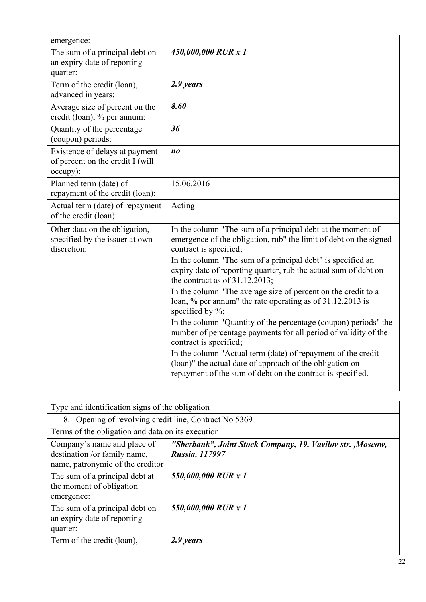| emergence:                                                                     |                                                                                                                                                                                                                           |
|--------------------------------------------------------------------------------|---------------------------------------------------------------------------------------------------------------------------------------------------------------------------------------------------------------------------|
| The sum of a principal debt on<br>an expiry date of reporting<br>quarter:      | 450,000,000 RUR x 1                                                                                                                                                                                                       |
| Term of the credit (loan),<br>advanced in years:                               | 2.9 years                                                                                                                                                                                                                 |
| Average size of percent on the<br>credit (loan), % per annum:                  | 8.60                                                                                                                                                                                                                      |
| Quantity of the percentage<br>(coupon) periods:                                | 36                                                                                                                                                                                                                        |
| Existence of delays at payment<br>of percent on the credit I (will<br>occupy): | n <sub>0</sub>                                                                                                                                                                                                            |
| Planned term (date) of<br>repayment of the credit (loan):                      | 15.06.2016                                                                                                                                                                                                                |
| Actual term (date) of repayment<br>of the credit (loan):                       | Acting                                                                                                                                                                                                                    |
| Other data on the obligation,<br>specified by the issuer at own<br>discretion: | In the column "The sum of a principal debt at the moment of<br>emergence of the obligation, rub" the limit of debt on the signed<br>contract is specified;<br>In the column "The sum of a principal debt" is specified an |
|                                                                                | expiry date of reporting quarter, rub the actual sum of debt on<br>the contract as of $31.12.2013$ ;                                                                                                                      |
|                                                                                | In the column "The average size of percent on the credit to a<br>loan, % per annum" the rate operating as of 31.12.2013 is<br>specified by $\%$ ;                                                                         |
|                                                                                | In the column "Quantity of the percentage (coupon) periods" the<br>number of percentage payments for all period of validity of the<br>contract is specified;                                                              |
|                                                                                | In the column "Actual term (date) of repayment of the credit<br>(loan)" the actual date of approach of the obligation on<br>repayment of the sum of debt on the contract is specified.                                    |

| Type and identification signs of the obligation                                                 |                                                                                     |
|-------------------------------------------------------------------------------------------------|-------------------------------------------------------------------------------------|
| 8. Opening of revolving credit line, Contract No 5369                                           |                                                                                     |
| Terms of the obligation and data on its execution                                               |                                                                                     |
| Company's name and place of<br>destination /or family name,<br>name, patronymic of the creditor | "Sberbank", Joint Stock Company, 19, Vavilov str., Moscow,<br><b>Russia, 117997</b> |
| The sum of a principal debt at<br>the moment of obligation<br>emergence:                        | 550,000,000 RUR x 1                                                                 |
| The sum of a principal debt on<br>an expiry date of reporting<br>quarter:                       | 550,000,000 RUR x 1                                                                 |
| Term of the credit (loan),                                                                      | 2.9 years                                                                           |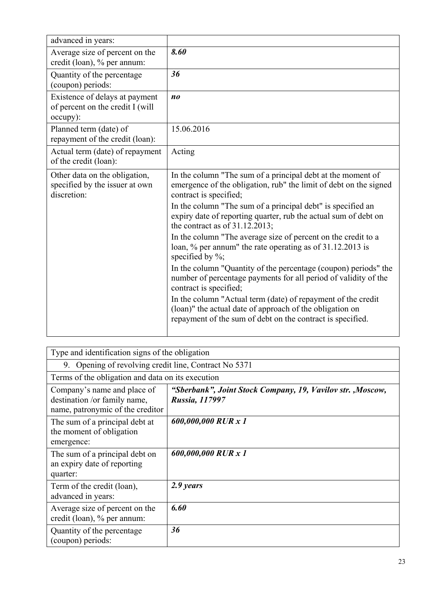| advanced in years:                                                             |                                                                                                                                                                                                                                                                                                                                                                                                                                                                                                                                                                                                                                                                                                                                                                                                                                                  |
|--------------------------------------------------------------------------------|--------------------------------------------------------------------------------------------------------------------------------------------------------------------------------------------------------------------------------------------------------------------------------------------------------------------------------------------------------------------------------------------------------------------------------------------------------------------------------------------------------------------------------------------------------------------------------------------------------------------------------------------------------------------------------------------------------------------------------------------------------------------------------------------------------------------------------------------------|
| Average size of percent on the<br>credit (loan), % per annum:                  | 8.60                                                                                                                                                                                                                                                                                                                                                                                                                                                                                                                                                                                                                                                                                                                                                                                                                                             |
| Quantity of the percentage<br>(coupon) periods:                                | 36                                                                                                                                                                                                                                                                                                                                                                                                                                                                                                                                                                                                                                                                                                                                                                                                                                               |
| Existence of delays at payment<br>of percent on the credit I (will<br>occupy): | n <sub>0</sub>                                                                                                                                                                                                                                                                                                                                                                                                                                                                                                                                                                                                                                                                                                                                                                                                                                   |
| Planned term (date) of<br>repayment of the credit (loan):                      | 15.06.2016                                                                                                                                                                                                                                                                                                                                                                                                                                                                                                                                                                                                                                                                                                                                                                                                                                       |
| Actual term (date) of repayment<br>of the credit (loan):                       | Acting                                                                                                                                                                                                                                                                                                                                                                                                                                                                                                                                                                                                                                                                                                                                                                                                                                           |
| Other data on the obligation,<br>specified by the issuer at own<br>discretion: | In the column "The sum of a principal debt at the moment of<br>emergence of the obligation, rub" the limit of debt on the signed<br>contract is specified;<br>In the column "The sum of a principal debt" is specified an<br>expiry date of reporting quarter, rub the actual sum of debt on<br>the contract as of $31.12.2013$ ;<br>In the column "The average size of percent on the credit to a<br>loan, % per annum" the rate operating as of 31.12.2013 is<br>specified by $\%$ ;<br>In the column "Quantity of the percentage (coupon) periods" the<br>number of percentage payments for all period of validity of the<br>contract is specified;<br>In the column "Actual term (date) of repayment of the credit<br>(loan)" the actual date of approach of the obligation on<br>repayment of the sum of debt on the contract is specified. |

| Type and identification signs of the obligation                                                 |                                                                              |
|-------------------------------------------------------------------------------------------------|------------------------------------------------------------------------------|
| Opening of revolving credit line, Contract No 5371<br>9.                                        |                                                                              |
| Terms of the obligation and data on its execution                                               |                                                                              |
| Company's name and place of<br>destination /or family name,<br>name, patronymic of the creditor | "Sberbank", Joint Stock Company, 19, Vavilov str., Moscow,<br>Russia, 117997 |
| The sum of a principal debt at<br>the moment of obligation<br>emergence:                        | 600,000,000 RUR x 1                                                          |
| The sum of a principal debt on<br>an expiry date of reporting<br>quarter:                       | 600,000,000 RUR x 1                                                          |
| Term of the credit (loan),<br>advanced in years:                                                | 2.9 years                                                                    |
| Average size of percent on the<br>credit (loan), % per annum:                                   | 6.60                                                                         |
| Quantity of the percentage<br>(coupon) periods:                                                 | 36                                                                           |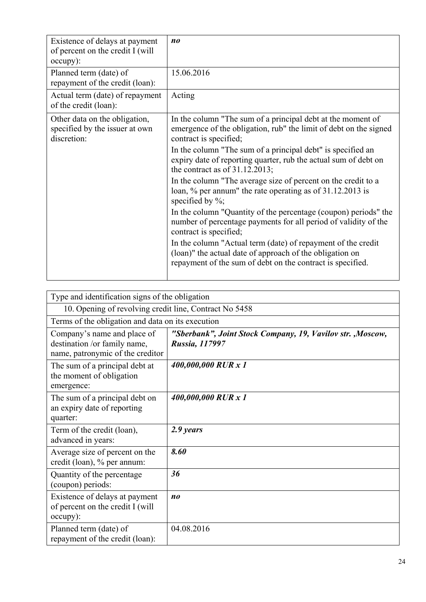| Existence of delays at payment<br>of percent on the credit I (will<br>occupy): | n <sub>0</sub>                                                                                                                                                                                                                                                                                                                                                                                                                                                                                                                                                                                                                                                                                                                                                                                                                                   |
|--------------------------------------------------------------------------------|--------------------------------------------------------------------------------------------------------------------------------------------------------------------------------------------------------------------------------------------------------------------------------------------------------------------------------------------------------------------------------------------------------------------------------------------------------------------------------------------------------------------------------------------------------------------------------------------------------------------------------------------------------------------------------------------------------------------------------------------------------------------------------------------------------------------------------------------------|
| Planned term (date) of<br>repayment of the credit (loan):                      | 15.06.2016                                                                                                                                                                                                                                                                                                                                                                                                                                                                                                                                                                                                                                                                                                                                                                                                                                       |
| Actual term (date) of repayment<br>of the credit (loan):                       | Acting                                                                                                                                                                                                                                                                                                                                                                                                                                                                                                                                                                                                                                                                                                                                                                                                                                           |
| Other data on the obligation,<br>specified by the issuer at own<br>discretion: | In the column "The sum of a principal debt at the moment of<br>emergence of the obligation, rub" the limit of debt on the signed<br>contract is specified;<br>In the column "The sum of a principal debt" is specified an<br>expiry date of reporting quarter, rub the actual sum of debt on<br>the contract as of $31.12.2013$ ;<br>In the column "The average size of percent on the credit to a<br>loan, % per annum" the rate operating as of 31.12.2013 is<br>specified by $\%$ ;<br>In the column "Quantity of the percentage (coupon) periods" the<br>number of percentage payments for all period of validity of the<br>contract is specified;<br>In the column "Actual term (date) of repayment of the credit<br>(loan)" the actual date of approach of the obligation on<br>repayment of the sum of debt on the contract is specified. |
|                                                                                |                                                                                                                                                                                                                                                                                                                                                                                                                                                                                                                                                                                                                                                                                                                                                                                                                                                  |

| Type and identification signs of the obligation                                                 |                                                                              |  |  |
|-------------------------------------------------------------------------------------------------|------------------------------------------------------------------------------|--|--|
| 10. Opening of revolving credit line, Contract No 5458                                          |                                                                              |  |  |
|                                                                                                 | Terms of the obligation and data on its execution                            |  |  |
| Company's name and place of<br>destination /or family name,<br>name, patronymic of the creditor | "Sberbank", Joint Stock Company, 19, Vavilov str., Moscow,<br>Russia, 117997 |  |  |
| The sum of a principal debt at<br>the moment of obligation<br>emergence:                        | 400,000,000 RUR x 1                                                          |  |  |
| The sum of a principal debt on<br>an expiry date of reporting<br>quarter:                       | 400,000,000 RUR x 1                                                          |  |  |
| Term of the credit (loan),<br>advanced in years:                                                | 2.9 years                                                                    |  |  |
| Average size of percent on the<br>credit (loan), % per annum:                                   | 8.60                                                                         |  |  |
| Quantity of the percentage<br>(coupon) periods:                                                 | 36                                                                           |  |  |
| Existence of delays at payment<br>of percent on the credit I (will<br>occupy):                  | n <sub>0</sub>                                                               |  |  |
| Planned term (date) of<br>repayment of the credit (loan):                                       | 04.08.2016                                                                   |  |  |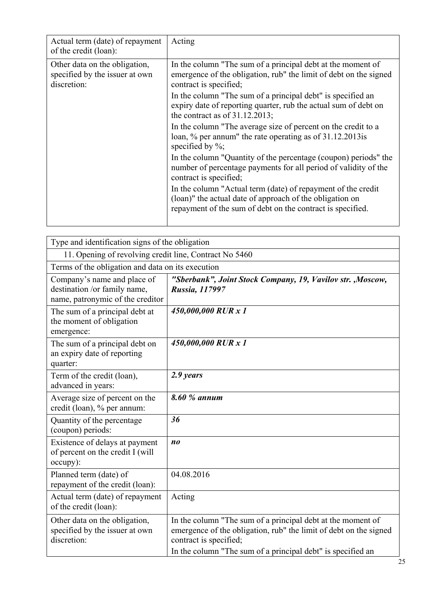| Actual term (date) of repayment<br>of the credit (loan):                       | Acting                                                                                                                                                                                                                                                                                                                                                                                                                                                                                                                                                                                                                                                                                                                                                                                                                                           |
|--------------------------------------------------------------------------------|--------------------------------------------------------------------------------------------------------------------------------------------------------------------------------------------------------------------------------------------------------------------------------------------------------------------------------------------------------------------------------------------------------------------------------------------------------------------------------------------------------------------------------------------------------------------------------------------------------------------------------------------------------------------------------------------------------------------------------------------------------------------------------------------------------------------------------------------------|
| Other data on the obligation,<br>specified by the issuer at own<br>discretion: | In the column "The sum of a principal debt at the moment of<br>emergence of the obligation, rub" the limit of debt on the signed<br>contract is specified;<br>In the column "The sum of a principal debt" is specified an<br>expiry date of reporting quarter, rub the actual sum of debt on<br>the contract as of $31.12.2013$ ;<br>In the column "The average size of percent on the credit to a<br>loan, % per annum" the rate operating as of 31.12.2013 is<br>specified by $\%$ ;<br>In the column "Quantity of the percentage (coupon) periods" the<br>number of percentage payments for all period of validity of the<br>contract is specified;<br>In the column "Actual term (date) of repayment of the credit<br>(loan)" the actual date of approach of the obligation on<br>repayment of the sum of debt on the contract is specified. |

| Type and identification signs of the obligation                                                 |                                                                                                                                                                                                                           |
|-------------------------------------------------------------------------------------------------|---------------------------------------------------------------------------------------------------------------------------------------------------------------------------------------------------------------------------|
| 11. Opening of revolving credit line, Contract No 5460                                          |                                                                                                                                                                                                                           |
| Terms of the obligation and data on its execution                                               |                                                                                                                                                                                                                           |
| Company's name and place of<br>destination /or family name,<br>name, patronymic of the creditor | "Sberbank", Joint Stock Company, 19, Vavilov str., Moscow,<br>Russia, 117997                                                                                                                                              |
| The sum of a principal debt at<br>the moment of obligation<br>emergence:                        | 450,000,000 RUR x 1                                                                                                                                                                                                       |
| The sum of a principal debt on<br>an expiry date of reporting<br>quarter:                       | 450,000,000 RUR x 1                                                                                                                                                                                                       |
| Term of the credit (loan),<br>advanced in years:                                                | 2.9 years                                                                                                                                                                                                                 |
| Average size of percent on the<br>credit (loan), % per annum:                                   | 8.60 % annum                                                                                                                                                                                                              |
| Quantity of the percentage<br>(coupon) periods:                                                 | 36                                                                                                                                                                                                                        |
| Existence of delays at payment<br>of percent on the credit I (will<br>occupy):                  | n <sub>0</sub>                                                                                                                                                                                                            |
| Planned term (date) of<br>repayment of the credit (loan):                                       | 04.08.2016                                                                                                                                                                                                                |
| Actual term (date) of repayment<br>of the credit (loan):                                        | Acting                                                                                                                                                                                                                    |
| Other data on the obligation,<br>specified by the issuer at own<br>discretion:                  | In the column "The sum of a principal debt at the moment of<br>emergence of the obligation, rub" the limit of debt on the signed<br>contract is specified;<br>In the column "The sum of a principal debt" is specified an |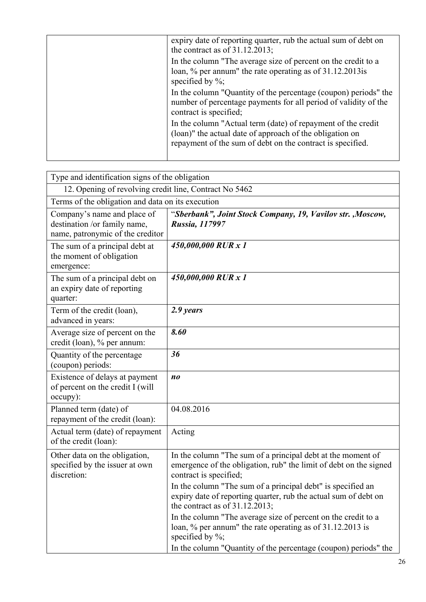| expiry date of reporting quarter, rub the actual sum of debt on<br>the contract as of $31.12.2013$ ;                                                                                   |
|----------------------------------------------------------------------------------------------------------------------------------------------------------------------------------------|
| In the column "The average size of percent on the credit to a<br>loan, % per annum" the rate operating as of 31.12.2013 is<br>specified by $\%$ ;                                      |
| In the column "Quantity of the percentage (coupon) periods" the<br>number of percentage payments for all period of validity of the<br>contract is specified;                           |
| In the column "Actual term (date) of repayment of the credit<br>(loan)" the actual date of approach of the obligation on<br>repayment of the sum of debt on the contract is specified. |
|                                                                                                                                                                                        |

| Type and identification signs of the obligation                                                 |                                                                                                                                                                                                                                                                                                                                   |
|-------------------------------------------------------------------------------------------------|-----------------------------------------------------------------------------------------------------------------------------------------------------------------------------------------------------------------------------------------------------------------------------------------------------------------------------------|
| 12. Opening of revolving credit line, Contract No 5462                                          |                                                                                                                                                                                                                                                                                                                                   |
| Terms of the obligation and data on its execution                                               |                                                                                                                                                                                                                                                                                                                                   |
| Company's name and place of<br>destination /or family name,<br>name, patronymic of the creditor | "Sberbank", Joint Stock Company, 19, Vavilov str., Moscow,<br>Russia, 117997                                                                                                                                                                                                                                                      |
| The sum of a principal debt at<br>the moment of obligation<br>emergence:                        | 450,000,000 RUR x 1                                                                                                                                                                                                                                                                                                               |
| The sum of a principal debt on<br>an expiry date of reporting<br>quarter:                       | 450,000,000 RUR x 1                                                                                                                                                                                                                                                                                                               |
| Term of the credit (loan),<br>advanced in years:                                                | 2.9 years                                                                                                                                                                                                                                                                                                                         |
| Average size of percent on the<br>credit (loan), % per annum:                                   | 8.60                                                                                                                                                                                                                                                                                                                              |
| Quantity of the percentage<br>(coupon) periods:                                                 | 36                                                                                                                                                                                                                                                                                                                                |
| Existence of delays at payment<br>of percent on the credit I (will<br>occupy):                  | $n_{0}$                                                                                                                                                                                                                                                                                                                           |
| Planned term (date) of<br>repayment of the credit (loan):                                       | 04.08.2016                                                                                                                                                                                                                                                                                                                        |
| Actual term (date) of repayment<br>of the credit (loan):                                        | Acting                                                                                                                                                                                                                                                                                                                            |
| Other data on the obligation,<br>specified by the issuer at own<br>discretion:                  | In the column "The sum of a principal debt at the moment of<br>emergence of the obligation, rub" the limit of debt on the signed<br>contract is specified;<br>In the column "The sum of a principal debt" is specified an<br>expiry date of reporting quarter, rub the actual sum of debt on<br>the contract as of $31.12.2013$ ; |
|                                                                                                 | In the column "The average size of percent on the credit to a<br>loan, % per annum" the rate operating as of 31.12.2013 is<br>specified by $\%$ ;<br>In the column "Quantity of the percentage (coupon) periods" the                                                                                                              |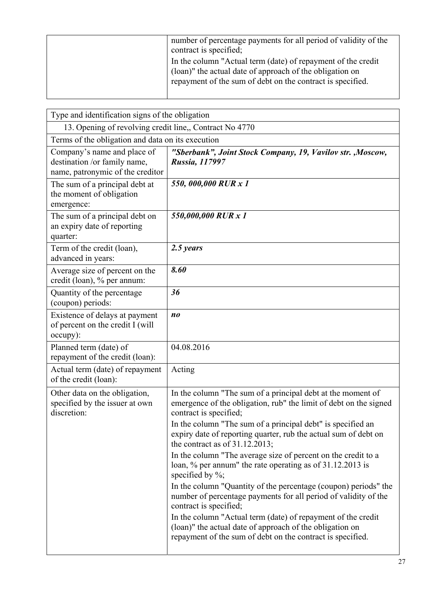| number of percentage payments for all period of validity of the<br>contract is specified;                                                                                              |
|----------------------------------------------------------------------------------------------------------------------------------------------------------------------------------------|
| In the column "Actual term (date) of repayment of the credit<br>(loan)" the actual date of approach of the obligation on<br>repayment of the sum of debt on the contract is specified. |

| Type and identification signs of the obligation                                                 |                                                                                                                                                                                        |
|-------------------------------------------------------------------------------------------------|----------------------------------------------------------------------------------------------------------------------------------------------------------------------------------------|
| 13. Opening of revolving credit line,, Contract No 4770                                         |                                                                                                                                                                                        |
| Terms of the obligation and data on its execution                                               |                                                                                                                                                                                        |
| Company's name and place of<br>destination /or family name,<br>name, patronymic of the creditor | "Sberbank", Joint Stock Company, 19, Vavilov str., Moscow,<br>Russia, 117997                                                                                                           |
| The sum of a principal debt at<br>the moment of obligation<br>emergence:                        | 550,000,000 RUR x 1                                                                                                                                                                    |
| The sum of a principal debt on<br>an expiry date of reporting<br>quarter:                       | 550,000,000 RUR x 1                                                                                                                                                                    |
| Term of the credit (loan),<br>advanced in years:                                                | 2.5 years                                                                                                                                                                              |
| Average size of percent on the<br>credit (loan), % per annum:                                   | 8.60                                                                                                                                                                                   |
| Quantity of the percentage<br>(coupon) periods:                                                 | 36                                                                                                                                                                                     |
| Existence of delays at payment<br>of percent on the credit I (will<br>occupy):                  | no                                                                                                                                                                                     |
| Planned term (date) of<br>repayment of the credit (loan):                                       | 04.08.2016                                                                                                                                                                             |
| Actual term (date) of repayment<br>of the credit (loan):                                        | Acting                                                                                                                                                                                 |
| Other data on the obligation,<br>specified by the issuer at own<br>discretion:                  | In the column "The sum of a principal debt at the moment of<br>emergence of the obligation, rub" the limit of debt on the signed<br>contract is specified;                             |
|                                                                                                 | In the column "The sum of a principal debt" is specified an<br>expiry date of reporting quarter, rub the actual sum of debt on<br>the contract as of $31.12.2013$ ;                    |
|                                                                                                 | In the column "The average size of percent on the credit to a<br>loan, % per annum" the rate operating as of 31.12.2013 is<br>specified by $\%$ ;                                      |
|                                                                                                 | In the column "Quantity of the percentage (coupon) periods" the<br>number of percentage payments for all period of validity of the<br>contract is specified;                           |
|                                                                                                 | In the column "Actual term (date) of repayment of the credit<br>(loan)" the actual date of approach of the obligation on<br>repayment of the sum of debt on the contract is specified. |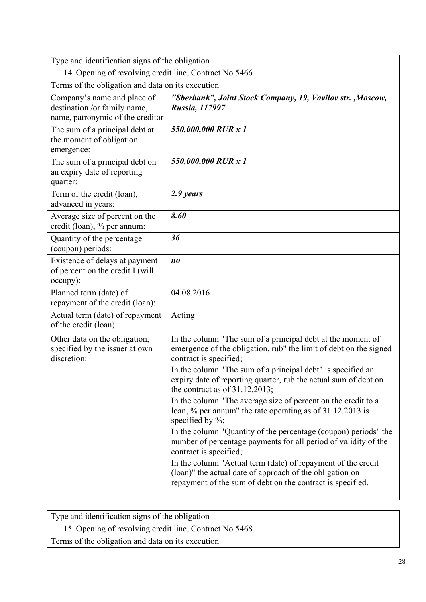| Type and identification signs of the obligation                                                 |                                                                                                                                                                                        |
|-------------------------------------------------------------------------------------------------|----------------------------------------------------------------------------------------------------------------------------------------------------------------------------------------|
| 14. Opening of revolving credit line, Contract No 5466                                          |                                                                                                                                                                                        |
| Terms of the obligation and data on its execution                                               |                                                                                                                                                                                        |
| Company's name and place of<br>destination /or family name,<br>name, patronymic of the creditor | "Sberbank", Joint Stock Company, 19, Vavilov str., Moscow,<br>Russia, 117997                                                                                                           |
| The sum of a principal debt at<br>the moment of obligation<br>emergence:                        | 550,000,000 RUR x 1                                                                                                                                                                    |
| The sum of a principal debt on<br>an expiry date of reporting<br>quarter:                       | 550,000,000 RUR x 1                                                                                                                                                                    |
| Term of the credit (loan),<br>advanced in years:                                                | 2.9 years                                                                                                                                                                              |
| Average size of percent on the<br>credit (loan), % per annum:                                   | 8.60                                                                                                                                                                                   |
| Quantity of the percentage<br>(coupon) periods:                                                 | 36                                                                                                                                                                                     |
| Existence of delays at payment<br>of percent on the credit I (will<br>occupy):                  | n <sub>0</sub>                                                                                                                                                                         |
| Planned term (date) of<br>repayment of the credit (loan):                                       | 04.08.2016                                                                                                                                                                             |
| Actual term (date) of repayment<br>of the credit (loan):                                        | Acting                                                                                                                                                                                 |
| Other data on the obligation,<br>specified by the issuer at own<br>discretion:                  | In the column "The sum of a principal debt at the moment of<br>emergence of the obligation, rub" the limit of debt on the signed<br>contract is specified;                             |
|                                                                                                 | In the column "The sum of a principal debt" is specified an<br>expiry date of reporting quarter, rub the actual sum of debt on<br>the contract as of $31.12.2013$ ;                    |
|                                                                                                 | In the column "The average size of percent on the credit to a<br>loan, % per annum" the rate operating as of 31.12.2013 is<br>specified by $\%$ ;                                      |
|                                                                                                 | In the column "Quantity of the percentage (coupon) periods" the<br>number of percentage payments for all period of validity of the<br>contract is specified;                           |
|                                                                                                 | In the column "Actual term (date) of repayment of the credit<br>(loan)" the actual date of approach of the obligation on<br>repayment of the sum of debt on the contract is specified. |

| Type and identification signs of the obligation        |
|--------------------------------------------------------|
| 15. Opening of revolving credit line, Contract No 5468 |
| Terms of the obligation and data on its execution      |
|                                                        |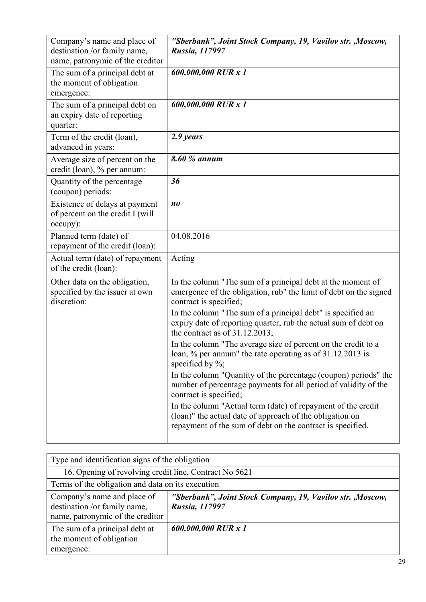| Company's name and place of<br>destination /or family name,<br>name, patronymic of the creditor | "Sberbank", Joint Stock Company, 19, Vavilov str., Moscow,<br><b>Russia, 117997</b>                                                                                                                                                                                                                                                                                                                                                                                                                                                                                                                                                                                                                                                                                                                                                              |
|-------------------------------------------------------------------------------------------------|--------------------------------------------------------------------------------------------------------------------------------------------------------------------------------------------------------------------------------------------------------------------------------------------------------------------------------------------------------------------------------------------------------------------------------------------------------------------------------------------------------------------------------------------------------------------------------------------------------------------------------------------------------------------------------------------------------------------------------------------------------------------------------------------------------------------------------------------------|
| The sum of a principal debt at<br>the moment of obligation<br>emergence:                        | 600,000,000 RUR x 1                                                                                                                                                                                                                                                                                                                                                                                                                                                                                                                                                                                                                                                                                                                                                                                                                              |
| The sum of a principal debt on<br>an expiry date of reporting<br>quarter:                       | 600,000,000 RUR x 1                                                                                                                                                                                                                                                                                                                                                                                                                                                                                                                                                                                                                                                                                                                                                                                                                              |
| Term of the credit (loan),<br>advanced in years:                                                | 2.9 years                                                                                                                                                                                                                                                                                                                                                                                                                                                                                                                                                                                                                                                                                                                                                                                                                                        |
| Average size of percent on the<br>credit (loan), % per annum:                                   | 8.60 % annum                                                                                                                                                                                                                                                                                                                                                                                                                                                                                                                                                                                                                                                                                                                                                                                                                                     |
| Quantity of the percentage<br>(coupon) periods:                                                 | 36                                                                                                                                                                                                                                                                                                                                                                                                                                                                                                                                                                                                                                                                                                                                                                                                                                               |
| Existence of delays at payment<br>of percent on the credit I (will<br>occupy):                  | n <sub>0</sub>                                                                                                                                                                                                                                                                                                                                                                                                                                                                                                                                                                                                                                                                                                                                                                                                                                   |
| Planned term (date) of<br>repayment of the credit (loan):                                       | 04.08.2016                                                                                                                                                                                                                                                                                                                                                                                                                                                                                                                                                                                                                                                                                                                                                                                                                                       |
| Actual term (date) of repayment<br>of the credit (loan):                                        | Acting                                                                                                                                                                                                                                                                                                                                                                                                                                                                                                                                                                                                                                                                                                                                                                                                                                           |
| Other data on the obligation,<br>specified by the issuer at own<br>discretion:                  | In the column "The sum of a principal debt at the moment of<br>emergence of the obligation, rub" the limit of debt on the signed<br>contract is specified;<br>In the column "The sum of a principal debt" is specified an<br>expiry date of reporting quarter, rub the actual sum of debt on<br>the contract as of $31.12.2013$ ;<br>In the column "The average size of percent on the credit to a<br>loan, % per annum" the rate operating as of 31.12.2013 is<br>specified by $\%$ ;<br>In the column "Quantity of the percentage (coupon) periods" the<br>number of percentage payments for all period of validity of the<br>contract is specified;<br>In the column "Actual term (date) of repayment of the credit<br>(loan)" the actual date of approach of the obligation on<br>repayment of the sum of debt on the contract is specified. |

| Type and identification signs of the obligation                                                 |                                                                              |
|-------------------------------------------------------------------------------------------------|------------------------------------------------------------------------------|
| 16. Opening of revolving credit line, Contract No 5621                                          |                                                                              |
| Terms of the obligation and data on its execution                                               |                                                                              |
| Company's name and place of<br>destination /or family name,<br>name, patronymic of the creditor | "Sberbank", Joint Stock Company, 19, Vavilov str., Moscow,<br>Russia, 117997 |
| The sum of a principal debt at<br>the moment of obligation<br>emergence:                        | 600,000,000 RUR x 1                                                          |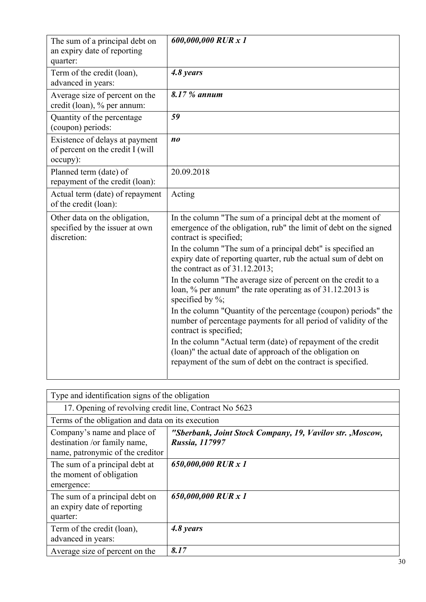| The sum of a principal debt on<br>an expiry date of reporting<br>quarter:      | 600,000,000 RUR x 1                                                                                                                                                                    |
|--------------------------------------------------------------------------------|----------------------------------------------------------------------------------------------------------------------------------------------------------------------------------------|
| Term of the credit (loan),<br>advanced in years:                               | 4.8 years                                                                                                                                                                              |
| Average size of percent on the<br>credit (loan), % per annum:                  | 8.17 % annum                                                                                                                                                                           |
| Quantity of the percentage<br>(coupon) periods:                                | 59                                                                                                                                                                                     |
| Existence of delays at payment<br>of percent on the credit I (will<br>occupy): | $n_{0}$                                                                                                                                                                                |
| Planned term (date) of<br>repayment of the credit (loan):                      | 20.09.2018                                                                                                                                                                             |
| Actual term (date) of repayment<br>of the credit (loan):                       | Acting                                                                                                                                                                                 |
| Other data on the obligation,<br>specified by the issuer at own<br>discretion: | In the column "The sum of a principal debt at the moment of<br>emergence of the obligation, rub" the limit of debt on the signed<br>contract is specified;                             |
|                                                                                | In the column "The sum of a principal debt" is specified an<br>expiry date of reporting quarter, rub the actual sum of debt on<br>the contract as of $31.12.2013$ ;                    |
|                                                                                | In the column "The average size of percent on the credit to a<br>loan, % per annum" the rate operating as of 31.12.2013 is<br>specified by $\%$ ;                                      |
|                                                                                | In the column "Quantity of the percentage (coupon) periods" the<br>number of percentage payments for all period of validity of the<br>contract is specified;                           |
|                                                                                | In the column "Actual term (date) of repayment of the credit<br>(loan)" the actual date of approach of the obligation on<br>repayment of the sum of debt on the contract is specified. |

| Type and identification signs of the obligation                                                 |                                                                             |
|-------------------------------------------------------------------------------------------------|-----------------------------------------------------------------------------|
| 17. Opening of revolving credit line, Contract No 5623                                          |                                                                             |
| Terms of the obligation and data on its execution                                               |                                                                             |
| Company's name and place of<br>destination /or family name,<br>name, patronymic of the creditor | "Sberbank, Joint Stock Company, 19, Vavilov str., Moscow,<br>Russia, 117997 |
| The sum of a principal debt at<br>the moment of obligation<br>emergence:                        | 650,000,000 RUR x 1                                                         |
| The sum of a principal debt on<br>an expiry date of reporting<br>quarter:                       | 650,000,000 RUR x 1                                                         |
| Term of the credit (loan),<br>advanced in years:                                                | 4.8 years                                                                   |
| Average size of percent on the                                                                  | 8.17                                                                        |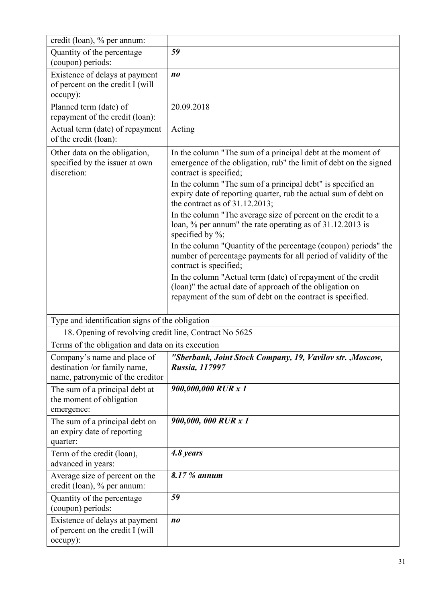| credit (loan), % per annum:                                                                     |                                                                                                                                                                                        |
|-------------------------------------------------------------------------------------------------|----------------------------------------------------------------------------------------------------------------------------------------------------------------------------------------|
| Quantity of the percentage<br>(coupon) periods:                                                 | 59                                                                                                                                                                                     |
| Existence of delays at payment<br>of percent on the credit I (will<br>occupy):                  | n <sub>0</sub>                                                                                                                                                                         |
| Planned term (date) of<br>repayment of the credit (loan):                                       | 20.09.2018                                                                                                                                                                             |
| Actual term (date) of repayment<br>of the credit (loan):                                        | Acting                                                                                                                                                                                 |
| Other data on the obligation,<br>specified by the issuer at own<br>discretion:                  | In the column "The sum of a principal debt at the moment of<br>emergence of the obligation, rub" the limit of debt on the signed<br>contract is specified;                             |
|                                                                                                 | In the column "The sum of a principal debt" is specified an<br>expiry date of reporting quarter, rub the actual sum of debt on<br>the contract as of $31.12.2013$ ;                    |
|                                                                                                 | In the column "The average size of percent on the credit to a<br>loan, % per annum" the rate operating as of 31.12.2013 is<br>specified by $\%$ ;                                      |
|                                                                                                 | In the column "Quantity of the percentage (coupon) periods" the<br>number of percentage payments for all period of validity of the<br>contract is specified;                           |
|                                                                                                 | In the column "Actual term (date) of repayment of the credit<br>(loan)" the actual date of approach of the obligation on<br>repayment of the sum of debt on the contract is specified. |
| Type and identification signs of the obligation                                                 |                                                                                                                                                                                        |
| 18. Opening of revolving credit line, Contract No 5625                                          |                                                                                                                                                                                        |
| Terms of the obligation and data on its execution                                               |                                                                                                                                                                                        |
| Company's name and place of<br>destination /or family name,<br>name, patronymic of the creditor | "Sberbank, Joint Stock Company, 19, Vavilov str., Moscow,<br>Russia, 117997                                                                                                            |
| The sum of a principal debt at<br>the moment of obligation<br>emergence:                        | 900,000,000 RUR x 1                                                                                                                                                                    |
| The sum of a principal debt on<br>an expiry date of reporting<br>quarter:                       | 900,000,000 RUR x 1                                                                                                                                                                    |
| Term of the credit (loan),<br>advanced in years:                                                | 4.8 years                                                                                                                                                                              |
| Average size of percent on the<br>credit (loan), % per annum:                                   | 8.17 % annum                                                                                                                                                                           |
| Quantity of the percentage<br>(coupon) periods:                                                 | 59                                                                                                                                                                                     |
| Existence of delays at payment<br>of percent on the credit I (will<br>occupy):                  | $n_{0}$                                                                                                                                                                                |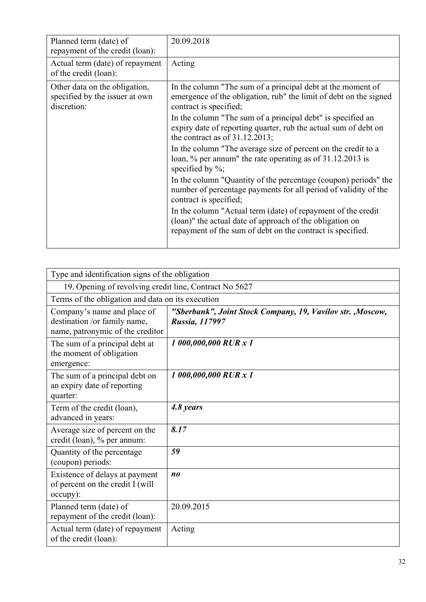| Planned term (date) of<br>repayment of the credit (loan):                      | 20.09.2018                                                                                                                                                                             |
|--------------------------------------------------------------------------------|----------------------------------------------------------------------------------------------------------------------------------------------------------------------------------------|
| Actual term (date) of repayment<br>of the credit (loan):                       | Acting                                                                                                                                                                                 |
| Other data on the obligation,<br>specified by the issuer at own<br>discretion: | In the column "The sum of a principal debt at the moment of<br>emergence of the obligation, rub" the limit of debt on the signed<br>contract is specified;                             |
|                                                                                | In the column "The sum of a principal debt" is specified an<br>expiry date of reporting quarter, rub the actual sum of debt on<br>the contract as of $31.12.2013$ ;                    |
|                                                                                | In the column "The average size of percent on the credit to a<br>loan, % per annum" the rate operating as of 31.12.2013 is<br>specified by $\%$ ;                                      |
|                                                                                | In the column "Quantity of the percentage (coupon) periods" the<br>number of percentage payments for all period of validity of the<br>contract is specified;                           |
|                                                                                | In the column "Actual term (date) of repayment of the credit<br>(loan)" the actual date of approach of the obligation on<br>repayment of the sum of debt on the contract is specified. |

| Type and identification signs of the obligation                                                 |                                                                              |
|-------------------------------------------------------------------------------------------------|------------------------------------------------------------------------------|
| 19. Opening of revolving credit line, Contract No 5627                                          |                                                                              |
| Terms of the obligation and data on its execution                                               |                                                                              |
| Company's name and place of<br>destination /or family name,<br>name, patronymic of the creditor | "Sberbank", Joint Stock Company, 19, Vavilov str., Moscow,<br>Russia, 117997 |
| The sum of a principal debt at<br>the moment of obligation<br>emergence:                        | 1 000,000,000 RUR x 1                                                        |
| The sum of a principal debt on<br>an expiry date of reporting<br>quarter:                       | 1 000,000,000 RUR x 1                                                        |
| Term of the credit (loan),<br>advanced in years:                                                | 4.8 years                                                                    |
| Average size of percent on the<br>credit (loan), % per annum:                                   | 8.17                                                                         |
| Quantity of the percentage<br>(coupon) periods:                                                 | 59                                                                           |
| Existence of delays at payment<br>of percent on the credit I (will<br>occupy):                  | n <sub>0</sub>                                                               |
| Planned term (date) of<br>repayment of the credit (loan):                                       | 20.09.2015                                                                   |
| Actual term (date) of repayment<br>of the credit (loan):                                        | Acting                                                                       |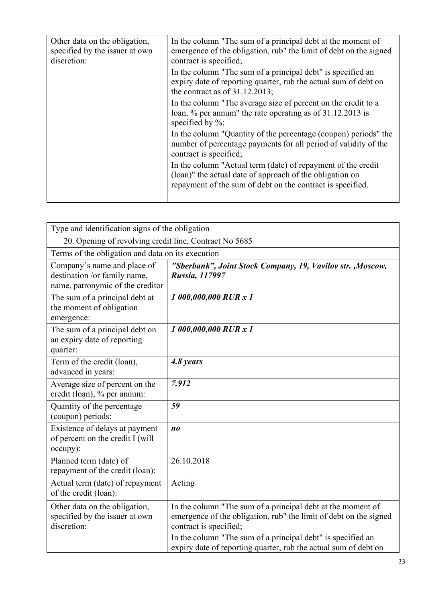| In the column "The sum of a principal debt at the moment of<br>emergence of the obligation, rub" the limit of debt on the signed<br>contract is specified;                             |
|----------------------------------------------------------------------------------------------------------------------------------------------------------------------------------------|
| In the column "The sum of a principal debt" is specified an<br>expiry date of reporting quarter, rub the actual sum of debt on<br>the contract as of $31.12.2013$ ;                    |
| In the column "The average size of percent on the credit to a<br>loan, % per annum" the rate operating as of 31.12.2013 is<br>specified by $\%$ ;                                      |
| In the column "Quantity of the percentage (coupon) periods" the<br>number of percentage payments for all period of validity of the<br>contract is specified;                           |
| In the column "Actual term (date) of repayment of the credit<br>(loan)" the actual date of approach of the obligation on<br>repayment of the sum of debt on the contract is specified. |
|                                                                                                                                                                                        |

| Type and identification signs of the obligation                                                 |                                                                                                                                                            |  |
|-------------------------------------------------------------------------------------------------|------------------------------------------------------------------------------------------------------------------------------------------------------------|--|
| 20. Opening of revolving credit line, Contract No 5685                                          |                                                                                                                                                            |  |
| Terms of the obligation and data on its execution                                               |                                                                                                                                                            |  |
| Company's name and place of<br>destination /or family name,<br>name, patronymic of the creditor | "Sberbank", Joint Stock Company, 19, Vavilov str., Moscow,<br>Russia, 117997                                                                               |  |
| The sum of a principal debt at<br>the moment of obligation<br>emergence:                        | 1 000,000,000 RUR x 1                                                                                                                                      |  |
| The sum of a principal debt on<br>an expiry date of reporting<br>quarter:                       | 1 000,000,000 RUR x 1                                                                                                                                      |  |
| Term of the credit (loan),<br>advanced in years:                                                | 4.8 years                                                                                                                                                  |  |
| Average size of percent on the<br>credit (loan), % per annum:                                   | 7.912                                                                                                                                                      |  |
| Quantity of the percentage<br>(coupon) periods:                                                 | 59                                                                                                                                                         |  |
| Existence of delays at payment<br>of percent on the credit I (will<br>occupy):                  | n <sub>0</sub>                                                                                                                                             |  |
| Planned term (date) of<br>repayment of the credit (loan):                                       | 26.10.2018                                                                                                                                                 |  |
| Actual term (date) of repayment<br>of the credit (loan):                                        | Acting                                                                                                                                                     |  |
| Other data on the obligation,<br>specified by the issuer at own<br>discretion:                  | In the column "The sum of a principal debt at the moment of<br>emergence of the obligation, rub" the limit of debt on the signed<br>contract is specified; |  |
|                                                                                                 | In the column "The sum of a principal debt" is specified an<br>expiry date of reporting quarter, rub the actual sum of debt on                             |  |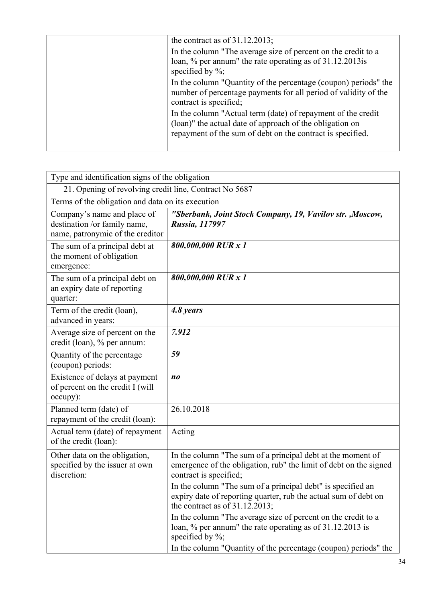| the contract as of $31.12.2013$ ;                                                                                                                                                      |
|----------------------------------------------------------------------------------------------------------------------------------------------------------------------------------------|
| In the column "The average size of percent on the credit to a<br>loan, % per annum" the rate operating as of 31.12.2013 is<br>specified by $\%$ ;                                      |
| In the column "Quantity of the percentage (coupon) periods" the<br>number of percentage payments for all period of validity of the<br>contract is specified;                           |
| In the column "Actual term (date) of repayment of the credit<br>(loan)" the actual date of approach of the obligation on<br>repayment of the sum of debt on the contract is specified. |
|                                                                                                                                                                                        |

| Type and identification signs of the obligation                                                 |                                                                                                                                                                                                                                                                                                                                   |  |
|-------------------------------------------------------------------------------------------------|-----------------------------------------------------------------------------------------------------------------------------------------------------------------------------------------------------------------------------------------------------------------------------------------------------------------------------------|--|
| 21. Opening of revolving credit line, Contract No 5687                                          |                                                                                                                                                                                                                                                                                                                                   |  |
| Terms of the obligation and data on its execution                                               |                                                                                                                                                                                                                                                                                                                                   |  |
| Company's name and place of<br>destination /or family name,<br>name, patronymic of the creditor | "Sberbank, Joint Stock Company, 19, Vavilov str., Moscow,<br><b>Russia, 117997</b>                                                                                                                                                                                                                                                |  |
| The sum of a principal debt at<br>the moment of obligation<br>emergence:                        | 800,000,000 RUR x 1                                                                                                                                                                                                                                                                                                               |  |
| The sum of a principal debt on<br>an expiry date of reporting<br>quarter:                       | 800,000,000 RUR x 1                                                                                                                                                                                                                                                                                                               |  |
| Term of the credit (loan),<br>advanced in years:                                                | 4.8 years                                                                                                                                                                                                                                                                                                                         |  |
| Average size of percent on the<br>credit (loan), % per annum:                                   | 7.912                                                                                                                                                                                                                                                                                                                             |  |
| Quantity of the percentage<br>(coupon) periods:                                                 | 59                                                                                                                                                                                                                                                                                                                                |  |
| Existence of delays at payment<br>of percent on the credit I (will<br>occupy):                  | $n_{0}$                                                                                                                                                                                                                                                                                                                           |  |
| Planned term (date) of<br>repayment of the credit (loan):                                       | 26.10.2018                                                                                                                                                                                                                                                                                                                        |  |
| Actual term (date) of repayment<br>of the credit (loan):                                        | Acting                                                                                                                                                                                                                                                                                                                            |  |
| Other data on the obligation,<br>specified by the issuer at own<br>discretion:                  | In the column "The sum of a principal debt at the moment of<br>emergence of the obligation, rub" the limit of debt on the signed<br>contract is specified;<br>In the column "The sum of a principal debt" is specified an<br>expiry date of reporting quarter, rub the actual sum of debt on<br>the contract as of $31.12.2013$ ; |  |
|                                                                                                 | In the column "The average size of percent on the credit to a<br>loan, % per annum" the rate operating as of 31.12.2013 is<br>specified by $\%$ ;<br>In the column "Quantity of the percentage (coupon) periods" the                                                                                                              |  |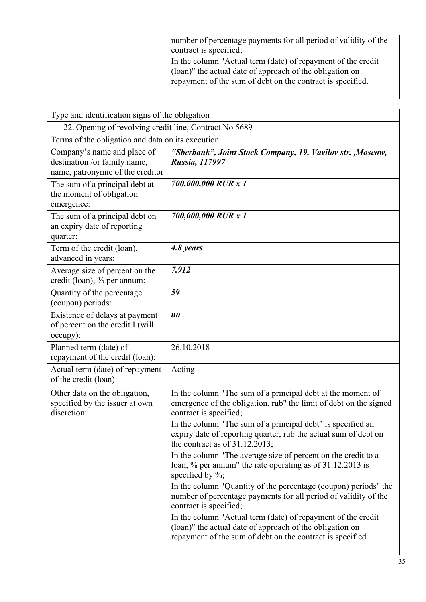| number of percentage payments for all period of validity of the<br>contract is specified;                                                                                              |
|----------------------------------------------------------------------------------------------------------------------------------------------------------------------------------------|
| In the column "Actual term (date) of repayment of the credit<br>(loan)" the actual date of approach of the obligation on<br>repayment of the sum of debt on the contract is specified. |

|                                                                                                 | Type and identification signs of the obligation                                                                                                                                        |  |  |
|-------------------------------------------------------------------------------------------------|----------------------------------------------------------------------------------------------------------------------------------------------------------------------------------------|--|--|
| 22. Opening of revolving credit line, Contract No 5689                                          |                                                                                                                                                                                        |  |  |
| Terms of the obligation and data on its execution                                               |                                                                                                                                                                                        |  |  |
| Company's name and place of<br>destination /or family name,<br>name, patronymic of the creditor | "Sberbank", Joint Stock Company, 19, Vavilov str., Moscow,<br>Russia, 117997                                                                                                           |  |  |
| The sum of a principal debt at<br>the moment of obligation<br>emergence:                        | 700,000,000 RUR x 1                                                                                                                                                                    |  |  |
| The sum of a principal debt on<br>an expiry date of reporting<br>quarter:                       | 700,000,000 RUR x 1                                                                                                                                                                    |  |  |
| Term of the credit (loan),<br>advanced in years:                                                | 4.8 years                                                                                                                                                                              |  |  |
| Average size of percent on the<br>credit (loan), % per annum:                                   | 7.912                                                                                                                                                                                  |  |  |
| Quantity of the percentage<br>(coupon) periods:                                                 | 59                                                                                                                                                                                     |  |  |
| Existence of delays at payment<br>of percent on the credit I (will<br>occupy):                  | n <sub>0</sub>                                                                                                                                                                         |  |  |
| Planned term (date) of<br>repayment of the credit (loan):                                       | 26.10.2018                                                                                                                                                                             |  |  |
| Actual term (date) of repayment<br>of the credit (loan):                                        | Acting                                                                                                                                                                                 |  |  |
| Other data on the obligation,<br>specified by the issuer at own<br>discretion:                  | In the column "The sum of a principal debt at the moment of<br>emergence of the obligation, rub" the limit of debt on the signed<br>contract is specified;                             |  |  |
|                                                                                                 | In the column "The sum of a principal debt" is specified an<br>expiry date of reporting quarter, rub the actual sum of debt on<br>the contract as of $31.12.2013$ ;                    |  |  |
|                                                                                                 | In the column "The average size of percent on the credit to a<br>loan, % per annum" the rate operating as of 31.12.2013 is<br>specified by $\%$ ;                                      |  |  |
|                                                                                                 | In the column "Quantity of the percentage (coupon) periods" the<br>number of percentage payments for all period of validity of the<br>contract is specified;                           |  |  |
|                                                                                                 | In the column "Actual term (date) of repayment of the credit<br>(loan)" the actual date of approach of the obligation on<br>repayment of the sum of debt on the contract is specified. |  |  |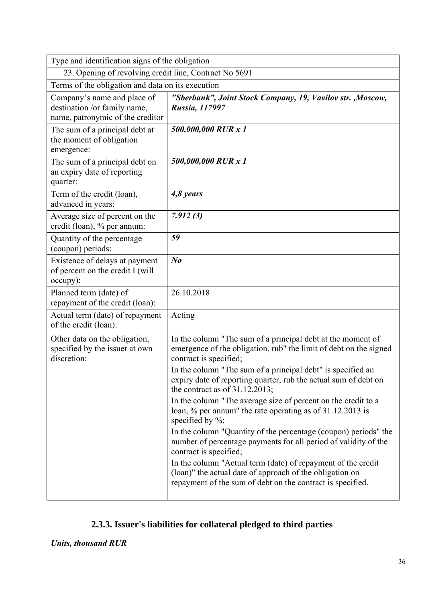| Type and identification signs of the obligation                                                 |                                                                                                                                                                                        |  |
|-------------------------------------------------------------------------------------------------|----------------------------------------------------------------------------------------------------------------------------------------------------------------------------------------|--|
| 23. Opening of revolving credit line, Contract No 5691                                          |                                                                                                                                                                                        |  |
| Terms of the obligation and data on its execution                                               |                                                                                                                                                                                        |  |
| Company's name and place of<br>destination /or family name,<br>name, patronymic of the creditor | "Sberbank", Joint Stock Company, 19, Vavilov str., Moscow,<br>Russia, 117997                                                                                                           |  |
| The sum of a principal debt at<br>the moment of obligation<br>emergence:                        | 500,000,000 RUR x 1                                                                                                                                                                    |  |
| The sum of a principal debt on<br>an expiry date of reporting<br>quarter:                       | 500,000,000 RUR x 1                                                                                                                                                                    |  |
| Term of the credit (loan),<br>advanced in years:                                                | 4,8 years                                                                                                                                                                              |  |
| Average size of percent on the<br>credit (loan), % per annum:                                   | 7.912(3)                                                                                                                                                                               |  |
| Quantity of the percentage<br>(coupon) periods:                                                 | 59                                                                                                                                                                                     |  |
| Existence of delays at payment<br>of percent on the credit I (will<br>occupy):                  | $N_{0}$                                                                                                                                                                                |  |
| Planned term (date) of<br>repayment of the credit (loan):                                       | 26.10.2018                                                                                                                                                                             |  |
| Actual term (date) of repayment<br>of the credit (loan):                                        | Acting                                                                                                                                                                                 |  |
| Other data on the obligation,<br>specified by the issuer at own<br>discretion:                  | In the column "The sum of a principal debt at the moment of<br>emergence of the obligation, rub" the limit of debt on the signed<br>contract is specified;                             |  |
|                                                                                                 | In the column "The sum of a principal debt" is specified an<br>expiry date of reporting quarter, rub the actual sum of debt on<br>the contract as of $31.12.2013$ ;                    |  |
|                                                                                                 | In the column "The average size of percent on the credit to a<br>loan, % per annum" the rate operating as of 31.12.2013 is<br>specified by $\%$ ;                                      |  |
|                                                                                                 | In the column "Quantity of the percentage (coupon) periods" the<br>number of percentage payments for all period of validity of the<br>contract is specified;                           |  |
|                                                                                                 | In the column "Actual term (date) of repayment of the credit<br>(loan)" the actual date of approach of the obligation on<br>repayment of the sum of debt on the contract is specified. |  |

# **2.3.3. Issuer's liabilities for collateral pledged to third parties**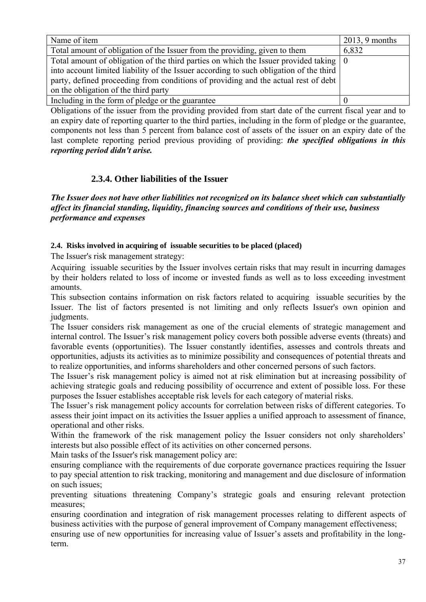| Name of item                                                                            | $2013, 9$ months |
|-----------------------------------------------------------------------------------------|------------------|
| Total amount of obligation of the Issuer from the providing, given to them              | 6,832            |
| Total amount of obligation of the third parties on which the Issuer provided taking   0 |                  |
| into account limited liability of the Issuer according to such obligation of the third  |                  |
| party, defined proceeding from conditions of providing and the actual rest of debt      |                  |
| on the obligation of the third party                                                    |                  |
| Including in the form of pledge or the guarantee                                        |                  |

Obligations of the issuer from the providing provided from start date of the current fiscal year and to an expiry date of reporting quarter to the third parties, including in the form of pledge or the guarantee, components not less than 5 percent from balance cost of assets of the issuer on an expiry date of the last complete reporting period previous providing of providing: *the specified obligations in this reporting period didn't arise.* 

# **2.3.4. Other liabilities of the Issuer**

*The Issuer does not have other liabilities not recognized on its balance sheet which can substantially affect its financial standing, liquidity, financing sources and conditions of their use, business performance and expenses* 

## **2.4. Risks involved in acquiring of issuable securities to be placed (placed)**

The Issuer's risk management strategy:

Acquiring issuable securities by the Issuer involves certain risks that may result in incurring damages by their holders related to loss of income or invested funds as well as to loss exceeding investment amounts.

This subsection contains information on risk factors related to acquiring issuable securities by the Issuer. The list of factors presented is not limiting and only reflects Issuer's own opinion and judgments.

The Issuer considers risk management as one of the crucial elements of strategic management and internal control. The Issuer's risk management policy covers both possible adverse events (threats) and favorable events (opportunities). The Issuer constantly identifies, assesses and controls threats and opportunities, adjusts its activities as to minimize possibility and consequences of potential threats and to realize opportunities, and informs shareholders and other concerned persons of such factors.

The Issuer's risk management policy is aimed not at risk elimination but at increasing possibility of achieving strategic goals and reducing possibility of occurrence and extent of possible loss. For these purposes the Issuer establishes acceptable risk levels for each category of material risks.

The Issuer's risk management policy accounts for correlation between risks of different categories. To assess their joint impact on its activities the Issuer applies a unified approach to assessment of finance, operational and other risks.

Within the framework of the risk management policy the Issuer considers not only shareholders' interests but also possible effect of its activities on other concerned persons.

Main tasks of the Issuer's risk management policy are:

ensuring compliance with the requirements of due corporate governance practices requiring the Issuer to pay special attention to risk tracking, monitoring and management and due disclosure of information on such issues;

preventing situations threatening Company's strategic goals and ensuring relevant protection measures;

ensuring coordination and integration of risk management processes relating to different aspects of business activities with the purpose of general improvement of Company management effectiveness;

ensuring use of new opportunities for increasing value of Issuer's assets and profitability in the longterm.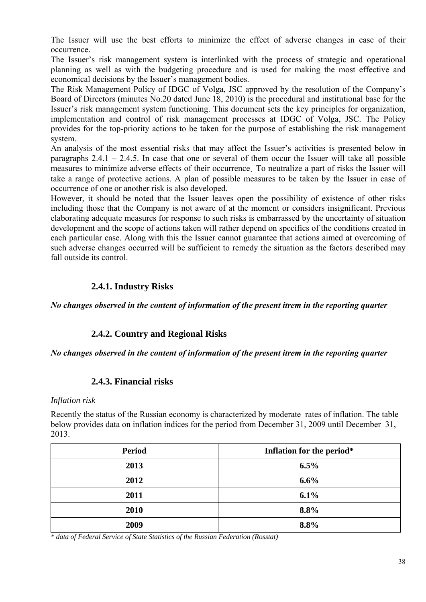The Issuer will use the best efforts to minimize the effect of adverse changes in case of their occurrence.

The Issuer's risk management system is interlinked with the process of strategic and operational planning as well as with the budgeting procedure and is used for making the most effective and economical decisions by the Issuer's management bodies.

The Risk Management Policy of IDGC of Volga, JSC approved by the resolution of the Company's Board of Directors (minutes No.20 dated June 18, 2010) is the procedural and institutional base for the Issuer's risk management system functioning. This document sets the key principles for organization, implementation and control of risk management processes at IDGC of Volga, JSC. The Policy provides for the top-priority actions to be taken for the purpose of establishing the risk management system.

An analysis of the most essential risks that may affect the Issuer's activities is presented below in paragraphs  $2.4.1 - 2.4.5$ . In case that one or several of them occur the Issuer will take all possible measures to minimize adverse effects of their occurrence. To neutralize a part of risks the Issuer will take a range of protective actions. A plan of possible measures to be taken by the Issuer in case of occurrence of one or another risk is also developed.

However, it should be noted that the Issuer leaves open the possibility of existence of other risks including those that the Company is not aware of at the moment or considers insignificant. Previous elaborating adequate measures for response to such risks is embarrassed by the uncertainty of situation development and the scope of actions taken will rather depend on specifics of the conditions created in each particular case. Along with this the Issuer cannot guarantee that actions aimed at overcoming of such adverse changes occurred will be sufficient to remedy the situation as the factors described may fall outside its control.

# **2.4.1. Industry Risks**

*No changes observed in the content of information of the present itrem in the reporting quarter* 

# **2.4.2. Country and Regional Risks**

*No changes observed in the content of information of the present itrem in the reporting quarter* 

### **2.4.3. Financial risks**

#### *Inflation risk*

Recently the status of the Russian economy is characterized by moderate rates of inflation. The table below provides data on inflation indices for the period from December 31, 2009 until December 31, 2013.

| <b>Period</b> | Inflation for the period* |  |
|---------------|---------------------------|--|
| 2013          | $6.5\%$                   |  |
| 2012          | $6.6\%$                   |  |
| 2011          | 6.1%                      |  |
| 2010          | 8.8%                      |  |
| 2009          | 8.8%                      |  |

*\* data of Federal Service of State Statistics of the Russian Federation (Rosstat)*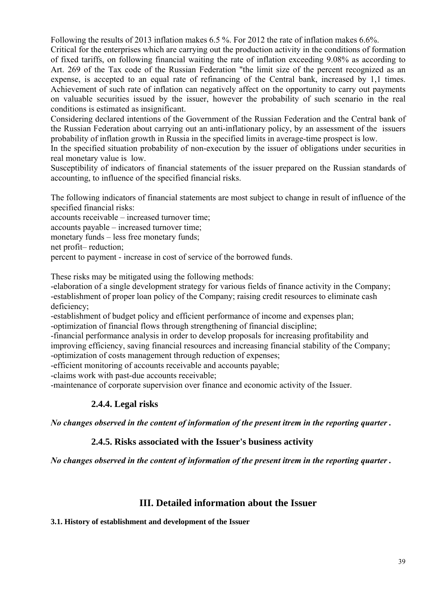Following the results of 2013 inflation makes 6.5 %. For 2012 the rate of inflation makes 6.6%.

Critical for the enterprises which are carrying out the production activity in the conditions of formation of fixed tariffs, on following financial waiting the rate of inflation exceeding 9.08% as according to Art. 269 of the Tax code of the Russian Federation "the limit size of the percent recognized as an expense, is accepted to an equal rate of refinancing of the Central bank, increased by 1,1 times. Achievement of such rate of inflation can negatively affect on the opportunity to carry out payments on valuable securities issued by the issuer, however the probability of such scenario in the real conditions is estimated as insignificant.

Considering declared intentions of the Government of the Russian Federation and the Central bank of the Russian Federation about carrying out an anti-inflationary policy, by an assessment of the issuers probability of inflation growth in Russia in the specified limits in average-time prospect is low.

In the specified situation probability of non-execution by the issuer of obligations under securities in real monetary value is low.

Susceptibility of indicators of financial statements of the issuer prepared on the Russian standards of accounting, to influence of the specified financial risks.

The following indicators of financial statements are most subject to change in result of influence of the specified financial risks:

accounts receivable – increased turnover time;

accounts payable – increased turnover time;

monetary funds – less free monetary funds;

net profit– reduction;

percent to payment - increase in cost of service of the borrowed funds.

These risks may be mitigated using the following methods:

-elaboration of a single development strategy for various fields of finance activity in the Company; -establishment of proper loan policy of the Company; raising credit resources to eliminate cash deficiency;

-establishment of budget policy and efficient performance of income and expenses plan; -optimization of financial flows through strengthening of financial discipline;

-financial performance analysis in order to develop proposals for increasing profitability and

improving efficiency, saving financial resources and increasing financial stability of the Company;

-optimization of costs management through reduction of expenses;

-efficient monitoring of accounts receivable and accounts payable;

-claims work with past-due accounts receivable;

-maintenance of corporate supervision over finance and economic activity of the Issuer.

# **2.4.4. Legal risks**

*No changes observed in the content of information of the present itrem in the reporting quarter .* 

# **2.4.5. Risks associated with the Issuer's business activity**

*No changes observed in the content of information of the present itrem in the reporting quarter .* 

# **III. Detailed information about the Issuer**

**3.1. History of establishment and development of the Issuer**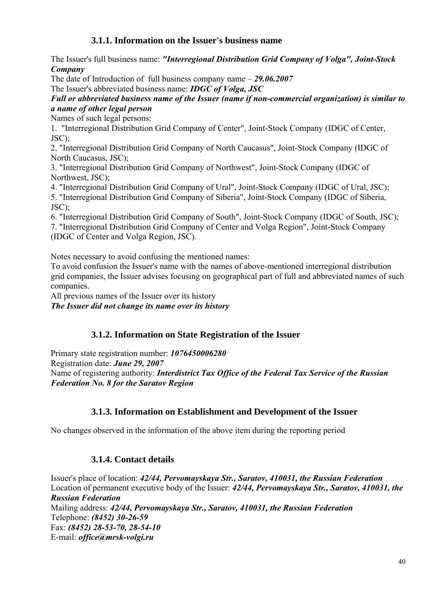# **3.1.1. Information on the Issuer's business name**

The Issuer's full business name: *"Interregional Distribution Grid Company of Volga", Joint-Stock Company* 

The date of Introduction of full business company name – *29.06.2007* 

The Issuer's abbreviated business name: *IDGC of Volga, JSC* 

## *Full or abbreviated business name of the Issuer (name if non-commercial organization) is similar to a name of other legal person*

Names of such legal persons:

1. "Interregional Distribution Grid Company of Center", Joint-Stock Company (IDGC of Center, JSC);

2. "Interregional Distribution Grid Company of North Caucasus", Joint-Stock Company (IDGC of North Caucasus, JSC);

3. "Interregional Distribution Grid Company of Northwest", Joint-Stock Company (IDGC of Northwest, JSC);

4. "Interregional Distribution Grid Company of Ural", Joint-Stock Company (IDGC of Ural, JSC);

5. "Interregional Distribution Grid Company of Siberia", Joint-Stock Company (IDGC of Siberia, JSC);

6. "Interregional Distribution Grid Company of South", Joint-Stock Company (IDGC of South, JSC); 7. "Interregional Distribution Grid Company of Center and Volga Region", Joint-Stock Company (IDGC of Center and Volga Region, JSC).

Notes necessary to avoid confusing the mentioned names:

To avoid confusion the Issuer's name with the names of above-mentioned interregional distribution grid companies, the Issuer advises focusing on geographical part of full and abbreviated names of such companies.

All previous names of the Issuer over its history

*The Issuer did not change its name over its history* 

# **3.1.2. Information on State Registration of the Issuer**

Primary state registration number: *1076450006280* 

Registration date: *June 29, 2007* 

Name of registering authority: *Interdistrict Tax Office of the Federal Tax Service of the Russian Federation No. 8 for the Saratov Region* 

# **3.1.3. Information on Establishment and Development of the Issuer**

No changes observed in the information of the above item during the reporting period

# **3.1.4. Contact details**

Issuer's place of location: *42/44, Pervomayskaya Str., Saratov, 410031, the Russian Federation*  Location of permanent executive body of the Issuer: *42/44, Pervomayskaya Str., Saratov, 410031, the Russian Federation*  Mailing address: *42/44, Pervomayskaya Str., Saratov, 410031, the Russian Federation*  Telephone: *(8452) 30-26-59*  Fax: *(8452) 28-53-70, 28-54-10*  E-mail: *office@mrsk-volgi.ru*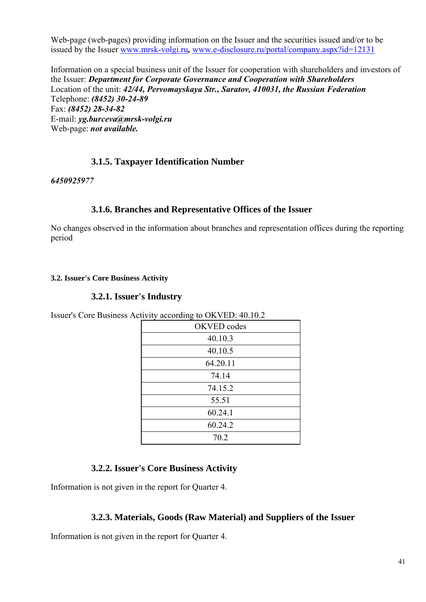Web-page (web-pages) providing information on the Issuer and the securities issued and/or to be issued by the Issuer www.mrsk-volgi.ru*,* www.e-disclosure.ru/portal/company.aspx?id=12131

Information on a special business unit of the Issuer for cooperation with shareholders and investors of the Issuer: *Department for Corporate Governance and Cooperation with Shareholders*  Location of the unit: *42/44, Pervomayskaya Str., Saratov, 410031, the Russian Federation*  Telephone: *(8452) 30-24-89*  Fax: *(8452) 28-34-82*  E-mail: *yg.burceva@mrsk-volgi.ru*  Web-page: *not available.* 

# **3.1.5. Taxpayer Identification Number**

*6450925977* 

### **3.1.6. Branches and Representative Offices of the Issuer**

No changes observed in the information about branches and representation offices during the reporting period

### **3.2. Issuer's Core Business Activity**

## **3.2.1. Issuer's Industry**

Issuer's Core Business Activity according to OKVED: 40.10.2

| OKVED codes |
|-------------|
| 40.10.3     |
| 40.10.5     |
| 64.20.11    |
| 74.14       |
| 74.15.2     |
| 55.51       |
| 60.24.1     |
| 60.24.2     |
| 70.2        |

# **3.2.2. Issuer's Core Business Activity**

Information is not given in the report for Quarter 4.

### **3.2.3. Materials, Goods (Raw Material) and Suppliers of the Issuer**

Information is not given in the report for Quarter 4.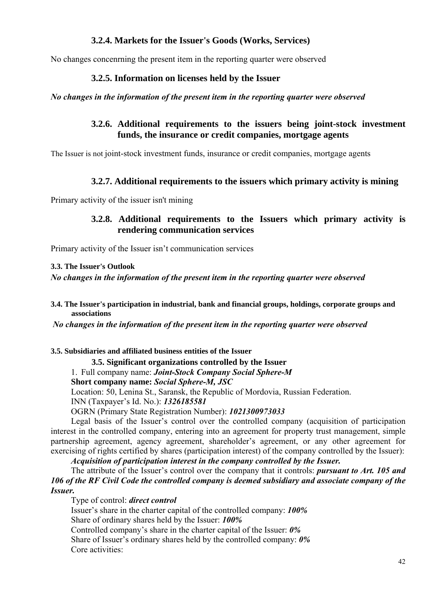# **3.2.4. Markets for the Issuer's Goods (Works, Services)**

No changes concenrning the present item in the reporting quarter were observed

## **3.2.5. Information on licenses held by the Issuer**

#### *No changes in the information of the present item in the reporting quarter were observed*

# **3.2.6. Additional requirements to the issuers being joint-stock investment funds, the insurance or credit companies, mortgage agents**

The Issuer is not joint-stock investment funds, insurance or credit companies, mortgage agents

# **3.2.7. Additional requirements to the issuers which primary activity is mining**

Primary activity of the issuer isn't mining

## **3.2.8. Additional requirements to the Issuers which primary activity is rendering communication services**

Primary activity of the Issuer isn't communication services

#### **3.3. The Issuer's Outlook**

*No changes in the information of the present item in the reporting quarter were observed* 

### **3.4. The Issuer's participation in industrial, bank and financial groups, holdings, corporate groups and associations**

 *No changes in the information of the present item in the reporting quarter were observed* 

#### **3.5. Subsidiaries and affiliated business entities of the Issuer**

**3.5. Significant organizations controlled by the Issuer** 

# 1. Full company name: *Joint-Stock Company Social Sphere-M*

### **Short company name:** *Social Sphere-M, JSC*

Location: 50, Lenina St., Saransk, the Republic of Mordovia, Russian Federation.

INN (Taxpayer's Id. No.): *1326185581*

OGRN (Primary State Registration Number): *1021300973033*

Legal basis of the Issuer's control over the controlled company (acquisition of participation interest in the controlled company, entering into an agreement for property trust management, simple partnership agreement, agency agreement, shareholder's agreement, or any other agreement for exercising of rights certified by shares (participation interest) of the company controlled by the Issuer):

*Acquisition of participation interest in the company controlled by the Issuer.*

The attribute of the Issuer's control over the company that it controls: *pursuant to Art. 105 and 106 of the RF Civil Code the controlled company is deemed subsidiary and associate company of the Issuer.*

Type of control: *direct control*

Issuer's share in the charter capital of the controlled company: *100%* Share of ordinary shares held by the Issuer: *100%*

Controlled company's share in the charter capital of the Issuer: *0%* Share of Issuer's ordinary shares held by the controlled company: *0%* Core activities: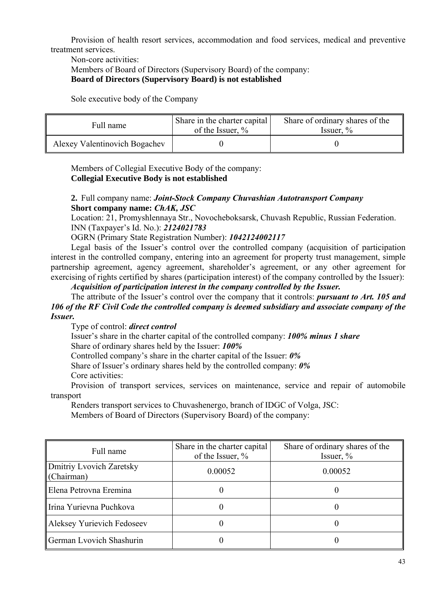Provision of health resort services, accommodation and food services, medical and preventive treatment services.

Non-core activities:

Members of Board of Directors (Supervisory Board) of the company:

**Board of Directors (Supervisory Board) is not established** 

Sole executive body of the Company

| Full name                     | Share in the charter capital<br>of the Issuer, $\%$ | Share of ordinary shares of the<br>Issuer, $\%$ |  |
|-------------------------------|-----------------------------------------------------|-------------------------------------------------|--|
| Alexey Valentinovich Bogachev |                                                     |                                                 |  |

Members of Collegial Executive Body of the company: **Collegial Executive Body is not established** 

### **2.** Full company name: *Joint-Stock Company Chuvashian Autotransport Company* **Short company name:** *ChAK, JSC*

Location: 21, Promyshlennaya Str., Novocheboksarsk, Chuvash Republic, Russian Federation. INN (Taxpayer's Id. No.): *2124021783*

OGRN (Primary State Registration Number): *1042124002117*

Legal basis of the Issuer's control over the controlled company (acquisition of participation interest in the controlled company, entering into an agreement for property trust management, simple partnership agreement, agency agreement, shareholder's agreement, or any other agreement for exercising of rights certified by shares (participation interest) of the company controlled by the Issuer):

### *Acquisition of participation interest in the company controlled by the Issuer.*

The attribute of the Issuer's control over the company that it controls: *pursuant to Art. 105 and 106 of the RF Civil Code the controlled company is deemed subsidiary and associate company of the Issuer.*

Type of control: *direct control*

Issuer's share in the charter capital of the controlled company: *100% minus 1 share* 

Share of ordinary shares held by the Issuer: *100%*

Controlled company's share in the charter capital of the Issuer: *0%*

Share of Issuer's ordinary shares held by the controlled company: *0%*

Core activities:

Provision of transport services, services on maintenance, service and repair of automobile transport

Renders transport services to Chuvashenergo, branch of IDGC of Volga, JSC:

Members of Board of Directors (Supervisory Board) of the company:

| Full name                              | Share in the charter capital<br>of the Issuer, % | Share of ordinary shares of the<br>Issuer, $\%$ |
|----------------------------------------|--------------------------------------------------|-------------------------------------------------|
| Dmitriy Lvovich Zaretsky<br>(Chairman) | 0.00052                                          | 0.00052                                         |
| Elena Petrovna Eremina                 |                                                  |                                                 |
| Irina Yurievna Puchkova                |                                                  |                                                 |
| Aleksey Yurievich Fedoseev             | 0                                                |                                                 |
| German Lyovich Shashurin               |                                                  |                                                 |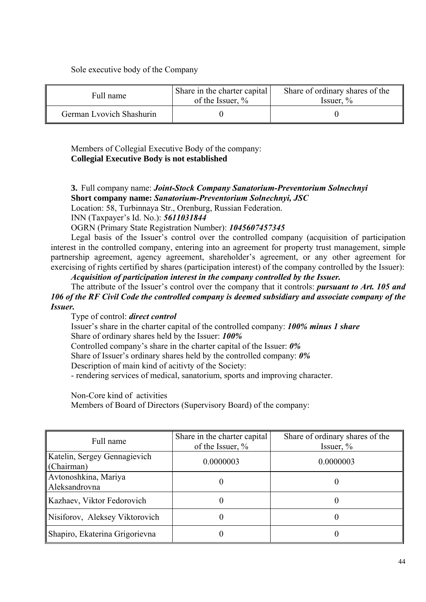### Sole executive body of the Company

| Full name                | Share in the charter capital<br>of the Issuer, $\%$ | Share of ordinary shares of the<br>Issuer, $\%$ |  |
|--------------------------|-----------------------------------------------------|-------------------------------------------------|--|
| German Lyovich Shashurin |                                                     |                                                 |  |

Members of Collegial Executive Body of the company: **Collegial Executive Body is not established** 

**3.** Full company name: *Joint-Stock Company Sanatorium-Preventorium Solnechnyi* **Short company name:** *Sanatorium-Preventorium Solnechnyi, JSC* Location: 58, Turbinnaya Str., Orenburg, Russian Federation.

INN (Taxpayer's Id. No.): *5611031844*

OGRN (Primary State Registration Number): *1045607457345*

Legal basis of the Issuer's control over the controlled company (acquisition of participation interest in the controlled company, entering into an agreement for property trust management, simple partnership agreement, agency agreement, shareholder's agreement, or any other agreement for exercising of rights certified by shares (participation interest) of the company controlled by the Issuer):

*Acquisition of participation interest in the company controlled by the Issuer.*

The attribute of the Issuer's control over the company that it controls: *pursuant to Art. 105 and 106 of the RF Civil Code the controlled company is deemed subsidiary and associate company of the Issuer.*

Type of control: *direct control*

Issuer's share in the charter capital of the controlled company: *100% minus 1 share*  Share of ordinary shares held by the Issuer: *100%*

Controlled company's share in the charter capital of the Issuer: *0%*

Share of Issuer's ordinary shares held by the controlled company: *0%*

Description of main kind of acitivty of the Society:

- rendering services of medical, sanatorium, sports and improving character.

Non-Core kind of activities

Members of Board of Directors (Supervisory Board) of the company:

| Full name                                  | Share in the charter capital<br>of the Issuer, % | Share of ordinary shares of the<br>Issuer, $\%$ |
|--------------------------------------------|--------------------------------------------------|-------------------------------------------------|
| Katelin, Sergey Gennagievich<br>(Chairman) | 0.0000003                                        | 0.0000003                                       |
| Avtonoshkina, Mariya<br>Aleksandrovna      | $\theta$                                         |                                                 |
| Kazhaev, Viktor Fedorovich                 |                                                  |                                                 |
| Nisiforov, Aleksey Viktorovich             |                                                  |                                                 |
| Shapiro, Ekaterina Grigorievna             |                                                  |                                                 |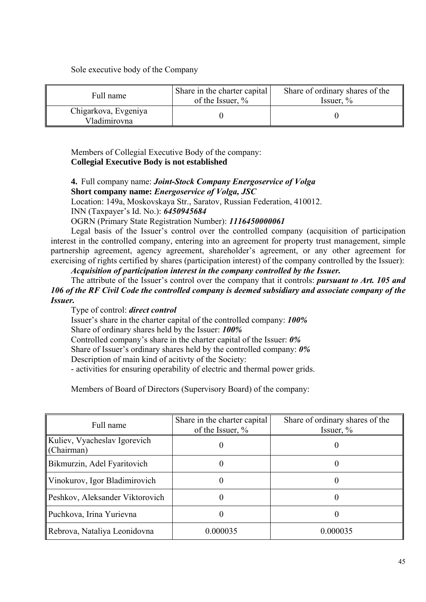Sole executive body of the Company

| Full name                            | Share in the charter capital<br>of the Issuer, $\%$ | Share of ordinary shares of the<br>Issuer, $\%$ |  |
|--------------------------------------|-----------------------------------------------------|-------------------------------------------------|--|
| Chigarkova, Evgeniya<br>Vladimirovna |                                                     |                                                 |  |

Members of Collegial Executive Body of the company: **Collegial Executive Body is not established** 

**4.** Full company name: *Joint-Stock Company Energoservice of Volga* **Short company name:** *Energoservice of Volga, JSC* Location: 149a, Moskovskaya Str., Saratov, Russian Federation, 410012. INN (Taxpayer's Id. No.): *6450945684*

OGRN (Primary State Registration Number): *1116450000061*

Legal basis of the Issuer's control over the controlled company (acquisition of participation interest in the controlled company, entering into an agreement for property trust management, simple partnership agreement, agency agreement, shareholder's agreement, or any other agreement for exercising of rights certified by shares (participation interest) of the company controlled by the Issuer):

*Acquisition of participation interest in the company controlled by the Issuer.*

The attribute of the Issuer's control over the company that it controls: *pursuant to Art. 105 and 106 of the RF Civil Code the controlled company is deemed subsidiary and associate company of the Issuer.*

Type of control: *direct control* Issuer's share in the charter capital of the controlled company: *100%*  Share of ordinary shares held by the Issuer: *100%* Controlled company's share in the charter capital of the Issuer: *0%* Share of Issuer's ordinary shares held by the controlled company: *0%* Description of main kind of acitivty of the Society:

- activities for ensuring operability of electric and thermal power grids.

Members of Board of Directors (Supervisory Board) of the company:

| Full name                                  | Share in the charter capital<br>of the Issuer, % | Share of ordinary shares of the<br>Issuer, $\%$ |
|--------------------------------------------|--------------------------------------------------|-------------------------------------------------|
| Kuliev, Vyacheslav Igorevich<br>(Chairman) |                                                  |                                                 |
| Bikmurzin, Adel Fyaritovich                |                                                  |                                                 |
| Vinokurov, Igor Bladimirovich              |                                                  |                                                 |
| Peshkov, Aleksander Viktorovich            |                                                  |                                                 |
| Puchkova, Irina Yurievna                   |                                                  |                                                 |
| Rebrova, Nataliya Leonidovna               | 0.000035                                         | 0.000035                                        |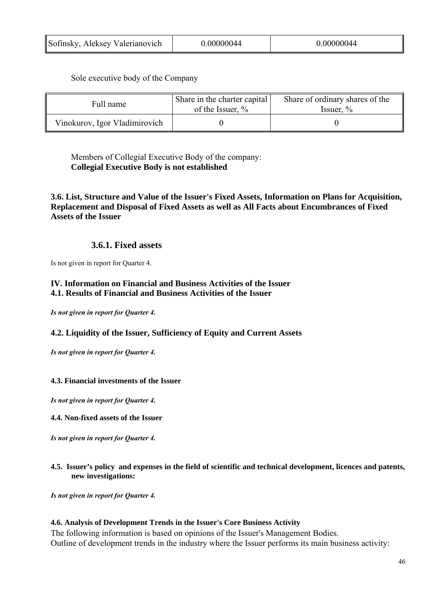Sole executive body of the Company

| Full name                     | Share in the charter capital<br>of the Issuer, $\%$ | Share of ordinary shares of the<br>Issuer, $\%$ |  |
|-------------------------------|-----------------------------------------------------|-------------------------------------------------|--|
| Vinokurov, Igor Vladimirovich |                                                     |                                                 |  |

Members of Collegial Executive Body of the company: **Collegial Executive Body is not established** 

**3.6. List, Structure and Value of the Issuer's Fixed Assets, Information on Plans for Acquisition, Replacement and Disposal of Fixed Assets as well as All Facts about Encumbrances of Fixed Assets of the Issuer** 

## **3.6.1. Fixed assets**

Is not given in report for Quarter 4.

### **IV. Information on Financial and Business Activities of the Issuer 4.1. Results of Financial and Business Activities of the Issuer**

*Is not given in report for Quarter 4.* 

### **4.2. Liquidity of the Issuer, Sufficiency of Equity and Current Assets**

*Is not given in report for Quarter 4.* 

#### **4.3. Financial investments of the Issuer**

*Is not given in report for Quarter 4.* 

**4.4. Non-fixed assets of the Issuer** 

*Is not given in report for Quarter 4.* 

#### **4.5. Issuer's policy and expenses in the field of scientific and technical development, licences and patents, new investigations:**

*Is not given in report for Quarter 4.* 

#### **4.6. Analysis of Development Trends in the Issuer's Core Business Activity**

The following information is based on opinions of the Issuer's Management Bodies. Outline of development trends in the industry where the Issuer performs its main business activity: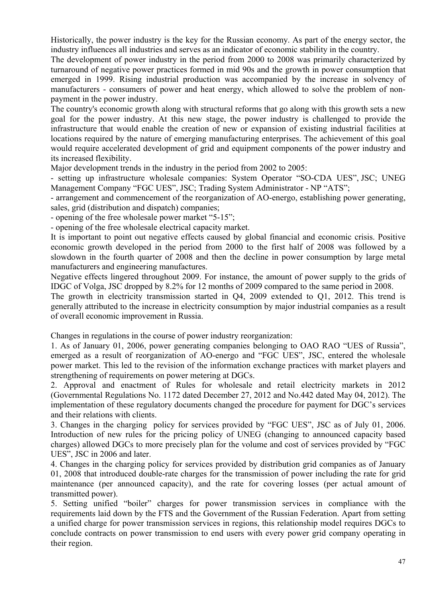Historically, the power industry is the key for the Russian economy. As part of the energy sector, the industry influences all industries and serves as an indicator of economic stability in the country.

The development of power industry in the period from 2000 to 2008 was primarily characterized by turnaround of negative power practices formed in mid 90s and the growth in power consumption that emerged in 1999. Rising industrial production was accompanied by the increase in solvency of manufacturers - consumers of power and heat energy, which allowed to solve the problem of nonpayment in the power industry.

The country's economic growth along with structural reforms that go along with this growth sets a new goal for the power industry. At this new stage, the power industry is challenged to provide the infrastructure that would enable the creation of new or expansion of existing industrial facilities at locations required by the nature of emerging manufacturing enterprises. The achievement of this goal would require accelerated development of grid and equipment components of the power industry and its increased flexibility.

Major development trends in the industry in the period from 2002 to 2005:

- setting up infrastructure wholesale companies: System Operator "SO-CDA UES", JSC; UNEG Management Company "FGC UES", JSC; Trading System Administrator - NP "ATS";

- arrangement and commencement of the reorganization of AO-energo, establishing power generating, sales, grid (distribution and dispatch) companies;

- opening of the free wholesale power market "5-15";

- opening of the free wholesale electrical capacity market.

It is important to point out negative effects caused by global financial and economic crisis. Positive economic growth developed in the period from 2000 to the first half of 2008 was followed by a slowdown in the fourth quarter of 2008 and then the decline in power consumption by large metal manufacturers and engineering manufactures.

Negative effects lingered throughout 2009. For instance, the amount of power supply to the grids of IDGC of Volga, JSC dropped by 8.2% for 12 months of 2009 compared to the same period in 2008.

The growth in electricity transmission started in Q4, 2009 extended to Q1, 2012. This trend is generally attributed to the increase in electricity consumption by major industrial companies as a result of overall economic improvement in Russia.

Changes in regulations in the course of power industry reorganization:

1. As of January 01, 2006, power generating companies belonging to OAO RAO "UES of Russia", emerged as a result of reorganization of AO-energo and "FGC UES", JSC, entered the wholesale power market. This led to the revision of the information exchange practices with market players and strengthening of requirements on power metering at DGCs.

2. Approval and enactment of Rules for wholesale and retail electricity markets in 2012 (Governmental Regulations No. 1172 dated December 27, 2012 and No.442 dated May 04, 2012). The implementation of these regulatory documents changed the procedure for payment for DGC's services and their relations with clients.

3. Changes in the charging policy for services provided by "FGC UES", JSC as of July 01, 2006. Introduction of new rules for the pricing policy of UNEG (changing to announced capacity based charges) allowed DGCs to more precisely plan for the volume and cost of services provided by "FGC UES", JSC in 2006 and later.

4. Changes in the charging policy for services provided by distribution grid companies as of January 01, 2008 that introduced double-rate charges for the transmission of power including the rate for grid maintenance (per announced capacity), and the rate for covering losses (per actual amount of transmitted power).

5. Setting unified "boiler" charges for power transmission services in compliance with the requirements laid down by the FTS and the Government of the Russian Federation. Apart from setting a unified charge for power transmission services in regions, this relationship model requires DGCs to conclude contracts on power transmission to end users with every power grid company operating in their region.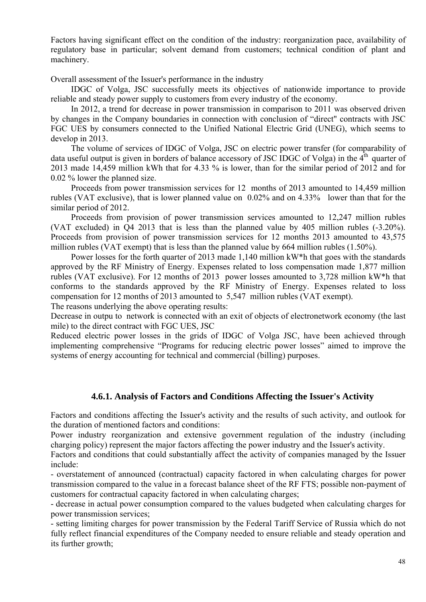Factors having significant effect on the condition of the industry: reorganization pace, availability of regulatory base in particular; solvent demand from customers; technical condition of plant and machinery.

Overall assessment of the Issuer's performance in the industry

IDGC of Volga, JSC successfully meets its objectives of nationwide importance to provide reliable and steady power supply to customers from every industry of the economy.

In 2012, a trend for decrease in power transmission in comparison to 2011 was observed driven by changes in the Company boundaries in connection with conclusion of "direct" contracts with JSC FGC UES by consumers connected to the Unified National Electric Grid (UNEG), which seems to develop in 2013.

The volume of services of IDGC of Volga, JSC on electric power transfer (for comparability of data useful output is given in borders of balance accessory of JSC IDGC of Volga) in the  $4<sup>th</sup>$  quarter of 2013 made 14,459 million kWh that for 4.33 % is lower, than for the similar period of 2012 and for 0.02 % lower the planned size.

Proceeds from power transmission services for 12 months of 2013 amounted to 14,459 million rubles (VAT exclusive), that is lower planned value on 0.02% and on 4.33% lower than that for the similar period of 2012.

Proceeds from provision of power transmission services amounted to 12,247 million rubles (VAT excluded) in Q4 2013 that is less than the planned value by 405 million rubles (-3.20%). Proceeds from provision of power transmission services for 12 months 2013 amounted to 43,575 million rubles (VAT exempt) that is less than the planned value by 664 million rubles (1.50%).

Power losses for the forth quarter of 2013 made 1,140 million kW\*h that goes with the standards approved by the RF Ministry of Energy. Expenses related to loss compensation made 1,877 million rubles (VAT exclusive). For 12 months of 2013 power losses amounted to 3,728 million kW\*h that conforms to the standards approved by the RF Ministry of Energy. Expenses related to loss compensation for 12 months of 2013 amounted to 5,547 million rubles (VAT exempt).

The reasons underlying the above operating results:

Decrease in outpu to network is connected with an exit of objects of electronetwork economy (the last mile) to the direct contract with FGC UES, JSC

Reduced electric power losses in the grids of IDGC of Volga JSC, have been achieved through implementing comprehensive "Programs for reducing electric power losses" aimed to improve the systems of energy accounting for technical and commercial (billing) purposes.

### **4.6.1. Analysis of Factors and Conditions Affecting the Issuer's Activity**

Factors and conditions affecting the Issuer's activity and the results of such activity, and outlook for the duration of mentioned factors and conditions:

Power industry reorganization and extensive government regulation of the industry (including charging policy) represent the major factors affecting the power industry and the Issuer's activity.

Factors and conditions that could substantially affect the activity of companies managed by the Issuer include:

- overstatement of announced (contractual) capacity factored in when calculating charges for power transmission compared to the value in a forecast balance sheet of the RF FTS; possible non-payment of customers for contractual capacity factored in when calculating charges;

- decrease in actual power consumption compared to the values budgeted when calculating charges for power transmission services;

- setting limiting charges for power transmission by the Federal Tariff Service of Russia which do not fully reflect financial expenditures of the Company needed to ensure reliable and steady operation and its further growth;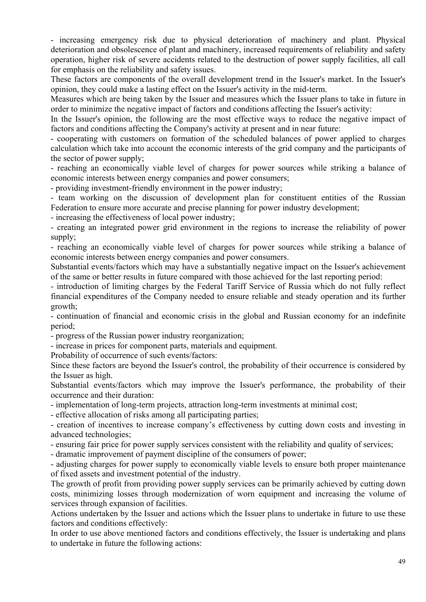- increasing emergency risk due to physical deterioration of machinery and plant. Physical deterioration and obsolescence of plant and machinery, increased requirements of reliability and safety operation, higher risk of severe accidents related to the destruction of power supply facilities, all call for emphasis on the reliability and safety issues.

These factors are components of the overall development trend in the Issuer's market. In the Issuer's opinion, they could make a lasting effect on the Issuer's activity in the mid-term.

Measures which are being taken by the Issuer and measures which the Issuer plans to take in future in order to minimize the negative impact of factors and conditions affecting the Issuer's activity:

In the Issuer's opinion, the following are the most effective ways to reduce the negative impact of factors and conditions affecting the Company's activity at present and in near future:

- cooperating with customers on formation of the scheduled balances of power applied to charges calculation which take into account the economic interests of the grid company and the participants of the sector of power supply;

- reaching an economically viable level of charges for power sources while striking a balance of economic interests between energy companies and power consumers;

- providing investment-friendly environment in the power industry;

- team working on the discussion of development plan for constituent entities of the Russian Federation to ensure more accurate and precise planning for power industry development;

- increasing the effectiveness of local power industry;

- creating an integrated power grid environment in the regions to increase the reliability of power supply;

- reaching an economically viable level of charges for power sources while striking a balance of economic interests between energy companies and power consumers.

Substantial events/factors which may have a substantially negative impact on the Issuer's achievement of the same or better results in future compared with those achieved for the last reporting period:

- introduction of limiting charges by the Federal Tariff Service of Russia which do not fully reflect financial expenditures of the Company needed to ensure reliable and steady operation and its further growth;

- continuation of financial and economic crisis in the global and Russian economy for an indefinite period;

- progress of the Russian power industry reorganization;

- increase in prices for component parts, materials and equipment.

Probability of occurrence of such events/factors:

Since these factors are beyond the Issuer's control, the probability of their occurrence is considered by the Issuer as high.

Substantial events/factors which may improve the Issuer's performance, the probability of their occurrence and their duration:

- implementation of long-term projects, attraction long-term investments at minimal cost;

- effective allocation of risks among all participating parties;

- creation of incentives to increase company's effectiveness by cutting down costs and investing in advanced technologies;

- ensuring fair price for power supply services consistent with the reliability and quality of services;

- dramatic improvement of payment discipline of the consumers of power;

- adjusting charges for power supply to economically viable levels to ensure both proper maintenance of fixed assets and investment potential of the industry.

The growth of profit from providing power supply services can be primarily achieved by cutting down costs, minimizing losses through modernization of worn equipment and increasing the volume of services through expansion of facilities.

Actions undertaken by the Issuer and actions which the Issuer plans to undertake in future to use these factors and conditions effectively:

In order to use above mentioned factors and conditions effectively, the Issuer is undertaking and plans to undertake in future the following actions: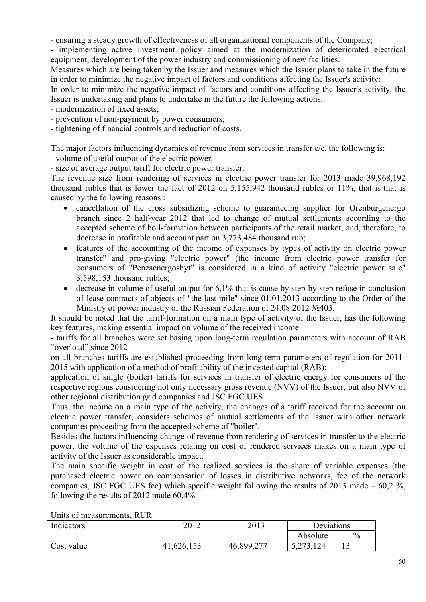- ensuring a steady growth of effectiveness of all organizational components of the Company;

- implementing active investment policy aimed at the modernization of deteriorated electrical equipment, development of the power industry and commissioning of new facilities.

Measures which are being taken by the Issuer and measures which the Issuer plans to take in the future in order to minimize the negative impact of factors and conditions affecting the Issuer's activity:

In order to minimize the negative impact of factors and conditions affecting the Issuer's activity, the Issuer is undertaking and plans to undertake in the future the following actions:

- modernization of fixed assets;

- prevention of non-payment by power consumers;

- tightening of financial controls and reduction of costs.

The major factors influencing dynamics of revenue from services in transfer e/e, the following is:

- volume of useful output of the electric power,

- size of average output tariff for electric power transfer.

The revenue size from rendering of services in electric power transfer for 2013 made 39,968,192 thousand rubles that is lower the fact of 2012 on 5,155,942 thousand rubles or 11%, that is that is caused by the following reasons :

- cancellation of the cross subsidizing scheme to guaranteeing supplier for Orenburgenergo branch since 2 half-year 2012 that led to change of mutual settlements according to the accepted scheme of boil-formation between participants of the retail market, and, therefore, to decrease in profitable and account part on 3,773,484 thousand rub;
- features of the accounting of the income of expenses by types of activity on electric power transfer" and pro-giving "electric power" (the income from electric power transfer for consumers of "Penzaenergosbyt" is considered in a kind of activity "electric power sale" 3,598,153 thousand rubles;
- $\bullet$  decrease in volume of useful output for 6,1% that is cause by step-by-step refuse in conclusion of lease contracts of objects of "the last mile" since 01.01.2013 according to the Order of the Ministry of power industry of the Russian Federation of 24.08.2012 №403.

It should be noted that the tariff-formation on a main type of activity of the Issuer, has the following key features, making essential impact on volume of the received income:

- tariffs for all branches were set basing upon long-term regulation parameters with account of RAB "overload" since 2012

on all branches tariffs are established proceeding from long-term parameters of regulation for 2011- 2015 with application of a method of profitability of the invested capital (RAB);

application of single (boiler) tariffs for services in transfer of electric energy for consumers of the respective regions considering not only necessary gross revenue (NVV) of the Issuer, but also NVV of other regional distribution grid companies and JSC FGC UES.

Thus, the income on a main type of the activity, the changes of a tariff received for the account on electric power transfer, considers schemes of mutual settlements of the Issuer with other network companies proceeding from the accepted scheme of "boiler".

Besides the factors influencing change of revenue from rendering of services in transfer to the electric power, the volume of the expenses relating on cost of rendered services makes on a main type of activity of the Issuer as considerable impact.

The main specific weight in cost of the realized services is the share of variable expenses (the purchased electric power on compensation of losses in distributive networks, fee of the network companies, JSC FGC UES fee) which specific weight following the results of 2013 made  $-60.2$  %, following the results of 2012 made 60,4%.

| Indicators | 2012           | 2013       | Deviations |               |
|------------|----------------|------------|------------|---------------|
|            |                |            | Absolute   | $\frac{0}{0}$ |
| Cost value | ,626,153<br>41 | 46,899,277 | 5,273,124  | <b>L</b>      |

Units of measurements, RUR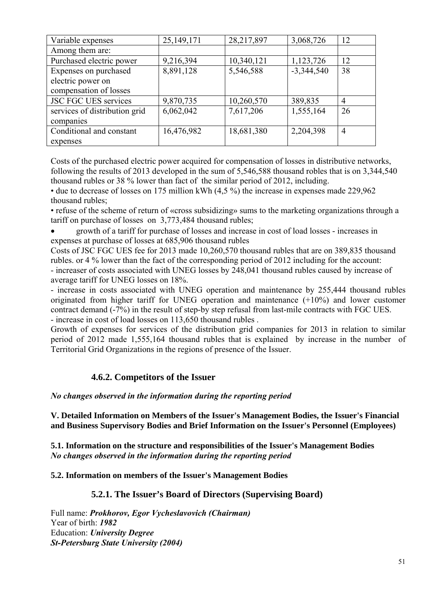| Variable expenses             | 25,149,171 | 28,217,897 | 3,068,726    | 12             |
|-------------------------------|------------|------------|--------------|----------------|
| Among them are:               |            |            |              |                |
| Purchased electric power      | 9,216,394  | 10,340,121 | 1,123,726    | 12             |
| Expenses on purchased         | 8,891,128  | 5,546,588  | $-3,344,540$ | 38             |
| electric power on             |            |            |              |                |
| compensation of losses        |            |            |              |                |
| <b>JSC FGC UES services</b>   | 9,870,735  | 10,260,570 | 389,835      | 4              |
| services of distribution grid | 6,062,042  | 7,617,206  | 1,555,164    | 26             |
| companies                     |            |            |              |                |
| Conditional and constant      | 16,476,982 | 18,681,380 | 2,204,398    | $\overline{4}$ |
| expenses                      |            |            |              |                |

Costs of the purchased electric power acquired for compensation of losses in distributive networks, following the results of 2013 developed in the sum of 5,546,588 thousand robles that is on 3,344,540 thousand rubles or 38 % lower than fact of the similar period of 2012, including.

• due to decrease of losses on 175 million kWh (4,5 %) the increase in expenses made 229,962 thousand rubles;

• refuse of the scheme of return of «cross subsidizing» sums to the marketing organizations through a tariff on purchase of losses on 3,773,484 thousand rubles;

 growth of a tariff for purchase of losses and increase in cost of load losses - increases in expenses at purchase of losses at 685,906 thousand rubles

Costs of JSC FGC UES fee for 2013 made 10,260,570 thousand rubles that are on 389,835 thousand rubles. or 4 % lower than the fact of the corresponding period of 2012 including for the account: - increaser of costs associated with UNEG losses by 248,041 thousand rubles caused by increase of average tariff for UNEG losses on 18%.

- increase in costs associated with UNEG operation and maintenance by 255,444 thousand rubles originated from higher tariff for UNEG operation and maintenance (+10%) and lower customer contract demand (-7%) in the result of step-by step refusal from last-mile contracts with FGC UES. - increase in cost of load losses on 113,650 thousand rubles .

Growth of expenses for services of the distribution grid companies for 2013 in relation to similar period of 2012 made 1,555,164 thousand rubles that is explained by increase in the number of Territorial Grid Organizations in the regions of presence of the Issuer.

# **4.6.2. Competitors of the Issuer**

### *No changes observed in the information during the reporting period*

**V. Detailed Information on Members of the Issuer's Management Bodies, the Issuer's Financial and Business Supervisory Bodies and Brief Information on the Issuer's Personnel (Employees)** 

**5.1. Information on the structure and responsibilities of the Issuer's Management Bodies**  *No changes observed in the information during the reporting period* 

### **5.2. Information on members of the Issuer's Management Bodies**

### **5.2.1. The Issuer's Board of Directors (Supervising Board)**

Full name: *Prokhorov, Egor Vycheslavovich (Chairman)*  Year of birth: *1982*  Education: *University Degree St-Petersburg State University (2004)*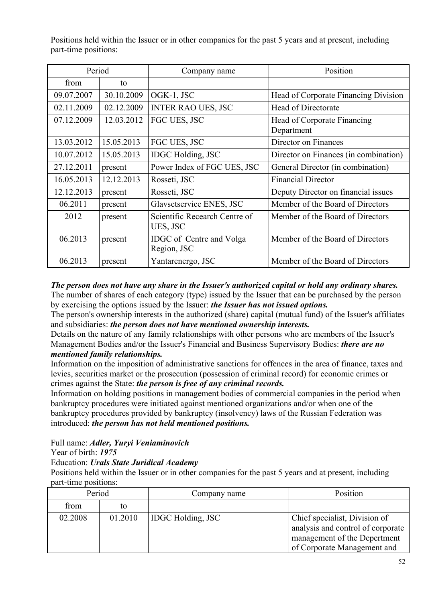Positions held within the Issuer or in other companies for the past 5 years and at present, including part-time positions:

| Period     |            | Company name                              | Position                                  |
|------------|------------|-------------------------------------------|-------------------------------------------|
| from       | to         |                                           |                                           |
| 09.07.2007 | 30.10.2009 | OGK-1, JSC                                | Head of Corporate Financing Division      |
| 02.11.2009 | 02.12.2009 | <b>INTER RAO UES, JSC</b>                 | Head of Directorate                       |
| 07.12.2009 | 12.03.2012 | FGC UES, JSC                              | Head of Corporate Financing<br>Department |
| 13.03.2012 | 15.05.2013 | FGC UES, JSC                              | Director on Finances                      |
| 10.07.2012 | 15.05.2013 | <b>IDGC</b> Holding, JSC                  | Director on Finances (in combination)     |
| 27.12.2011 | present    | Power Index of FGC UES, JSC               | General Director (in combination)         |
| 16.05.2013 | 12.12.2013 | Rosseti, JSC                              | <b>Financial Director</b>                 |
| 12.12.2013 | present    | Rosseti, JSC                              | Deputy Director on financial issues       |
| 06.2011    | present    | Glavsetservice ENES, JSC                  | Member of the Board of Directors          |
| 2012       | present    | Scientific Recearch Centre of<br>UES, JSC | Member of the Board of Directors          |
| 06.2013    | present    | IDGC of Centre and Volga<br>Region, JSC   | Member of the Board of Directors          |
| 06.2013    | present    | Yantarenergo, JSC                         | Member of the Board of Directors          |

*The person does not have any share in the Issuer's authorized capital or hold any ordinary shares.* 

The number of shares of each category (type) issued by the Issuer that can be purchased by the person by exercising the options issued by the Issuer: *the Issuer has not issued options.* 

The person's ownership interests in the authorized (share) capital (mutual fund) of the Issuer's affiliates and subsidiaries: *the person does not have mentioned ownership interests.* 

Details on the nature of any family relationships with other persons who are members of the Issuer's Management Bodies and/or the Issuer's Financial and Business Supervisory Bodies: *there are no mentioned family relationships.* 

Information on the imposition of administrative sanctions for offences in the area of finance, taxes and levies, securities market or the prosecution (possession of criminal record) for economic crimes or crimes against the State: *the person is free of any criminal records.* 

Information on holding positions in management bodies of commercial companies in the period when bankruptcy procedures were initiated against mentioned organizations and/or when one of the bankruptcy procedures provided by bankruptcy (insolvency) laws of the Russian Federation was introduced: *the person has not held mentioned positions.* 

Full name: *Adler, Yuryi Veniaminovich* 

Year of birth: *1975* 

Education: *Urals State Juridical Academy* 

Positions held within the Issuer or in other companies for the past 5 years and at present, including part-time positions:

| Period  |         | Company name             | Position                                                                                                                          |
|---------|---------|--------------------------|-----------------------------------------------------------------------------------------------------------------------------------|
| from    | to      |                          |                                                                                                                                   |
| 02.2008 | 01.2010 | <b>IDGC Holding, JSC</b> | Chief specialist, Division of<br>analysis and control of corporate<br>management of the Depertment<br>of Corporate Management and |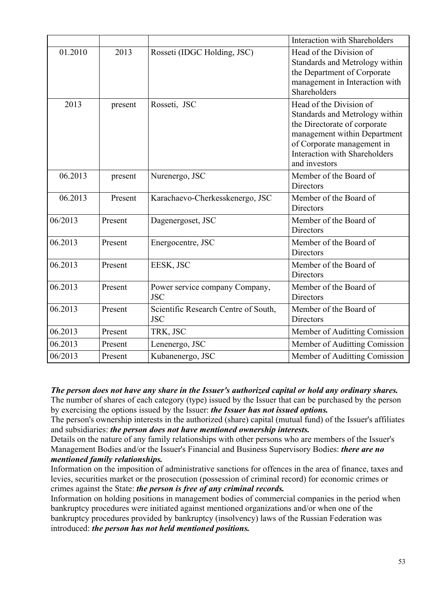|         |         |                                                    | <b>Interaction with Shareholders</b>                                                                                                                                                                             |
|---------|---------|----------------------------------------------------|------------------------------------------------------------------------------------------------------------------------------------------------------------------------------------------------------------------|
| 01.2010 | 2013    | Rosseti (IDGC Holding, JSC)                        | Head of the Division of<br>Standards and Metrology within<br>the Department of Corporate<br>management in Interaction with<br>Shareholders                                                                       |
| 2013    | present | Rosseti, JSC                                       | Head of the Division of<br>Standards and Metrology within<br>the Directorate of corporate<br>management within Department<br>of Corporate management in<br><b>Interaction with Shareholders</b><br>and investors |
| 06.2013 | present | Nurenergo, JSC                                     | Member of the Board of<br>Directors                                                                                                                                                                              |
| 06.2013 | Present | Karachaevo-Cherkesskenergo, JSC                    | Member of the Board of<br>Directors                                                                                                                                                                              |
| 06/2013 | Present | Dagenergoset, JSC                                  | Member of the Board of<br>Directors                                                                                                                                                                              |
| 06.2013 | Present | Energocentre, JSC                                  | Member of the Board of<br>Directors                                                                                                                                                                              |
| 06.2013 | Present | EESK, JSC                                          | Member of the Board of<br><b>Directors</b>                                                                                                                                                                       |
| 06.2013 | Present | Power service company Company,<br><b>JSC</b>       | Member of the Board of<br>Directors                                                                                                                                                                              |
| 06.2013 | Present | Scientific Research Centre of South,<br><b>JSC</b> | Member of the Board of<br><b>Directors</b>                                                                                                                                                                       |
| 06.2013 | Present | TRK, JSC                                           | Member of Auditting Comission                                                                                                                                                                                    |
| 06.2013 | Present | Lenenergo, JSC                                     | Member of Auditting Comission                                                                                                                                                                                    |
| 06/2013 | Present | Kubanenergo, JSC                                   | Member of Auditting Comission                                                                                                                                                                                    |

*The person does not have any share in the Issuer's authorized capital or hold any ordinary shares.*  The number of shares of each category (type) issued by the Issuer that can be purchased by the person by exercising the options issued by the Issuer: *the Issuer has not issued options.* 

The person's ownership interests in the authorized (share) capital (mutual fund) of the Issuer's affiliates and subsidiaries: *the person does not have mentioned ownership interests.* 

Details on the nature of any family relationships with other persons who are members of the Issuer's Management Bodies and/or the Issuer's Financial and Business Supervisory Bodies: *there are no mentioned family relationships.* 

Information on the imposition of administrative sanctions for offences in the area of finance, taxes and levies, securities market or the prosecution (possession of criminal record) for economic crimes or crimes against the State: *the person is free of any criminal records.* 

Information on holding positions in management bodies of commercial companies in the period when bankruptcy procedures were initiated against mentioned organizations and/or when one of the bankruptcy procedures provided by bankruptcy (insolvency) laws of the Russian Federation was introduced: *the person has not held mentioned positions.*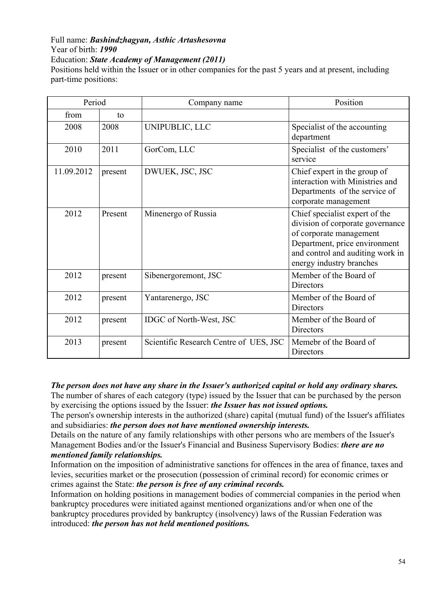#### Full name: *Bashindzhagyan, Asthic Artashesovna*  Year of birth: *1990*  Education: *State Academy of Management (2011)*

Positions held within the Issuer or in other companies for the past 5 years and at present, including part-time positions:

| Period     |         | Company name                           | Position                                                                                                                                                                                       |
|------------|---------|----------------------------------------|------------------------------------------------------------------------------------------------------------------------------------------------------------------------------------------------|
| from       | to      |                                        |                                                                                                                                                                                                |
| 2008       | 2008    | UNIPUBLIC, LLC                         | Specialist of the accounting<br>department                                                                                                                                                     |
| 2010       | 2011    | GorCom, LLC                            | Specialist of the customers'<br>service                                                                                                                                                        |
| 11.09.2012 | present | DWUEK, JSC, JSC                        | Chief expert in the group of<br>interaction with Ministries and<br>Departments of the service of<br>corporate management                                                                       |
| 2012       | Present | Minenergo of Russia                    | Chief specialist expert of the<br>division of corporate governance<br>of corporate management<br>Department, price environment<br>and control and auditing work in<br>energy industry branches |
| 2012       | present | Sibenergoremont, JSC                   | Member of the Board of<br><b>Directors</b>                                                                                                                                                     |
| 2012       | present | Yantarenergo, JSC                      | Member of the Board of<br><b>Directors</b>                                                                                                                                                     |
| 2012       | present | IDGC of North-West, JSC                | Member of the Board of<br><b>Directors</b>                                                                                                                                                     |
| 2013       | present | Scientific Research Centre of UES, JSC | Memebr of the Board of<br>Directors                                                                                                                                                            |

*The person does not have any share in the Issuer's authorized capital or hold any ordinary shares.* 

The number of shares of each category (type) issued by the Issuer that can be purchased by the person by exercising the options issued by the Issuer: *the Issuer has not issued options.* 

The person's ownership interests in the authorized (share) capital (mutual fund) of the Issuer's affiliates and subsidiaries: *the person does not have mentioned ownership interests.* 

Details on the nature of any family relationships with other persons who are members of the Issuer's Management Bodies and/or the Issuer's Financial and Business Supervisory Bodies: *there are no mentioned family relationships.* 

Information on the imposition of administrative sanctions for offences in the area of finance, taxes and levies, securities market or the prosecution (possession of criminal record) for economic crimes or crimes against the State: *the person is free of any criminal records.* 

Information on holding positions in management bodies of commercial companies in the period when bankruptcy procedures were initiated against mentioned organizations and/or when one of the bankruptcy procedures provided by bankruptcy (insolvency) laws of the Russian Federation was introduced: *the person has not held mentioned positions.*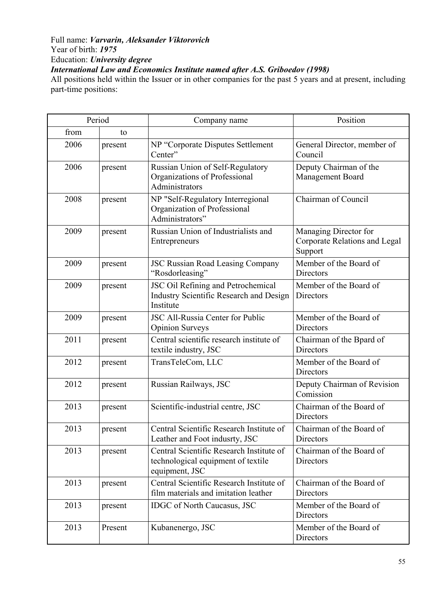## Full name: *Varvarin, Aleksander Viktorovich*  Year of birth: *1975*  Education: *University degree International Law and Economics Institute named after A.S. Griboedov (1998)*

All positions held within the Issuer or in other companies for the past 5 years and at present, including part-time positions:

|      | Period  | Company name                                                                                     | Position                                                          |
|------|---------|--------------------------------------------------------------------------------------------------|-------------------------------------------------------------------|
| from | to      |                                                                                                  |                                                                   |
| 2006 | present | NP "Corporate Disputes Settlement<br>Center"                                                     | General Director, member of<br>Council                            |
| 2006 | present | Russian Union of Self-Regulatory<br>Organizations of Professional<br>Administrators              | Deputy Chairman of the<br>Management Board                        |
| 2008 | present | NP "Self-Regulatory Interregional<br>Organization of Professional<br>Administrators"             | Chairman of Council                                               |
| 2009 | present | Russian Union of Industrialists and<br>Entrepreneurs                                             | Managing Director for<br>Corporate Relations and Legal<br>Support |
| 2009 | present | <b>JSC Russian Road Leasing Company</b><br>"Rosdorleasing"                                       | Member of the Board of<br><b>Directors</b>                        |
| 2009 | present | JSC Oil Refining and Petrochemical<br>Industry Scientific Research and Design<br>Institute       | Member of the Board of<br>Directors                               |
| 2009 | present | <b>JSC All-Russia Center for Public</b><br><b>Opinion Surveys</b>                                | Member of the Board of<br>Directors                               |
| 2011 | present | Central scientific research institute of<br>textile industry, JSC                                | Chairman of the Bpard of<br><b>Directors</b>                      |
| 2012 | present | TransTeleCom, LLC                                                                                | Member of the Board of<br>Directors                               |
| 2012 | present | Russian Railways, JSC                                                                            | Deputy Chairman of Revision<br>Comission                          |
| 2013 | present | Scientific-industrial centre, JSC                                                                | Chairman of the Board of<br><b>Directors</b>                      |
| 2013 | present | Central Scientific Research Institute of<br>Leather and Foot indusrty, JSC                       | Chairman of the Board of<br><b>Directors</b>                      |
| 2013 | present | Central Scientific Research Institute of<br>technological equipment of textile<br>equipment, JSC | Chairman of the Board of<br>Directors                             |
| 2013 | present | Central Scientific Research Institute of<br>film materials and imitation leather                 | Chairman of the Board of<br><b>Directors</b>                      |
| 2013 | present | <b>IDGC</b> of North Caucasus, JSC                                                               | Member of the Board of<br><b>Directors</b>                        |
| 2013 | Present | Kubanenergo, JSC                                                                                 | Member of the Board of<br>Directors                               |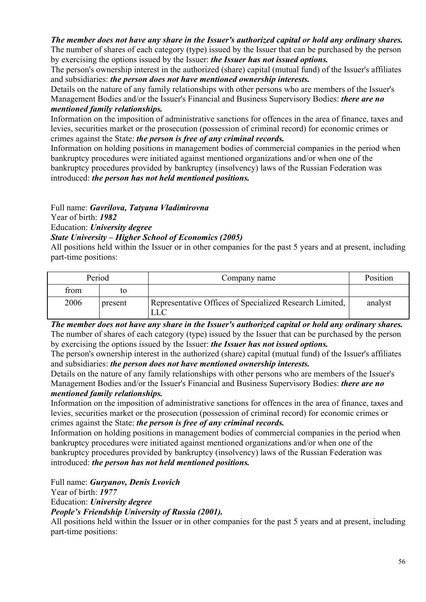#### *The member does not have any share in the Issuer's authorized capital or hold any ordinary shares.*  The number of shares of each category (type) issued by the Issuer that can be purchased by the person by exercising the options issued by the Issuer: *the Issuer has not issued options.*

The person's ownership interest in the authorized (share) capital (mutual fund) of the Issuer's affiliates and subsidiaries: *the person does not have mentioned ownership interests.* 

Details on the nature of any family relationships with other persons who are members of the Issuer's Management Bodies and/or the Issuer's Financial and Business Supervisory Bodies: *there are no mentioned family relationships.* 

Information on the imposition of administrative sanctions for offences in the area of finance, taxes and levies, securities market or the prosecution (possession of criminal record) for economic crimes or crimes against the State: *the person is free of any criminal records.* 

Information on holding positions in management bodies of commercial companies in the period when bankruptcy procedures were initiated against mentioned organizations and/or when one of the bankruptcy procedures provided by bankruptcy (insolvency) laws of the Russian Federation was introduced: *the person has not held mentioned positions.* 

Full name: *Gavrilova, Tatyana Vladimirovna* 

Year of birth: *1982* 

Education: *University degree* 

## *State University – Higher School of Economics (2005)*

All positions held within the Issuer or in other companies for the past 5 years and at present, including part-time positions:

| Period |         | Company name                                            | Position |
|--------|---------|---------------------------------------------------------|----------|
| from   |         |                                                         |          |
| 2006   | present | Representative Offices of Specialized Research Limited, | analyst  |

*The member does not have any share in the Issuer's authorized capital or hold any ordinary shares.*  The number of shares of each category (type) issued by the Issuer that can be purchased by the person by exercising the options issued by the Issuer: *the Issuer has not issued options.* 

The person's ownership interest in the authorized (share) capital (mutual fund) of the Issuer's affiliates and subsidiaries: *the person does not have mentioned ownership interests.* 

Details on the nature of any family relationships with other persons who are members of the Issuer's Management Bodies and/or the Issuer's Financial and Business Supervisory Bodies: *there are no mentioned family relationships.* 

Information on the imposition of administrative sanctions for offences in the area of finance, taxes and levies, securities market or the prosecution (possession of criminal record) for economic crimes or crimes against the State: *the person is free of any criminal records.* 

Information on holding positions in management bodies of commercial companies in the period when bankruptcy procedures were initiated against mentioned organizations and/or when one of the bankruptcy procedures provided by bankruptcy (insolvency) laws of the Russian Federation was introduced: *the person has not held mentioned positions.* 

Full name: *Guryanov, Denis Lvovich* 

Year of birth: *1977* 

Education: *University degree* 

### *People's Friendship University of Russia (2001).*

All positions held within the Issuer or in other companies for the past 5 years and at present, including part-time positions: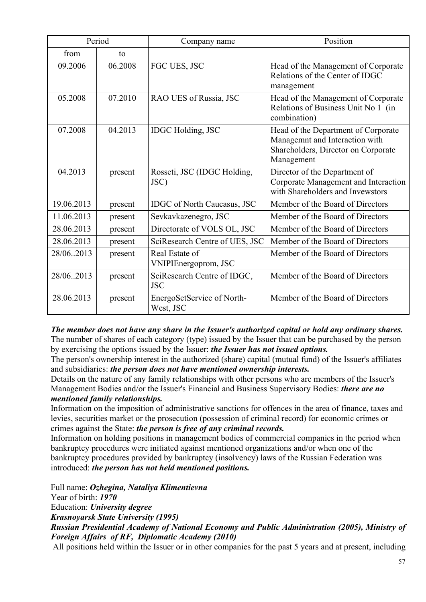| Period     |         | Company name                              | Position                                                                                                                   |
|------------|---------|-------------------------------------------|----------------------------------------------------------------------------------------------------------------------------|
| from       | to      |                                           |                                                                                                                            |
| 09.2006    | 06.2008 | FGC UES, JSC                              | Head of the Management of Corporate<br>Relations of the Center of IDGC<br>management                                       |
| 05.2008    | 07.2010 | RAO UES of Russia, JSC                    | Head of the Management of Corporate<br>Relations of Business Unit No 1 (in<br>combination)                                 |
| 07.2008    | 04.2013 | <b>IDGC</b> Holding, JSC                  | Head of the Department of Corporate<br>Managemnt and Interaction with<br>Shareholders, Director on Corporate<br>Management |
| 04.2013    | present | Rosseti, JSC (IDGC Holding,<br>JSC)       | Director of the Department of<br>Corporate Management and Interaction<br>with Shareholders and Invewstors                  |
| 19.06.2013 | present | <b>IDGC</b> of North Caucasus, JSC        | Member of the Board of Directors                                                                                           |
| 11.06.2013 | present | Sevkavkazenegro, JSC                      | Member of the Board of Directors                                                                                           |
| 28.06.2013 | present | Directorate of VOLS OL, JSC               | Member of the Board of Directors                                                                                           |
| 28.06.2013 | present | SciResearch Centre of UES, JSC            | Member of the Board of Directors                                                                                           |
| 28/06.2013 | present | Real Estate of<br>VNIPIEnergoprom, JSC    | Member of the Board of Directors                                                                                           |
| 28/06.2013 | present | SciResearch Centre of IDGC,<br><b>JSC</b> | Member of the Board of Directors                                                                                           |
| 28.06.2013 | present | EnergoSetService of North-<br>West, JSC   | Member of the Board of Directors                                                                                           |

*The member does not have any share in the Issuer's authorized capital or hold any ordinary shares.*  The number of shares of each category (type) issued by the Issuer that can be purchased by the person by exercising the options issued by the Issuer: *the Issuer has not issued options.* 

The person's ownership interest in the authorized (share) capital (mutual fund) of the Issuer's affiliates and subsidiaries: *the person does not have mentioned ownership interests.* 

Details on the nature of any family relationships with other persons who are members of the Issuer's Management Bodies and/or the Issuer's Financial and Business Supervisory Bodies: *there are no mentioned family relationships.* 

Information on the imposition of administrative sanctions for offences in the area of finance, taxes and levies, securities market or the prosecution (possession of criminal record) for economic crimes or crimes against the State: *the person is free of any criminal records.* 

Information on holding positions in management bodies of commercial companies in the period when bankruptcy procedures were initiated against mentioned organizations and/or when one of the bankruptcy procedures provided by bankruptcy (insolvency) laws of the Russian Federation was introduced: *the person has not held mentioned positions.* 

Full name: *Ozhegina, Nataliya Klimentievna* 

Year of birth: *1970* 

Education: *University degree* 

*Krasnoyarsk State University (1995)* 

*Russian Presidential Academy of National Economy and Public Administration (2005), Ministry of Foreign Affairs of RF, Diplomatic Academy (2010)* 

All positions held within the Issuer or in other companies for the past 5 years and at present, including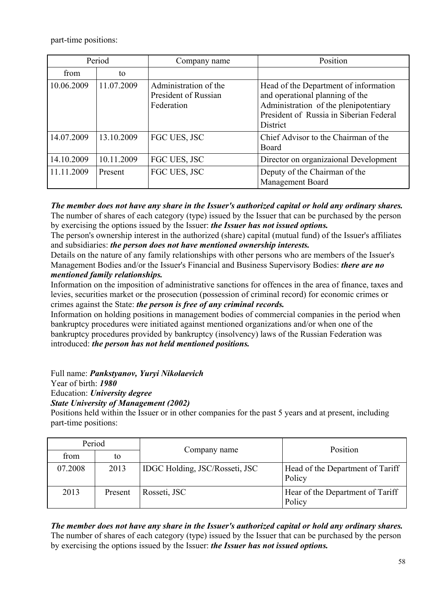part-time positions:

| Period     |            | Company name                                                | Position                                                                                                                                                                        |
|------------|------------|-------------------------------------------------------------|---------------------------------------------------------------------------------------------------------------------------------------------------------------------------------|
| from       | to         |                                                             |                                                                                                                                                                                 |
| 10.06.2009 | 11.07.2009 | Administration of the<br>President of Russian<br>Federation | Head of the Department of information<br>and operational planning of the<br>Administration of the plenipotentiary<br>President of Russia in Siberian Federal<br><b>District</b> |
| 14.07.2009 | 13.10.2009 | FGC UES, JSC                                                | Chief Advisor to the Chairman of the<br>Board                                                                                                                                   |
| 14.10.2009 | 10.11.2009 | FGC UES, JSC                                                | Director on organizational Development                                                                                                                                          |
| 11.11.2009 | Present    | FGC UES, JSC                                                | Deputy of the Chairman of the<br><b>Management Board</b>                                                                                                                        |

*The member does not have any share in the Issuer's authorized capital or hold any ordinary shares.*  The number of shares of each category (type) issued by the Issuer that can be purchased by the person by exercising the options issued by the Issuer: *the Issuer has not issued options.* 

The person's ownership interest in the authorized (share) capital (mutual fund) of the Issuer's affiliates and subsidiaries: *the person does not have mentioned ownership interests.* 

Details on the nature of any family relationships with other persons who are members of the Issuer's Management Bodies and/or the Issuer's Financial and Business Supervisory Bodies: *there are no mentioned family relationships.* 

Information on the imposition of administrative sanctions for offences in the area of finance, taxes and levies, securities market or the prosecution (possession of criminal record) for economic crimes or crimes against the State: *the person is free of any criminal records.* 

Information on holding positions in management bodies of commercial companies in the period when bankruptcy procedures were initiated against mentioned organizations and/or when one of the bankruptcy procedures provided by bankruptcy (insolvency) laws of the Russian Federation was introduced: *the person has not held mentioned positions.* 

Full name: *Pankstyanov, Yuryi Nikolaevich* 

Year of birth: *1980* 

Education: *University degree* 

*State University of Management (2002)* 

Positions held within the Issuer or in other companies for the past 5 years and at present, including part-time positions:

| Period  |         |                                | Position                                   |
|---------|---------|--------------------------------|--------------------------------------------|
| from    | to      | Company name                   |                                            |
| 07.2008 | 2013    | IDGC Holding, JSC/Rosseti, JSC | Head of the Department of Tariff<br>Policy |
| 2013    | Present | Rosseti, JSC                   | Hear of the Department of Tariff<br>Policy |

*The member does not have any share in the Issuer's authorized capital or hold any ordinary shares.*  The number of shares of each category (type) issued by the Issuer that can be purchased by the person by exercising the options issued by the Issuer: *the Issuer has not issued options.*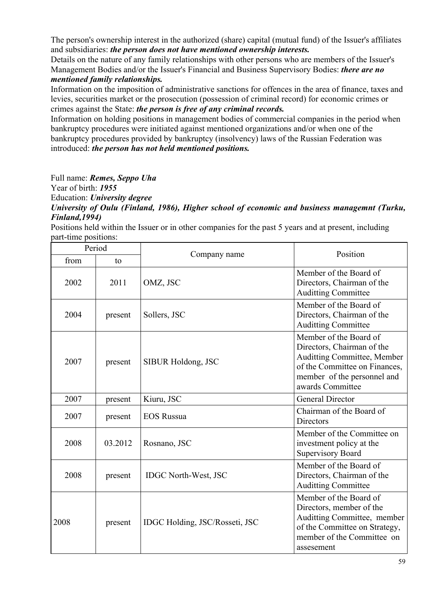The person's ownership interest in the authorized (share) capital (mutual fund) of the Issuer's affiliates and subsidiaries: *the person does not have mentioned ownership interests.* 

Details on the nature of any family relationships with other persons who are members of the Issuer's Management Bodies and/or the Issuer's Financial and Business Supervisory Bodies: *there are no mentioned family relationships.* 

Information on the imposition of administrative sanctions for offences in the area of finance, taxes and levies, securities market or the prosecution (possession of criminal record) for economic crimes or crimes against the State: *the person is free of any criminal records.* 

Information on holding positions in management bodies of commercial companies in the period when bankruptcy procedures were initiated against mentioned organizations and/or when one of the bankruptcy procedures provided by bankruptcy (insolvency) laws of the Russian Federation was introduced: *the person has not held mentioned positions.* 

Full name: *Remes, Seppo Uha*  Year of birth: *1955* 

Education: *University degree* 

*University of Oulu (Finland, 1986), Higher school of economic and business managemnt (Turku, Finland,1994)* 

Positions held within the Issuer or in other companies for the past 5 years and at present, including part-time positions:

| Period |         | Company name                   | Position                                                                                                                                                                |
|--------|---------|--------------------------------|-------------------------------------------------------------------------------------------------------------------------------------------------------------------------|
| from   | to      |                                |                                                                                                                                                                         |
| 2002   | 2011    | OMZ, JSC                       | Member of the Board of<br>Directors, Chairman of the<br><b>Auditting Committee</b>                                                                                      |
| 2004   | present | Sollers, JSC                   | Member of the Board of<br>Directors, Chairman of the<br><b>Auditting Committee</b>                                                                                      |
| 2007   | present | SIBUR Holdong, JSC             | Member of the Board of<br>Directors, Chairman of the<br>Auditting Committee, Member<br>of the Committee on Finances,<br>member of the personnel and<br>awards Committee |
| 2007   | present | Kiuru, JSC                     | <b>General Director</b>                                                                                                                                                 |
| 2007   | present | <b>EOS Russua</b>              | Chairman of the Board of<br><b>Directors</b>                                                                                                                            |
| 2008   | 03.2012 | Rosnano, JSC                   | Member of the Committee on<br>investment policy at the<br><b>Supervisory Board</b>                                                                                      |
| 2008   | present | <b>IDGC North-West, JSC</b>    | Member of the Board of<br>Directors, Chairman of the<br><b>Auditting Committee</b>                                                                                      |
| 2008   | present | IDGC Holding, JSC/Rosseti, JSC | Member of the Board of<br>Directors, member of the<br>Auditting Committee, member<br>of the Committee on Strategy,<br>member of the Committee on<br>assesement          |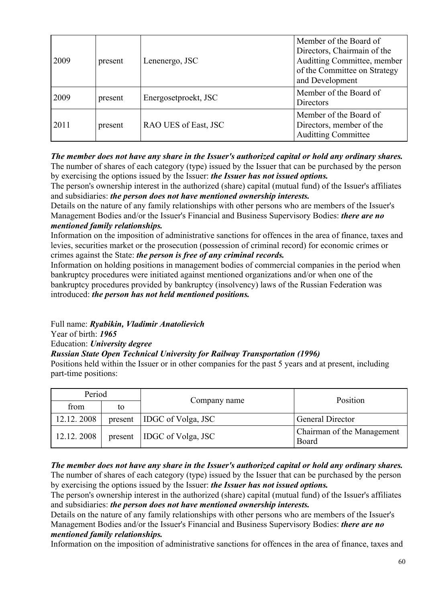| 2009 | present | Lenenergo, JSC       | Member of the Board of<br>Directors, Chairmain of the<br>Auditting Committee, member<br>of the Committee on Strategy<br>and Development |
|------|---------|----------------------|-----------------------------------------------------------------------------------------------------------------------------------------|
| 2009 | present | Energosetproekt, JSC | Member of the Board of<br><b>Directors</b>                                                                                              |
| 2011 | present | RAO UES of East, JSC | Member of the Board of<br>Directors, member of the<br><b>Auditing Committee</b>                                                         |

*The member does not have any share in the Issuer's authorized capital or hold any ordinary shares.*  The number of shares of each category (type) issued by the Issuer that can be purchased by the person by exercising the options issued by the Issuer: *the Issuer has not issued options.* 

The person's ownership interest in the authorized (share) capital (mutual fund) of the Issuer's affiliates and subsidiaries: *the person does not have mentioned ownership interests.* 

Details on the nature of any family relationships with other persons who are members of the Issuer's Management Bodies and/or the Issuer's Financial and Business Supervisory Bodies: *there are no mentioned family relationships.* 

Information on the imposition of administrative sanctions for offences in the area of finance, taxes and levies, securities market or the prosecution (possession of criminal record) for economic crimes or crimes against the State: *the person is free of any criminal records.* 

Information on holding positions in management bodies of commercial companies in the period when bankruptcy procedures were initiated against mentioned organizations and/or when one of the bankruptcy procedures provided by bankruptcy (insolvency) laws of the Russian Federation was introduced: *the person has not held mentioned positions.* 

Full name: *Ryabikin, Vladimir Anatolievich* 

Year of birth: *1965* 

Education: *University degree* 

### *Russian State Open Technical University for Railway Transportation (1996)*

Positions held within the Issuer or in other companies for the past 5 years and at present, including part-time positions:

| Period     |         |                           | Position                            |
|------------|---------|---------------------------|-------------------------------------|
| from       | to      | Company name              |                                     |
| 12.12.2008 | present | <b>IDGC</b> of Volga, JSC | <b>General Director</b>             |
| 12.12.2008 | present | <b>IDGC</b> of Volga, JSC | Chairman of the Management<br>Board |

*The member does not have any share in the Issuer's authorized capital or hold any ordinary shares.*  The number of shares of each category (type) issued by the Issuer that can be purchased by the person by exercising the options issued by the Issuer: *the Issuer has not issued options.* 

The person's ownership interest in the authorized (share) capital (mutual fund) of the Issuer's affiliates and subsidiaries: *the person does not have mentioned ownership interests.* 

Details on the nature of any family relationships with other persons who are members of the Issuer's Management Bodies and/or the Issuer's Financial and Business Supervisory Bodies: *there are no mentioned family relationships.* 

Information on the imposition of administrative sanctions for offences in the area of finance, taxes and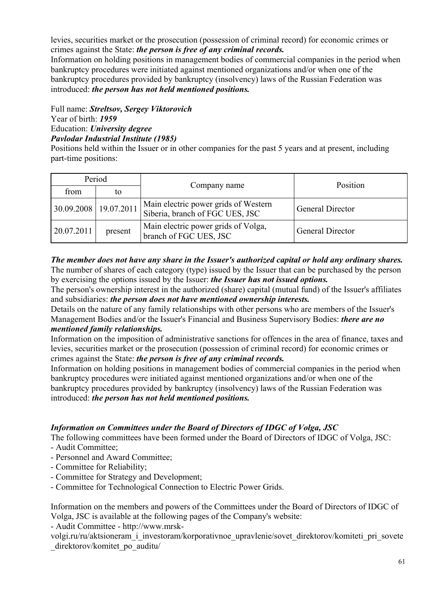levies, securities market or the prosecution (possession of criminal record) for economic crimes or crimes against the State: *the person is free of any criminal records.* 

Information on holding positions in management bodies of commercial companies in the period when bankruptcy procedures were initiated against mentioned organizations and/or when one of the bankruptcy procedures provided by bankruptcy (insolvency) laws of the Russian Federation was introduced: *the person has not held mentioned positions.* 

Full name: *Streltsov, Sergey Viktorovich* 

Year of birth: *1959* 

Education: *University degree* 

*Pavlodar Industrial Institute (1985)* 

Positions held within the Issuer or in other companies for the past 5 years and at present, including part-time positions:

| Period     |                         | Company name                                                            | Position                |
|------------|-------------------------|-------------------------------------------------------------------------|-------------------------|
| from       | to                      |                                                                         |                         |
|            | 30.09.2008   19.07.2011 | Main electric power grids of Western<br>Siberia, branch of FGC UES, JSC | <b>General Director</b> |
| 20.07.2011 | present                 | Main electric power grids of Volga,<br>branch of FGC UES, JSC           | <b>General Director</b> |

*The member does not have any share in the Issuer's authorized capital or hold any ordinary shares.*  The number of shares of each category (type) issued by the Issuer that can be purchased by the person by exercising the options issued by the Issuer: *the Issuer has not issued options.* 

The person's ownership interest in the authorized (share) capital (mutual fund) of the Issuer's affiliates and subsidiaries: *the person does not have mentioned ownership interests.* 

Details on the nature of any family relationships with other persons who are members of the Issuer's Management Bodies and/or the Issuer's Financial and Business Supervisory Bodies: *there are no mentioned family relationships.* 

Information on the imposition of administrative sanctions for offences in the area of finance, taxes and levies, securities market or the prosecution (possession of criminal record) for economic crimes or crimes against the State: *the person is free of any criminal records.* 

Information on holding positions in management bodies of commercial companies in the period when bankruptcy procedures were initiated against mentioned organizations and/or when one of the bankruptcy procedures provided by bankruptcy (insolvency) laws of the Russian Federation was introduced: *the person has not held mentioned positions.* 

### *Information on Committees under the Board of Directors of IDGC of Volga, JSC*

The following committees have been formed under the Board of Directors of IDGC of Volga, JSC:

- Audit Committee;

- Personnel and Award Committee;
- Committee for Reliability;
- Committee for Strategy and Development;
- Committee for Technological Connection to Electric Power Grids.

Information on the members and powers of the Committees under the Board of Directors of IDGC of Volga, JSC is available at the following pages of the Company's website:

- Audit Committee - http://www.mrsk-

volgi.ru/ru/aktsioneram\_i\_investoram/korporativnoe\_upravlenie/sovet\_direktorov/komiteti\_pri\_sovete direktorov/komitet po\_auditu/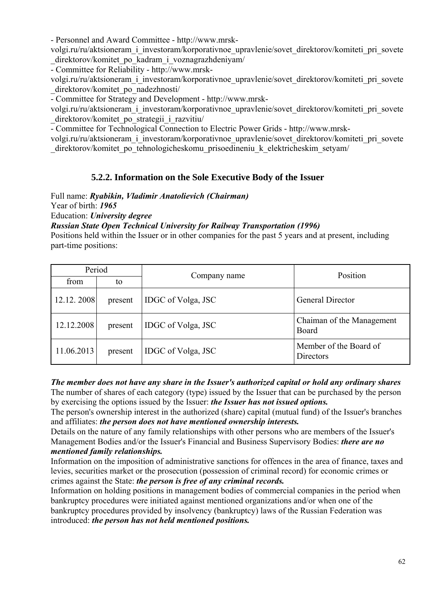- Personnel and Award Committee - http://www.mrsk-

volgi.ru/ru/aktsioneram\_i\_investoram/korporativnoe\_upravlenie/sovet\_direktorov/komiteti\_pri\_sovete \_direktorov/komitet\_po\_kadram\_i\_voznagrazhdeniyam/

- Committee for Reliability - http://www.mrsk-

volgi.ru/ru/aktsioneram\_i\_investoram/korporativnoe\_upravlenie/sovet\_direktorov/komiteti\_pri\_sovete direktorov/komitet po\_nadezhnosti/

- Committee for Strategy and Development - http://www.mrsk-

volgi.ru/ru/aktsioneram\_i\_investoram/korporativnoe\_upravlenie/sovet\_direktorov/komiteti\_pri\_sovete direktorov/komitet po strategii i razvitiu/

- Committee for Technological Connection to Electric Power Grids - http://www.mrsk-

volgi.ru/ru/aktsioneram\_i\_investoram/korporativnoe\_upravlenie/sovet\_direktorov/komiteti\_pri\_sovete direktorov/komitet po\_tehnologicheskomu\_prisoedineniu\_k\_elektricheskim\_setyam/

# **5.2.2. Information on the Sole Executive Body of the Issuer**

Full name: *Ryabikin, Vladimir Anatolievich (Chairman)* 

Year of birth: *1965* 

Education: *University degree* 

*Russian State Open Technical University for Railway Transportation (1996)* 

Positions held within the Issuer or in other companies for the past 5 years and at present, including part-time positions:

| Period     |         | Company name       | Position                            |
|------------|---------|--------------------|-------------------------------------|
| from       | to      |                    |                                     |
| 12.12.2008 | present | IDGC of Volga, JSC | <b>General Director</b>             |
| 12.12.2008 | present | IDGC of Volga, JSC | Chaiman of the Management<br>Board  |
| 11.06.2013 | present | IDGC of Volga, JSC | Member of the Board of<br>Directors |

*The member does not have any share in the Issuer's authorized capital or hold any ordinary shares*  The number of shares of each category (type) issued by the Issuer that can be purchased by the person by exercising the options issued by the Issuer: *the Issuer has not issued options.* 

The person's ownership interest in the authorized (share) capital (mutual fund) of the Issuer's branches and affiliates: *the person does not have mentioned ownership interests.* 

Details on the nature of any family relationships with other persons who are members of the Issuer's Management Bodies and/or the Issuer's Financial and Business Supervisory Bodies: *there are no mentioned family relationships.* 

Information on the imposition of administrative sanctions for offences in the area of finance, taxes and levies, securities market or the prosecution (possession of criminal record) for economic crimes or crimes against the State: *the person is free of any criminal records.* 

Information on holding positions in management bodies of commercial companies in the period when bankruptcy procedures were initiated against mentioned organizations and/or when one of the bankruptcy procedures provided by insolvency (bankruptcy) laws of the Russian Federation was introduced: *the person has not held mentioned positions.*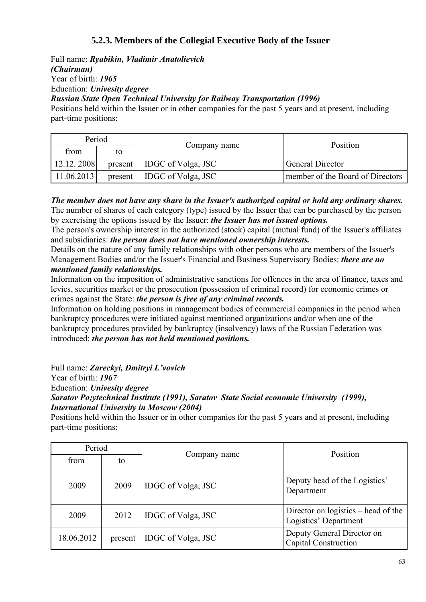# **5.2.3. Members of the Collegial Executive Body of the Issuer**

Full name: *Ryabikin, Vladimir Anatolievich (Chairman)*  Year of birth: *1965*  Education: *Univesity degree Russian State Open Technical University for Railway Transportation (1996)*  Positions held within the Issuer or in other companies for the past 5 years and at present, including

part-time positions:

| Period     |         |                           | Position                         |
|------------|---------|---------------------------|----------------------------------|
| from       | tο      | Company name              |                                  |
| 12.12.2008 | present | <b>IDGC</b> of Volga, JSC | <b>General Director</b>          |
| 11.06.2013 | present | <b>IDGC</b> of Volga, JSC | member of the Board of Directors |

*The member does not have any share in the Issuer's authorized capital or hold any ordinary shares.*  The number of shares of each category (type) issued by the Issuer that can be purchased by the person by exercising the options issued by the Issuer: *the Issuer has not issued options.* 

The person's ownership interest in the authorized (stock) capital (mutual fund) of the Issuer's affiliates and subsidiaries: *the person does not have mentioned ownership interests.* 

Details on the nature of any family relationships with other persons who are members of the Issuer's Management Bodies and/or the Issuer's Financial and Business Supervisory Bodies: *there are no mentioned family relationships.* 

Information on the imposition of administrative sanctions for offences in the area of finance, taxes and levies, securities market or the prosecution (possession of criminal record) for economic crimes or crimes against the State: *the person is free of any criminal records.* 

Information on holding positions in management bodies of commercial companies in the period when bankruptcy procedures were initiated against mentioned organizations and/or when one of the bankruptcy procedures provided by bankruptcy (insolvency) laws of the Russian Federation was introduced: *the person has not held mentioned positions.* 

Full name: *Zareckyi, Dmitryi L'vovich*  Year of birth: *1967*  Education: *Univesity degree Saratov Po;ytechnical Institute (1991), Saratov State Social economic University (1999), International University in Moscow (2004)* 

Positions held within the Issuer or in other companies for the past 5 years and at present, including part-time positions:

| Period     |         |                    | Position                                                     |
|------------|---------|--------------------|--------------------------------------------------------------|
| from       | to      | Company name       |                                                              |
| 2009       | 2009    | IDGC of Volga, JSC | Deputy head of the Logistics'<br>Department                  |
| 2009       | 2012    | IDGC of Volga, JSC | Director on logistics – head of the<br>Logistics' Department |
| 18.06.2012 | present | IDGC of Volga, JSC | Deputy General Director on<br><b>Capital Construction</b>    |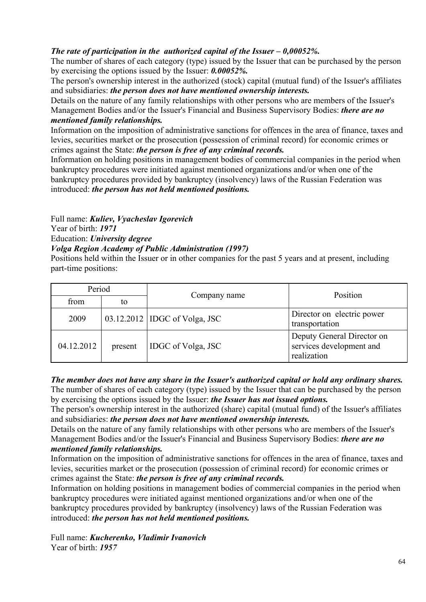## *The rate of participation in the authorized capital of the Issuer – 0,00052%.*

The number of shares of each category (type) issued by the Issuer that can be purchased by the person by exercising the options issued by the Issuer: *0.00052%.* 

The person's ownership interest in the authorized (stock) capital (mutual fund) of the Issuer's affiliates and subsidiaries: *the person does not have mentioned ownership interests.* 

Details on the nature of any family relationships with other persons who are members of the Issuer's Management Bodies and/or the Issuer's Financial and Business Supervisory Bodies: *there are no mentioned family relationships.* 

Information on the imposition of administrative sanctions for offences in the area of finance, taxes and levies, securities market or the prosecution (possession of criminal record) for economic crimes or crimes against the State: *the person is free of any criminal records.* 

Information on holding positions in management bodies of commercial companies in the period when bankruptcy procedures were initiated against mentioned organizations and/or when one of the bankruptcy procedures provided by bankruptcy (insolvency) laws of the Russian Federation was introduced: *the person has not held mentioned positions.* 

Full name: *Kuliev, Vyacheslav Igorevich* 

Year of birth: *1971* 

Education: *University degree* 

### *Volga Region Academy of Public Administration (1997)*

Positions held within the Issuer or in other companies for the past 5 years and at present, including part-time positions:

| Period     |         |                                 | Position                                                              |
|------------|---------|---------------------------------|-----------------------------------------------------------------------|
| from       | to      | Company name                    |                                                                       |
| 2009       |         | 03.12.2012   IDGC of Volga, JSC | Director on electric power<br>transportation                          |
| 04.12.2012 | present | IDGC of Volga, JSC              | Deputy General Director on<br>services development and<br>realization |

#### *The member does not have any share in the Issuer's authorized capital or hold any ordinary shares.*  The number of shares of each category (type) issued by the Issuer that can be purchased by the person by exercising the options issued by the Issuer: *the Issuer has not issued options.*

The person's ownership interest in the authorized (share) capital (mutual fund) of the Issuer's affiliates and subsidiaries: *the person does not have mentioned ownership interests.* 

Details on the nature of any family relationships with other persons who are members of the Issuer's Management Bodies and/or the Issuer's Financial and Business Supervisory Bodies: *there are no mentioned family relationships.* 

Information on the imposition of administrative sanctions for offences in the area of finance, taxes and levies, securities market or the prosecution (possession of criminal record) for economic crimes or crimes against the State: *the person is free of any criminal records.* 

Information on holding positions in management bodies of commercial companies in the period when bankruptcy procedures were initiated against mentioned organizations and/or when one of the bankruptcy procedures provided by bankruptcy (insolvency) laws of the Russian Federation was introduced: *the person has not held mentioned positions.* 

Full name: *Kucherenko, Vladimir Ivanovich*  Year of birth: *1957*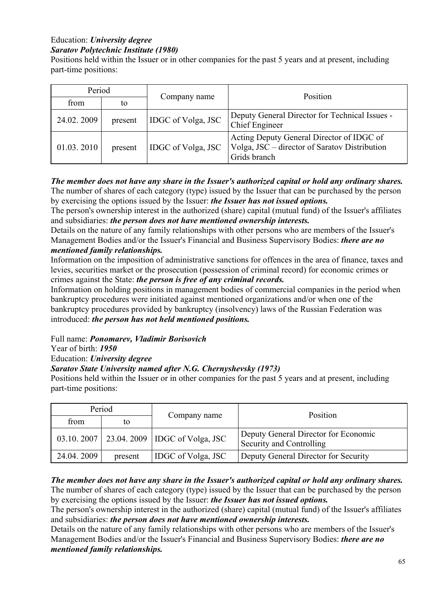#### Education: *University degree Saratov Polytechnic Institute (1980)*

Positions held within the Issuer or in other companies for the past 5 years and at present, including part-time positions:

| Period     |         |                           | Position                                                                                                   |  |
|------------|---------|---------------------------|------------------------------------------------------------------------------------------------------------|--|
| from       | to      | Company name              |                                                                                                            |  |
| 24.02.2009 | present | IDGC of Volga, JSC        | Deputy General Director for Technical Issues -<br>Chief Engineer                                           |  |
| 01.03.2010 | present | <b>IDGC</b> of Volga, JSC | Acting Deputy General Director of IDGC of<br>Volga, JSC - director of Saratov Distribution<br>Grids branch |  |

### *The member does not have any share in the Issuer's authorized capital or hold any ordinary shares.*  The number of shares of each category (type) issued by the Issuer that can be purchased by the person by exercising the options issued by the Issuer: *the Issuer has not issued options.*

The person's ownership interest in the authorized (share) capital (mutual fund) of the Issuer's affiliates and subsidiaries: *the person does not have mentioned ownership interests.* 

Details on the nature of any family relationships with other persons who are members of the Issuer's Management Bodies and/or the Issuer's Financial and Business Supervisory Bodies: *there are no mentioned family relationships.* 

Information on the imposition of administrative sanctions for offences in the area of finance, taxes and levies, securities market or the prosecution (possession of criminal record) for economic crimes or crimes against the State: *the person is free of any criminal records.* 

Information on holding positions in management bodies of commercial companies in the period when bankruptcy procedures were initiated against mentioned organizations and/or when one of the bankruptcy procedures provided by bankruptcy (insolvency) laws of the Russian Federation was introduced: *the person has not held mentioned positions.* 

Full name: *Ponomarev, Vladimir Borisovich* 

Year of birth: *1950* 

Education: *University degree* 

# *Saratov State University named after N.G. Chernyshevsky (1973)*

Positions held within the Issuer or in other companies for the past 5 years and at present, including part-time positions:

| Period     |         | Company name                                 | Position                                                         |  |
|------------|---------|----------------------------------------------|------------------------------------------------------------------|--|
| from       | to      |                                              |                                                                  |  |
|            |         | 03.10.2007   23.04.2009   IDGC of Volga, JSC | Deputy General Director for Economic<br>Security and Controlling |  |
| 24.04.2009 | present | <b>IDGC</b> of Volga, JSC                    | Deputy General Director for Security                             |  |

# *The member does not have any share in the Issuer's authorized capital or hold any ordinary shares.*  The number of shares of each category (type) issued by the Issuer that can be purchased by the person

by exercising the options issued by the Issuer: *the Issuer has not issued options.* 

The person's ownership interest in the authorized (share) capital (mutual fund) of the Issuer's affiliates and subsidiaries: *the person does not have mentioned ownership interests.* 

Details on the nature of any family relationships with other persons who are members of the Issuer's Management Bodies and/or the Issuer's Financial and Business Supervisory Bodies: *there are no mentioned family relationships.*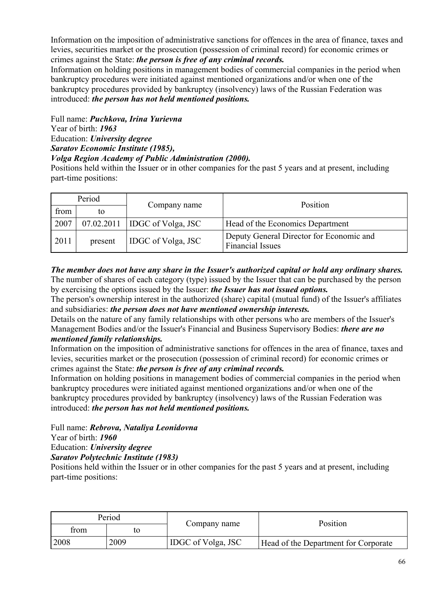Information on the imposition of administrative sanctions for offences in the area of finance, taxes and levies, securities market or the prosecution (possession of criminal record) for economic crimes or crimes against the State: *the person is free of any criminal records.* 

Information on holding positions in management bodies of commercial companies in the period when bankruptcy procedures were initiated against mentioned organizations and/or when one of the bankruptcy procedures provided by bankruptcy (insolvency) laws of the Russian Federation was introduced: *the person has not held mentioned positions.* 

Full name: *Puchkova, Irina Yurievna*  Year of birth: *1963*  Education: *University degree Saratov Economic Institute (1985), Volga Region Academy of Public Administration (2000).* 

Positions held within the Issuer or in other companies for the past 5 years and at present, including part-time positions:

| Period |            |                           | Position                                                            |  |
|--------|------------|---------------------------|---------------------------------------------------------------------|--|
| from   | to         | Company name              |                                                                     |  |
| 2007   | 07.02.2011 | <b>IDGC</b> of Volga, JSC | Head of the Economics Department                                    |  |
| 2011   | present    | IDGC of Volga, JSC        | Deputy General Director for Economic and<br><b>Financial Issues</b> |  |

*The member does not have any share in the Issuer's authorized capital or hold any ordinary shares.*  The number of shares of each category (type) issued by the Issuer that can be purchased by the person by exercising the options issued by the Issuer: *the Issuer has not issued options.* 

The person's ownership interest in the authorized (share) capital (mutual fund) of the Issuer's affiliates and subsidiaries: *the person does not have mentioned ownership interests.* 

Details on the nature of any family relationships with other persons who are members of the Issuer's Management Bodies and/or the Issuer's Financial and Business Supervisory Bodies: *there are no mentioned family relationships.* 

Information on the imposition of administrative sanctions for offences in the area of finance, taxes and levies, securities market or the prosecution (possession of criminal record) for economic crimes or crimes against the State: *the person is free of any criminal records.* 

Information on holding positions in management bodies of commercial companies in the period when bankruptcy procedures were initiated against mentioned organizations and/or when one of the bankruptcy procedures provided by bankruptcy (insolvency) laws of the Russian Federation was introduced: *the person has not held mentioned positions.* 

Full name: *Rebrova, Nataliya Leonidovna* 

Year of birth: *1960* 

Education: *University degree* 

*Saratov Polytechnic Institute (1983)* 

Positions held within the Issuer or in other companies for the past 5 years and at present, including part-time positions:

| Period     |      | Company name       | Position                             |
|------------|------|--------------------|--------------------------------------|
| from<br>to |      |                    |                                      |
| 2008       | 2009 | IDGC of Volga, JSC | Head of the Department for Corporate |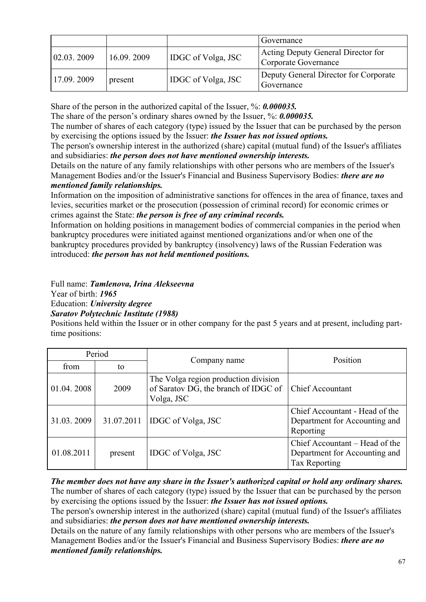|            |            |                           | Governance                                                 |
|------------|------------|---------------------------|------------------------------------------------------------|
| 02.03.2009 | 16.09.2009 | <b>IDGC</b> of Volga, JSC | Acting Deputy General Director for<br>Corporate Governance |
| 17.09.2009 | present    | <b>IDGC</b> of Volga, JSC | Deputy General Director for Corporate<br>Governance        |

Share of the person in the authorized capital of the Issuer, %: *0.000035.* 

The share of the person's ordinary shares owned by the Issuer, %: **0.000035.** 

The number of shares of each category (type) issued by the Issuer that can be purchased by the person by exercising the options issued by the Issuer: *the Issuer has not issued options.* 

The person's ownership interest in the authorized (share) capital (mutual fund) of the Issuer's affiliates and subsidiaries: *the person does not have mentioned ownership interests.* 

Details on the nature of any family relationships with other persons who are members of the Issuer's Management Bodies and/or the Issuer's Financial and Business Supervisory Bodies: *there are no mentioned family relationships.* 

Information on the imposition of administrative sanctions for offences in the area of finance, taxes and levies, securities market or the prosecution (possession of criminal record) for economic crimes or crimes against the State: *the person is free of any criminal records.* 

Information on holding positions in management bodies of commercial companies in the period when bankruptcy procedures were initiated against mentioned organizations and/or when one of the bankruptcy procedures provided by bankruptcy (insolvency) laws of the Russian Federation was introduced: *the person has not held mentioned positions.* 

Full name: *Tamlenova, Irina Alekseevna*  Year of birth: *1965*  Education: *University degree Saratov Polytechnic Institute (1988)* 

Positions held within the Issuer or in other company for the past 5 years and at present, including parttime positions:

| Period     |            | Company name                                                                               | Position                                                                                |
|------------|------------|--------------------------------------------------------------------------------------------|-----------------------------------------------------------------------------------------|
| from       | to         |                                                                                            |                                                                                         |
| 01.04.2008 | 2009       | The Volga region production division<br>of Saratov DG, the branch of IDGC of<br>Volga, JSC | <b>Chief Accountant</b>                                                                 |
| 31.03.2009 | 31.07.2011 | IDGC of Volga, JSC                                                                         | Chief Accountant - Head of the<br>Department for Accounting and<br>Reporting            |
| 01.08.2011 | present    | IDGC of Volga, JSC                                                                         | Chief Accountant – Head of the<br>Department for Accounting and<br><b>Tax Reporting</b> |

*The member does not have any share in the Issuer's authorized capital or hold any ordinary shares.*  The number of shares of each category (type) issued by the Issuer that can be purchased by the person by exercising the options issued by the Issuer: *the Issuer has not issued options.* 

The person's ownership interest in the authorized (share) capital (mutual fund) of the Issuer's affiliates and subsidiaries: *the person does not have mentioned ownership interests.* 

Details on the nature of any family relationships with other persons who are members of the Issuer's Management Bodies and/or the Issuer's Financial and Business Supervisory Bodies: *there are no mentioned family relationships.*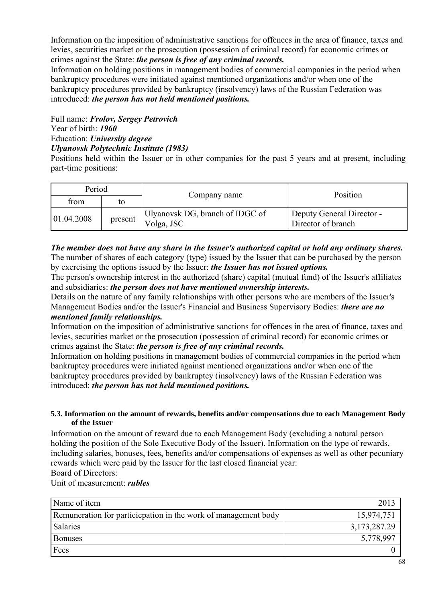Information on the imposition of administrative sanctions for offences in the area of finance, taxes and levies, securities market or the prosecution (possession of criminal record) for economic crimes or crimes against the State: *the person is free of any criminal records.* 

Information on holding positions in management bodies of commercial companies in the period when bankruptcy procedures were initiated against mentioned organizations and/or when one of the bankruptcy procedures provided by bankruptcy (insolvency) laws of the Russian Federation was introduced: *the person has not held mentioned positions.* 

Full name: *Frolov, Sergey Petrovich*  Year of birth: *1960*  Education: *University degree Ulyanovsk Polytechnic Institute (1983)* 

Positions held within the Issuer or in other companies for the past 5 years and at present, including part-time positions:

| Period     |         |                                                | Position                                        |
|------------|---------|------------------------------------------------|-------------------------------------------------|
| from       | tο      | Company name                                   |                                                 |
| 01.04.2008 | present | 'Ulyanovsk DG, branch of IDGC of<br>Volga, JSC | Deputy General Director -<br>Director of branch |

*The member does not have any share in the Issuer's authorized capital or hold any ordinary shares.*  The number of shares of each category (type) issued by the Issuer that can be purchased by the person by exercising the options issued by the Issuer: *the Issuer has not issued options.* 

The person's ownership interest in the authorized (share) capital (mutual fund) of the Issuer's affiliates and subsidiaries: *the person does not have mentioned ownership interests.* 

Details on the nature of any family relationships with other persons who are members of the Issuer's Management Bodies and/or the Issuer's Financial and Business Supervisory Bodies: *there are no mentioned family relationships.* 

Information on the imposition of administrative sanctions for offences in the area of finance, taxes and levies, securities market or the prosecution (possession of criminal record) for economic crimes or crimes against the State: *the person is free of any criminal records.* 

Information on holding positions in management bodies of commercial companies in the period when bankruptcy procedures were initiated against mentioned organizations and/or when one of the bankruptcy procedures provided by bankruptcy (insolvency) laws of the Russian Federation was introduced: *the person has not held mentioned positions.* 

#### **5.3. Information on the amount of rewards, benefits and/or compensations due to each Management Body of the Issuer**

Information on the amount of reward due to each Management Body (excluding a natural person holding the position of the Sole Executive Body of the Issuer). Information on the type of rewards, including salaries, bonuses, fees, benefits and/or compensations of expenses as well as other pecuniary rewards which were paid by the Issuer for the last closed financial year:

Board of Directors:

Unit of measurement: *rubles* 

| Name of item                                                    | 2013         |
|-----------------------------------------------------------------|--------------|
| Remuneration for particic pation in the work of management body | 15,974,751   |
| Salaries                                                        | 3,173,287.29 |
| <b>Bonuses</b>                                                  | 5,778,997    |
| Fees                                                            |              |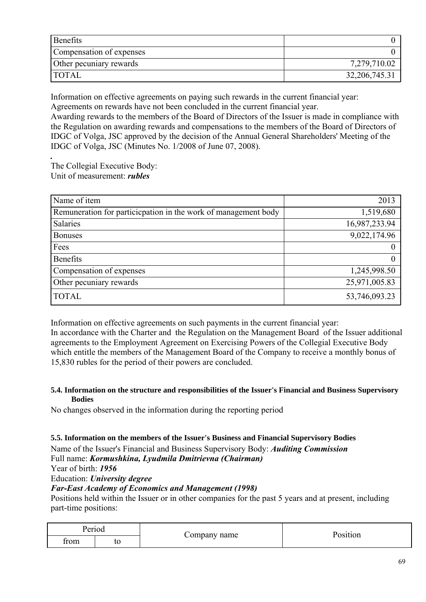| Benefits                 |               |
|--------------------------|---------------|
| Compensation of expenses |               |
| Other pecuniary rewards  | 7,279,710.02  |
| <b>TOTAL</b>             | 32,206,745.31 |

Information on effective agreements on paying such rewards in the current financial year: Agreements on rewards have not been concluded in the current financial year.

Awarding rewards to the members of the Board of Directors of the Issuer is made in compliance with the Regulation on awarding rewards and compensations to the members of the Board of Directors of IDGC of Volga, JSC approved by the decision of the Annual General Shareholders' Meeting of the IDGC of Volga, JSC (Minutes No. 1/2008 of June 07, 2008).

*.*  The Collegial Executive Body: Unit of measurement: *rubles* 

| Name of item                                                    | 2013          |
|-----------------------------------------------------------------|---------------|
| Remuneration for particic pation in the work of management body | 1,519,680     |
| Salaries                                                        | 16,987,233.94 |
| <b>Bonuses</b>                                                  | 9,022,174.96  |
| Fees                                                            |               |
| <b>Benefits</b>                                                 |               |
| Compensation of expenses                                        | 1,245,998.50  |
| Other pecuniary rewards                                         | 25,971,005.83 |
| <b>TOTAL</b>                                                    | 53,746,093.23 |

Information on effective agreements on such payments in the current financial year:

In accordance with the Charter and the Regulation on the Management Board of the Issuer additional agreements to the Employment Agreement on Exercising Powers of the Collegial Executive Body which entitle the members of the Management Board of the Company to receive a monthly bonus of 15,830 rubles for the period of their powers are concluded.

#### **5.4. Information on the structure and responsibilities of the Issuer's Financial and Business Supervisory Bodies**

No changes observed in the information during the reporting period

### **5.5. Information on the members of the Issuer's Business and Financial Supervisory Bodies**

Name of the Issuer's Financial and Business Supervisory Body: *Auditing Commission* 

Full name: *Kormushkina, Lyudmila Dmitrievna (Chairman)* 

Year of birth: *1956* 

Education: *University degree* 

### *Far-East Academy of Economics and Management (1998)*

Positions held within the Issuer or in other companies for the past 5 years and at present, including part-time positions:

| Period |    | Company name | Position |
|--------|----|--------------|----------|
| trom   | to |              |          |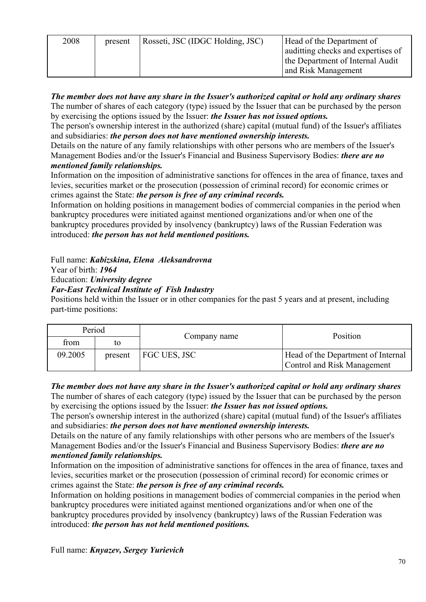| 2008 | present | Rosseti, JSC (IDGC Holding, JSC) | Head of the Department of<br>auditting checks and expertises of<br>the Department of Internal Audit |
|------|---------|----------------------------------|-----------------------------------------------------------------------------------------------------|
|      |         |                                  | and Risk Management                                                                                 |

*The member does not have any share in the Issuer's authorized capital or hold any ordinary shares*  The number of shares of each category (type) issued by the Issuer that can be purchased by the person by exercising the options issued by the Issuer: *the Issuer has not issued options.* 

The person's ownership interest in the authorized (share) capital (mutual fund) of the Issuer's affiliates and subsidiaries: *the person does not have mentioned ownership interests.* 

Details on the nature of any family relationships with other persons who are members of the Issuer's Management Bodies and/or the Issuer's Financial and Business Supervisory Bodies: *there are no mentioned family relationships.* 

Information on the imposition of administrative sanctions for offences in the area of finance, taxes and levies, securities market or the prosecution (possession of criminal record) for economic crimes or crimes against the State: *the person is free of any criminal records.* 

Information on holding positions in management bodies of commercial companies in the period when bankruptcy procedures were initiated against mentioned organizations and/or when one of the bankruptcy procedures provided by insolvency (bankruptcy) laws of the Russian Federation was introduced: *the person has not held mentioned positions.* 

Full name: *Kabizskina, Elena Aleksandrovna* 

Year of birth: *1964* 

Education: *University degree* 

*Far-East Technical Institute of Fish Industry* 

Positions held within the Issuer or in other companies for the past 5 years and at present, including part-time positions:

| Period  |         |              | Position                                                                 |
|---------|---------|--------------|--------------------------------------------------------------------------|
| from    | tο      | Company name |                                                                          |
| 09.2005 | present | FGC UES, JSC | Head of the Department of Internal<br><b>Control and Risk Management</b> |

*The member does not have any share in the Issuer's authorized capital or hold any ordinary shares*  The number of shares of each category (type) issued by the Issuer that can be purchased by the person by exercising the options issued by the Issuer: *the Issuer has not issued options.* 

The person's ownership interest in the authorized (share) capital (mutual fund) of the Issuer's affiliates and subsidiaries: *the person does not have mentioned ownership interests.* 

Details on the nature of any family relationships with other persons who are members of the Issuer's Management Bodies and/or the Issuer's Financial and Business Supervisory Bodies: *there are no mentioned family relationships.* 

Information on the imposition of administrative sanctions for offences in the area of finance, taxes and levies, securities market or the prosecution (possession of criminal record) for economic crimes or crimes against the State: *the person is free of any criminal records.* 

Information on holding positions in management bodies of commercial companies in the period when bankruptcy procedures were initiated against mentioned organizations and/or when one of the bankruptcy procedures provided by insolvency (bankruptcy) laws of the Russian Federation was introduced: *the person has not held mentioned positions.* 

Full name: *Knyazev, Sergey Yurievich*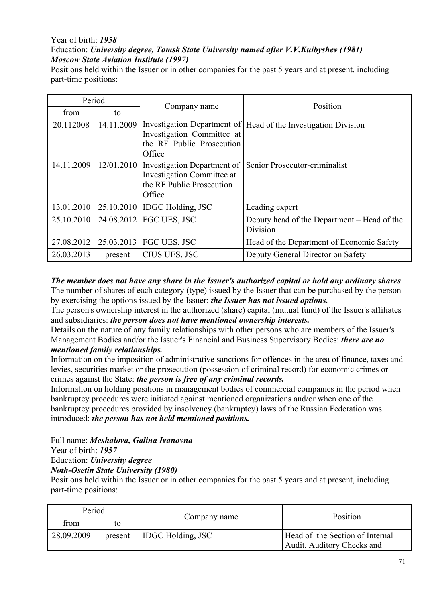## Year of birth: *1958*

# Education: *University degree, Tomsk State University named after V.V.Kuibyshev (1981) Moscow State Aviation Institute (1997)*

Positions held within the Issuer or in other companies for the past 5 years and at present, including part-time positions:

| Period     |            | Company name                                                                                     | Position                                                       |
|------------|------------|--------------------------------------------------------------------------------------------------|----------------------------------------------------------------|
| from       | to         |                                                                                                  |                                                                |
| 20.112008  | 14.11.2009 | Investigation Committee at<br>the RF Public Prosecution<br>Office                                | Investigation Department of Head of the Investigation Division |
| 14.11.2009 | 12/01.2010 | Investigation Department of<br>Investigation Committee at<br>the RF Public Prosecution<br>Office | Senior Prosecutor-criminalist                                  |
| 13.01.2010 |            | 25.10.2010   IDGC Holding, JSC                                                                   | Leading expert                                                 |
| 25.10.2010 | 24.08.2012 | FGC UES, JSC                                                                                     | Deputy head of the Department – Head of the<br>Division        |
| 27.08.2012 | 25.03.2013 | FGC UES, JSC                                                                                     | Head of the Department of Economic Safety                      |
| 26.03.2013 | present    | CIUS UES, JSC                                                                                    | Deputy General Director on Safety                              |

#### *The member does not have any share in the Issuer's authorized capital or hold any ordinary shares*  The number of shares of each category (type) issued by the Issuer that can be purchased by the person by exercising the options issued by the Issuer: *the Issuer has not issued options.*

The person's ownership interest in the authorized (share) capital (mutual fund) of the Issuer's affiliates and subsidiaries: *the person does not have mentioned ownership interests.* 

Details on the nature of any family relationships with other persons who are members of the Issuer's Management Bodies and/or the Issuer's Financial and Business Supervisory Bodies: *there are no mentioned family relationships.* 

Information on the imposition of administrative sanctions for offences in the area of finance, taxes and levies, securities market or the prosecution (possession of criminal record) for economic crimes or crimes against the State: *the person is free of any criminal records.* 

Information on holding positions in management bodies of commercial companies in the period when bankruptcy procedures were initiated against mentioned organizations and/or when one of the bankruptcy procedures provided by insolvency (bankruptcy) laws of the Russian Federation was introduced: *the person has not held mentioned positions.* 

#### Full name: *Meshalova, Galina Ivanovna*  Year of birth: *1957*

# Education: *University degree*

*Noth-Osetin State University (1980)* 

Positions held within the Issuer or in other companies for the past 5 years and at present, including part-time positions:

| Period     |         | Company name             | Position                                                      |
|------------|---------|--------------------------|---------------------------------------------------------------|
| from       | to      |                          |                                                               |
| 28.09.2009 | present | <b>IDGC Holding, JSC</b> | Head of the Section of Internal<br>Audit, Auditory Checks and |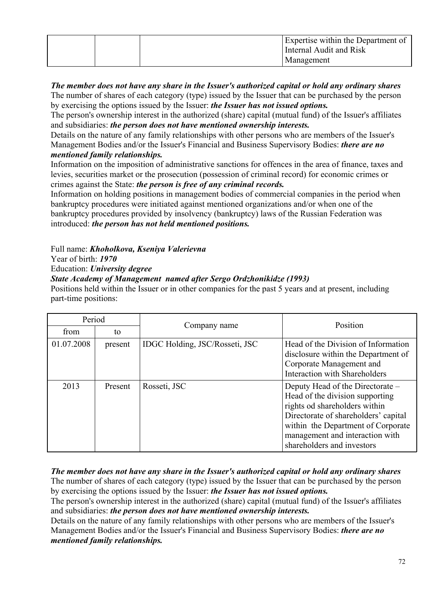|  | Expertise within the Department of<br>Internal Audit and Risk<br>Management |
|--|-----------------------------------------------------------------------------|
|  |                                                                             |

## *The member does not have any share in the Issuer's authorized capital or hold any ordinary shares*  The number of shares of each category (type) issued by the Issuer that can be purchased by the person

by exercising the options issued by the Issuer: *the Issuer has not issued options.* 

The person's ownership interest in the authorized (share) capital (mutual fund) of the Issuer's affiliates and subsidiaries: *the person does not have mentioned ownership interests.* 

Details on the nature of any family relationships with other persons who are members of the Issuer's Management Bodies and/or the Issuer's Financial and Business Supervisory Bodies: *there are no mentioned family relationships.* 

Information on the imposition of administrative sanctions for offences in the area of finance, taxes and levies, securities market or the prosecution (possession of criminal record) for economic crimes or crimes against the State: *the person is free of any criminal records.* 

Information on holding positions in management bodies of commercial companies in the period when bankruptcy procedures were initiated against mentioned organizations and/or when one of the bankruptcy procedures provided by insolvency (bankruptcy) laws of the Russian Federation was introduced: *the person has not held mentioned positions.* 

Full name: *Khoholkova, Kseniya Valerievna* 

Year of birth: *1970* 

Education: *University degree* 

*State Academy of Management named after Sergo Ordzhonikidze (1993)* 

Positions held within the Issuer or in other companies for the past 5 years and at present, including part-time positions:

| Period     |         | Company name                   | Position                                                                                                                                                                                                                                            |
|------------|---------|--------------------------------|-----------------------------------------------------------------------------------------------------------------------------------------------------------------------------------------------------------------------------------------------------|
| from       | to      |                                |                                                                                                                                                                                                                                                     |
| 01.07.2008 | present | IDGC Holding, JSC/Rosseti, JSC | Head of the Division of Information<br>disclosure within the Department of<br>Corporate Management and<br><b>Interaction with Shareholders</b>                                                                                                      |
| 2013       | Present | Rosseti, JSC                   | Deputy Head of the Directorate –<br>Head of the division supporting<br>rights od shareholders within<br>Directorate of shareholders' capital<br>within the Department of Corporate<br>management and interaction with<br>shareholders and investors |

*The member does not have any share in the Issuer's authorized capital or hold any ordinary shares*  The number of shares of each category (type) issued by the Issuer that can be purchased by the person by exercising the options issued by the Issuer: *the Issuer has not issued options.* 

The person's ownership interest in the authorized (share) capital (mutual fund) of the Issuer's affiliates and subsidiaries: *the person does not have mentioned ownership interests.* 

Details on the nature of any family relationships with other persons who are members of the Issuer's Management Bodies and/or the Issuer's Financial and Business Supervisory Bodies: *there are no mentioned family relationships.*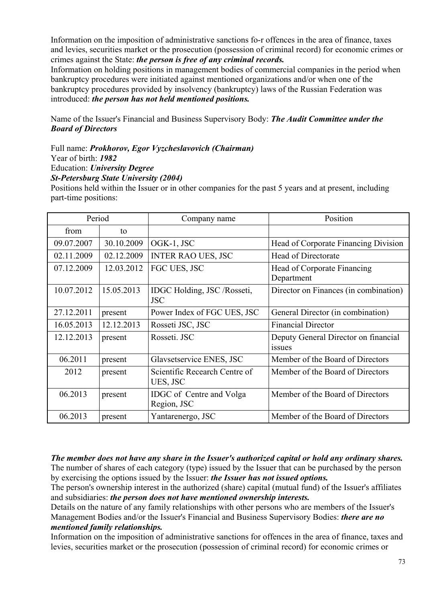Information on the imposition of administrative sanctions fo-r offences in the area of finance, taxes and levies, securities market or the prosecution (possession of criminal record) for economic crimes or crimes against the State: *the person is free of any criminal records.* 

Information on holding positions in management bodies of commercial companies in the period when bankruptcy procedures were initiated against mentioned organizations and/or when one of the bankruptcy procedures provided by insolvency (bankruptcy) laws of the Russian Federation was introduced: *the person has not held mentioned positions.* 

Name of the Issuer's Financial and Business Supervisory Body: *The Audit Committee under the Board of Directors* 

#### Full name: *Prokhorov, Egor Vyzcheslavovich (Chairman)*  Year of birth: *1982*

Education: *University Degree* 

*St-Petersburg State University (2004)* 

Positions held within the Issuer or in other companies for the past 5 years and at present, including part-time positions:

| Period     |            | Company name                              | Position                                       |
|------------|------------|-------------------------------------------|------------------------------------------------|
| from       | to         |                                           |                                                |
| 09.07.2007 | 30.10.2009 | OGK-1, JSC                                | Head of Corporate Financing Division           |
| 02.11.2009 | 02.12.2009 | <b>INTER RAO UES, JSC</b>                 | Head of Directorate                            |
| 07.12.2009 | 12.03.2012 | FGC UES, JSC                              | Head of Corporate Financing<br>Department      |
| 10.07.2012 | 15.05.2013 | IDGC Holding, JSC /Rosseti,<br><b>JSC</b> | Director on Finances (in combination)          |
| 27.12.2011 | present    | Power Index of FGC UES, JSC               | General Director (in combination)              |
| 16.05.2013 | 12.12.2013 | Rosseti JSC, JSC                          | <b>Financial Director</b>                      |
| 12.12.2013 | present    | Rosseti. JSC                              | Deputy General Director on financial<br>issues |
| 06.2011    | present    | Glavsetservice ENES, JSC                  | Member of the Board of Directors               |
| 2012       | present    | Scientific Recearch Centre of<br>UES, JSC | Member of the Board of Directors               |
| 06.2013    | present    | IDGC of Centre and Volga<br>Region, JSC   | Member of the Board of Directors               |
| 06.2013    | present    | Yantarenergo, JSC                         | Member of the Board of Directors               |

*The member does not have any share in the Issuer's authorized capital or hold any ordinary shares.*  The number of shares of each category (type) issued by the Issuer that can be purchased by the person by exercising the options issued by the Issuer: *the Issuer has not issued options.* 

The person's ownership interest in the authorized (share) capital (mutual fund) of the Issuer's affiliates and subsidiaries: *the person does not have mentioned ownership interests.* 

Details on the nature of any family relationships with other persons who are members of the Issuer's Management Bodies and/or the Issuer's Financial and Business Supervisory Bodies: *there are no mentioned family relationships.* 

Information on the imposition of administrative sanctions for offences in the area of finance, taxes and levies, securities market or the prosecution (possession of criminal record) for economic crimes or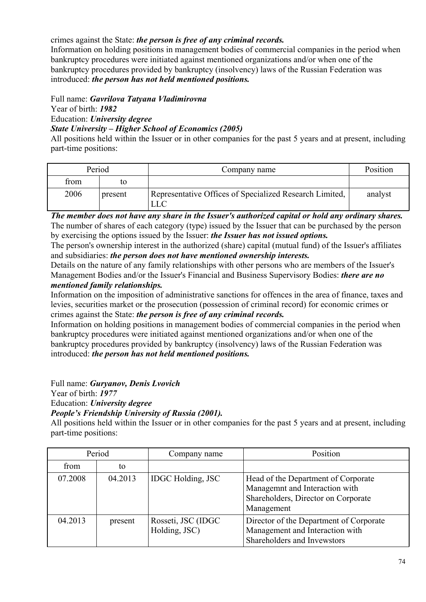## crimes against the State: *the person is free of any criminal records.*

Information on holding positions in management bodies of commercial companies in the period when bankruptcy procedures were initiated against mentioned organizations and/or when one of the bankruptcy procedures provided by bankruptcy (insolvency) laws of the Russian Federation was introduced: *the person has not held mentioned positions.* 

## Full name: *Gavrilova Tatyana Vladimirovna*

Year of birth: *1982* 

Education: *University degree* 

## *State University – Higher School of Economics (2005)*

All positions held within the Issuer or in other companies for the past 5 years and at present, including part-time positions:

| Period |         | Company name                                                   | Position |
|--------|---------|----------------------------------------------------------------|----------|
| from   | tΩ      |                                                                |          |
| 2006   | present | Representative Offices of Specialized Research Limited,<br>LLC | analyst  |

*The member does not have any share in the Issuer's authorized capital or hold any ordinary shares.*  The number of shares of each category (type) issued by the Issuer that can be purchased by the person by exercising the options issued by the Issuer: *the Issuer has not issued options.* 

The person's ownership interest in the authorized (share) capital (mutual fund) of the Issuer's affiliates and subsidiaries: *the person does not have mentioned ownership interests.* 

Details on the nature of any family relationships with other persons who are members of the Issuer's Management Bodies and/or the Issuer's Financial and Business Supervisory Bodies: *there are no mentioned family relationships.* 

Information on the imposition of administrative sanctions for offences in the area of finance, taxes and levies, securities market or the prosecution (possession of criminal record) for economic crimes or crimes against the State: *the person is free of any criminal records.* 

Information on holding positions in management bodies of commercial companies in the period when bankruptcy procedures were initiated against mentioned organizations and/or when one of the bankruptcy procedures provided by bankruptcy (insolvency) laws of the Russian Federation was introduced: *the person has not held mentioned positions.* 

Full name: *Guryanov, Denis Lvovich* 

Year of birth: *1977* 

Education: *University degree* 

## *People's Friendship University of Russia (2001).*

All positions held within the Issuer or in other companies for the past 5 years and at present, including part-time positions:

| Period  |         | Company name                         | Position                                                                                                                   |
|---------|---------|--------------------------------------|----------------------------------------------------------------------------------------------------------------------------|
| from    | to      |                                      |                                                                                                                            |
| 07.2008 | 04.2013 | <b>IDGC</b> Holding, JSC             | Head of the Department of Corporate<br>Managemnt and Interaction with<br>Shareholders, Director on Corporate<br>Management |
| 04.2013 | present | Rosseti, JSC (IDGC)<br>Holding, JSC) | Director of the Department of Corporate<br>Management and Interaction with<br>Shareholders and Invewstors                  |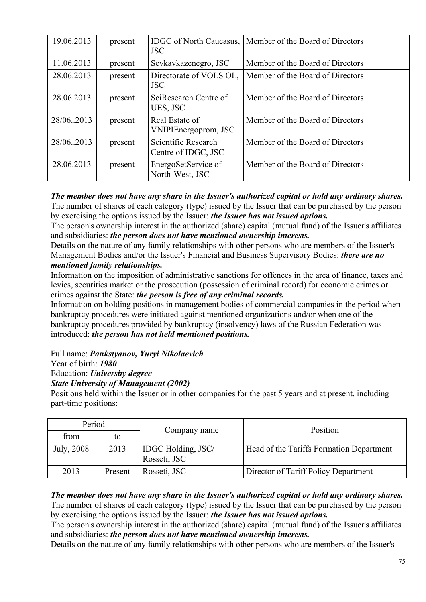| 19.06.2013 | present | <b>IDGC</b> of North Caucasus,<br><b>JSC</b> | Member of the Board of Directors |
|------------|---------|----------------------------------------------|----------------------------------|
| 11.06.2013 | present | Sevkavkazenegro, JSC                         | Member of the Board of Directors |
| 28.06.2013 | present | Directorate of VOLS OL,<br><b>JSC</b>        | Member of the Board of Directors |
| 28.06.2013 | present | SciResearch Centre of<br>UES, JSC            | Member of the Board of Directors |
| 28/06.2013 | present | Real Estate of<br>VNIPIEnergoprom, JSC       | Member of the Board of Directors |
| 28/06.2013 | present | Scientific Research<br>Centre of IDGC, JSC   | Member of the Board of Directors |
| 28.06.2013 | present | EnergoSetService of<br>North-West, JSC       | Member of the Board of Directors |

#### *The member does not have any share in the Issuer's authorized capital or hold any ordinary shares.*  The number of shares of each category (type) issued by the Issuer that can be purchased by the person by exercising the options issued by the Issuer: *the Issuer has not issued options.*

The person's ownership interest in the authorized (share) capital (mutual fund) of the Issuer's affiliates and subsidiaries: *the person does not have mentioned ownership interests.* 

Details on the nature of any family relationships with other persons who are members of the Issuer's Management Bodies and/or the Issuer's Financial and Business Supervisory Bodies: *there are no mentioned family relationships.* 

Information on the imposition of administrative sanctions for offences in the area of finance, taxes and levies, securities market or the prosecution (possession of criminal record) for economic crimes or crimes against the State: *the person is free of any criminal records.* 

Information on holding positions in management bodies of commercial companies in the period when bankruptcy procedures were initiated against mentioned organizations and/or when one of the bankruptcy procedures provided by bankruptcy (insolvency) laws of the Russian Federation was introduced: *the person has not held mentioned positions.* 

Full name: *Pankstyanov, Yuryi Nikolaevich* 

Year of birth: *1980* 

Education: *University degree* 

# *State University of Management (2002)*

Positions held within the Issuer or in other companies for the past 5 years and at present, including part-time positions:

| Period     |         |                                           | Position                                 |
|------------|---------|-------------------------------------------|------------------------------------------|
| from       | to      | Company name                              |                                          |
| July, 2008 | 2013    | <b>IDGC</b> Holding, JSC/<br>Rosseti, JSC | Head of the Tariffs Formation Department |
| 2013       | Present | Rosseti, JSC                              | Director of Tariff Policy Department     |

#### *The member does not have any share in the Issuer's authorized capital or hold any ordinary shares.*  The number of shares of each category (type) issued by the Issuer that can be purchased by the person by exercising the options issued by the Issuer: *the Issuer has not issued options.*

The person's ownership interest in the authorized (share) capital (mutual fund) of the Issuer's affiliates and subsidiaries: *the person does not have mentioned ownership interests.* 

Details on the nature of any family relationships with other persons who are members of the Issuer's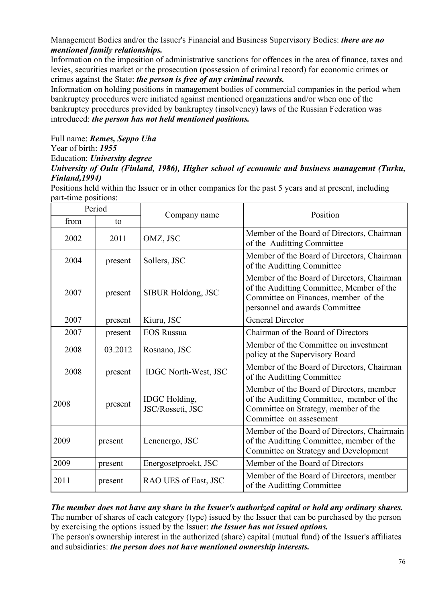## Management Bodies and/or the Issuer's Financial and Business Supervisory Bodies: *there are no mentioned family relationships.*

Information on the imposition of administrative sanctions for offences in the area of finance, taxes and levies, securities market or the prosecution (possession of criminal record) for economic crimes or crimes against the State: *the person is free of any criminal records.* 

Information on holding positions in management bodies of commercial companies in the period when bankruptcy procedures were initiated against mentioned organizations and/or when one of the bankruptcy procedures provided by bankruptcy (insolvency) laws of the Russian Federation was introduced: *the person has not held mentioned positions.* 

Full name: *Remes, Seppo Uha* 

Year of birth: *1955* 

Education: *University degree* 

## *University of Oulu (Finland, 1986), Higher school of economic and business managemnt (Turku, Finland,1994)*

Positions held within the Issuer or in other companies for the past 5 years and at present, including part-time positions:

| Period |         |                                          | Position                                                                                                                                                          |
|--------|---------|------------------------------------------|-------------------------------------------------------------------------------------------------------------------------------------------------------------------|
| from   | to      | Company name                             |                                                                                                                                                                   |
| 2002   | 2011    | OMZ, JSC                                 | Member of the Board of Directors, Chairman<br>of the Auditting Committee                                                                                          |
| 2004   | present | Sollers, JSC                             | Member of the Board of Directors, Chairman<br>of the Auditting Committee                                                                                          |
| 2007   | present | SIBUR Holdong, JSC                       | Member of the Board of Directors, Chairman<br>of the Auditting Committee, Member of the<br>Committee on Finances, member of the<br>personnel and awards Committee |
| 2007   | present | Kiuru, JSC                               | <b>General Director</b>                                                                                                                                           |
| 2007   | present | <b>EOS Russua</b>                        | Chairman of the Board of Directors                                                                                                                                |
| 2008   | 03.2012 | Rosnano, JSC                             | Member of the Committee on investment<br>policy at the Supervisory Board                                                                                          |
| 2008   | present | <b>IDGC North-West, JSC</b>              | Member of the Board of Directors, Chairman<br>of the Auditting Committee                                                                                          |
| 2008   | present | <b>IDGC</b> Holding,<br>JSC/Rosseti, JSC | Member of the Board of Directors, member<br>of the Auditting Committee, member of the<br>Committee on Strategy, member of the<br>Committee on assesement          |
| 2009   | present | Lenenergo, JSC                           | Member of the Board of Directors, Chairmain<br>of the Auditting Committee, member of the<br>Committee on Strategy and Development                                 |
| 2009   | present | Energosetproekt, JSC                     | Member of the Board of Directors                                                                                                                                  |
| 2011   | present | RAO UES of East, JSC                     | Member of the Board of Directors, member<br>of the Auditting Committee                                                                                            |

*The member does not have any share in the Issuer's authorized capital or hold any ordinary shares.*  The number of shares of each category (type) issued by the Issuer that can be purchased by the person by exercising the options issued by the Issuer: *the Issuer has not issued options.* 

The person's ownership interest in the authorized (share) capital (mutual fund) of the Issuer's affiliates and subsidiaries: *the person does not have mentioned ownership interests.*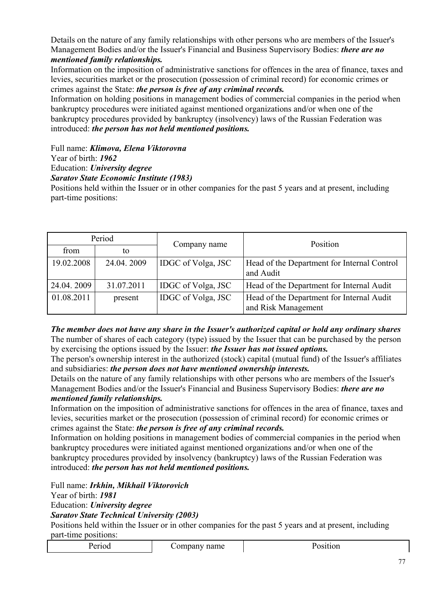Details on the nature of any family relationships with other persons who are members of the Issuer's Management Bodies and/or the Issuer's Financial and Business Supervisory Bodies: *there are no mentioned family relationships.* 

Information on the imposition of administrative sanctions for offences in the area of finance, taxes and levies, securities market or the prosecution (possession of criminal record) for economic crimes or crimes against the State: *the person is free of any criminal records.* 

Information on holding positions in management bodies of commercial companies in the period when bankruptcy procedures were initiated against mentioned organizations and/or when one of the bankruptcy procedures provided by bankruptcy (insolvency) laws of the Russian Federation was introduced: *the person has not held mentioned positions.* 

Full name: *Klimova, Elena Viktorovna* 

Year of birth: *1962* 

Education: *University degree* 

## *Saratov State Economic Institute (1983)*

Positions held within the Issuer or in other companies for the past 5 years and at present, including part-time positions:

| Period     |            |                           | Position                                                         |
|------------|------------|---------------------------|------------------------------------------------------------------|
| from       | to         | Company name              |                                                                  |
| 19.02.2008 | 24.04.2009 | <b>IDGC</b> of Volga, JSC | Head of the Department for Internal Control<br>and Audit         |
| 24.04.2009 | 31.07.2011 | IDGC of Volga, JSC        | Head of the Department for Internal Audit                        |
| 01.08.2011 | present    | <b>IDGC</b> of Volga, JSC | Head of the Department for Internal Audit<br>and Risk Management |

*The member does not have any share in the Issuer's authorized capital or hold any ordinary shares*  The number of shares of each category (type) issued by the Issuer that can be purchased by the person by exercising the options issued by the Issuer: *the Issuer has not issued options.* 

The person's ownership interest in the authorized (stock) capital (mutual fund) of the Issuer's affiliates and subsidiaries: *the person does not have mentioned ownership interests.* 

Details on the nature of any family relationships with other persons who are members of the Issuer's Management Bodies and/or the Issuer's Financial and Business Supervisory Bodies: *there are no mentioned family relationships.* 

Information on the imposition of administrative sanctions for offences in the area of finance, taxes and levies, securities market or the prosecution (possession of criminal record) for economic crimes or crimes against the State: *the person is free of any criminal records.* 

Information on holding positions in management bodies of commercial companies in the period when bankruptcy procedures were initiated against mentioned organizations and/or when one of the bankruptcy procedures provided by insolvency (bankruptcy) laws of the Russian Federation was introduced: *the person has not held mentioned positions.* 

Full name: *Irkhin, Mikhail Viktorovich* 

Year of birth: *1981* 

Education: *University degree* 

*Saratov State Technical University (2003)* 

Positions held within the Issuer or in other companies for the past 5 years and at present, including part-time positions: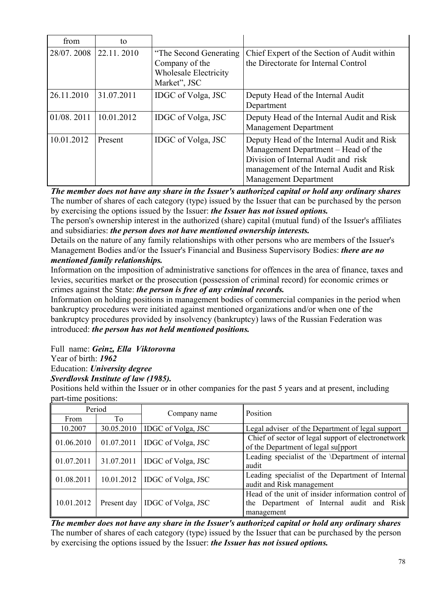| from                  | to         |                                                                                           |                                                                                                                                                                                                       |
|-----------------------|------------|-------------------------------------------------------------------------------------------|-------------------------------------------------------------------------------------------------------------------------------------------------------------------------------------------------------|
| 28/07.2008 22.11.2010 |            | "The Second Generating"<br>Company of the<br><b>Wholesale Electricity</b><br>Market", JSC | Chief Expert of the Section of Audit within<br>the Directorate for Internal Control                                                                                                                   |
| 26.11.2010            | 31.07.2011 | IDGC of Volga, JSC                                                                        | Deputy Head of the Internal Audit<br>Department                                                                                                                                                       |
| 01/08.2011            | 10.01.2012 | IDGC of Volga, JSC                                                                        | Deputy Head of the Internal Audit and Risk<br><b>Management Department</b>                                                                                                                            |
| 10.01.2012            | Present    | IDGC of Volga, JSC                                                                        | Deputy Head of the Internal Audit and Risk<br>Management Department – Head of the<br>Division of Internal Audit and risk<br>management of the Internal Audit and Risk<br><b>Management Department</b> |

*The member does not have any share in the Issuer's authorized capital or hold any ordinary shares*  The number of shares of each category (type) issued by the Issuer that can be purchased by the person by exercising the options issued by the Issuer: *the Issuer has not issued options.* 

The person's ownership interest in the authorized (share) capital (mutual fund) of the Issuer's affiliates and subsidiaries: *the person does not have mentioned ownership interests.* 

Details on the nature of any family relationships with other persons who are members of the Issuer's Management Bodies and/or the Issuer's Financial and Business Supervisory Bodies: *there are no mentioned family relationships.* 

Information on the imposition of administrative sanctions for offences in the area of finance, taxes and levies, securities market or the prosecution (possession of criminal record) for economic crimes or crimes against the State: *the person is free of any criminal records.* 

Information on holding positions in management bodies of commercial companies in the period when bankruptcy procedures were initiated against mentioned organizations and/or when one of the bankruptcy procedures provided by insolvency (bankruptcy) laws of the Russian Federation was introduced: *the person has not held mentioned positions.* 

Full name: *Geinz, Ella Viktorovna*

Year of birth: *1962*

Education: *University degree* 

*Sverdlovsk Institute of law (1985).*

Positions held within the Issuer or in other companies for the past 5 years and at present, including part-time positions:

| Period     |             | Company name                    | Position                                                                                                      |
|------------|-------------|---------------------------------|---------------------------------------------------------------------------------------------------------------|
| From       | To          |                                 |                                                                                                               |
| 10.2007    | 30.05.2010  | IDGC of Volga, JSC              | Legal adviser of the Department of legal support                                                              |
| 01.06.2010 | 01.07.2011  | IDGC of Volga, JSC              | Chief of sector of legal support of electronetwork<br>of the Department of legal su[pport                     |
| 01.07.2011 | 31.07.2011  | IDGC of Volga, JSC              | Leading specialist of the <i>\Department</i> of internal<br>audit                                             |
| 01.08.2011 |             | 10.01.2012   IDGC of Volga, JSC | Leading specialist of the Department of Internal<br>audit and Risk management                                 |
| 10.01.2012 | Present day | <b>IDGC</b> of Volga, JSC       | Head of the unit of insider information control of<br>the Department of Internal audit and Risk<br>management |

*The member does not have any share in the Issuer's authorized capital or hold any ordinary shares*  The number of shares of each category (type) issued by the Issuer that can be purchased by the person by exercising the options issued by the Issuer: *the Issuer has not issued options.*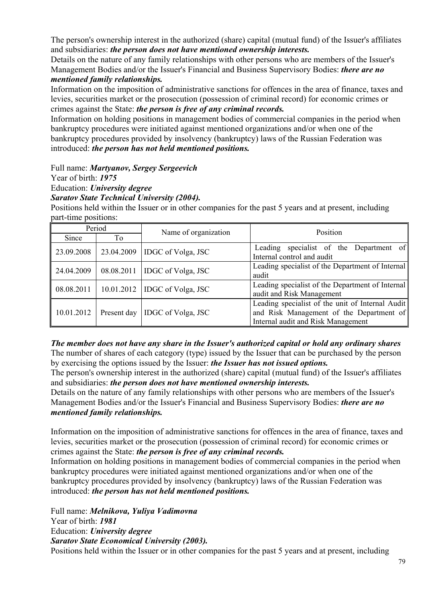The person's ownership interest in the authorized (share) capital (mutual fund) of the Issuer's affiliates and subsidiaries: *the person does not have mentioned ownership interests.* 

Details on the nature of any family relationships with other persons who are members of the Issuer's Management Bodies and/or the Issuer's Financial and Business Supervisory Bodies: *there are no mentioned family relationships.* 

Information on the imposition of administrative sanctions for offences in the area of finance, taxes and levies, securities market or the prosecution (possession of criminal record) for economic crimes or crimes against the State: *the person is free of any criminal records.* 

Information on holding positions in management bodies of commercial companies in the period when bankruptcy procedures were initiated against mentioned organizations and/or when one of the bankruptcy procedures provided by insolvency (bankruptcy) laws of the Russian Federation was introduced: *the person has not held mentioned positions.* 

Full name: *Martyanov, Sergey Sergeevich*

Year of birth: *1975*

Education: *University degree* 

*Saratov State Technical University (2004).*

Positions held within the Issuer or in other companies for the past 5 years and at present, including part-time positions:

| Period     |             | Name of organization            | Position                                                                                                                           |
|------------|-------------|---------------------------------|------------------------------------------------------------------------------------------------------------------------------------|
| Since      | To          |                                 |                                                                                                                                    |
| 23.09.2008 |             | 23.04.2009   IDGC of Volga, JSC | Leading specialist of the Department of<br>Internal control and audit                                                              |
| 24.04.2009 | 08.08.2011  | <b>IDGC</b> of Volga, JSC       | Leading specialist of the Department of Internal<br>audit                                                                          |
| 08.08.2011 |             | $10.01.2012$ IDGC of Volga, JSC | Leading specialist of the Department of Internal<br>audit and Risk Management                                                      |
| 10.01.2012 | Present day | IDGC of Volga, JSC              | Leading specialist of the unit of Internal Audit<br>and Risk Management of the Department of<br>Internal audit and Risk Management |

*The member does not have any share in the Issuer's authorized capital or hold any ordinary shares*  The number of shares of each category (type) issued by the Issuer that can be purchased by the person by exercising the options issued by the Issuer: *the Issuer has not issued options.* 

The person's ownership interest in the authorized (share) capital (mutual fund) of the Issuer's affiliates and subsidiaries: *the person does not have mentioned ownership interests.* 

Details on the nature of any family relationships with other persons who are members of the Issuer's Management Bodies and/or the Issuer's Financial and Business Supervisory Bodies: *there are no mentioned family relationships.* 

Information on the imposition of administrative sanctions for offences in the area of finance, taxes and levies, securities market or the prosecution (possession of criminal record) for economic crimes or crimes against the State: *the person is free of any criminal records.* 

Information on holding positions in management bodies of commercial companies in the period when bankruptcy procedures were initiated against mentioned organizations and/or when one of the bankruptcy procedures provided by insolvency (bankruptcy) laws of the Russian Federation was introduced: *the person has not held mentioned positions.* 

Full name: *Melnikova, Yuliya Vadimovna* Year of birth: *1981* Education: *University degree Saratov State Economical University (2003).*

Positions held within the Issuer or in other companies for the past 5 years and at present, including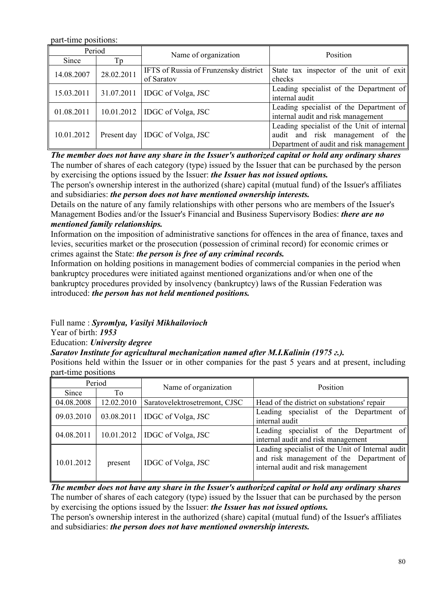part-time positions:

| Period     |            | Name of organization                         | Position                                   |
|------------|------------|----------------------------------------------|--------------------------------------------|
| Since      | Tp         |                                              |                                            |
| 14.08.2007 | 28.02.2011 | <b>IFTS</b> of Russia of Frunzensky district | State tax inspector of the unit of exit    |
|            |            | of Saratov                                   | checks                                     |
| 15.03.2011 |            | $31.07.2011$ IDGC of Volga, JSC              | Leading specialist of the Department of    |
|            |            |                                              | internal audit                             |
| 01.08.2011 |            | $10.01.2012$ IDGC of Volga, JSC              | Leading specialist of the Department of    |
|            |            |                                              | internal audit and risk management         |
|            |            |                                              | Leading specialist of the Unit of internal |
| 10.01.2012 |            | Present day   IDGC of Volga, JSC             | audit and risk management of the           |
|            |            |                                              | Department of audit and risk management    |

*The member does not have any share in the Issuer's authorized capital or hold any ordinary shares*  The number of shares of each category (type) issued by the Issuer that can be purchased by the person by exercising the options issued by the Issuer: *the Issuer has not issued options.* 

The person's ownership interest in the authorized (share) capital (mutual fund) of the Issuer's affiliates and subsidiaries: *the person does not have mentioned ownership interests.* 

Details on the nature of any family relationships with other persons who are members of the Issuer's Management Bodies and/or the Issuer's Financial and Business Supervisory Bodies: *there are no mentioned family relationships.* 

Information on the imposition of administrative sanctions for offences in the area of finance, taxes and levies, securities market or the prosecution (possession of criminal record) for economic crimes or crimes against the State: *the person is free of any criminal records.* 

Information on holding positions in management bodies of commercial companies in the period when bankruptcy procedures were initiated against mentioned organizations and/or when one of the bankruptcy procedures provided by insolvency (bankruptcy) laws of the Russian Federation was introduced: *the person has not held mentioned positions.* 

Full name : *Syromlya, Vasilyi Mikhailovioch*

Year of birth: *1953*

Education: *University degree* 

## *Saratov Institute for agricultural mechanization named after M.I.Kalinin (1975 г.).*

Positions held within the Issuer or in other companies for the past 5 years and at present, including part-time positions

| Period     |            | Name of organization          | Position                                                                                                                           |
|------------|------------|-------------------------------|------------------------------------------------------------------------------------------------------------------------------------|
| Since      | To         |                               |                                                                                                                                    |
| 04.08.2008 | 12.02.2010 | Saratovelektrosetremont, CJSC | Head of the district on substations' repair                                                                                        |
| 09.03.2010 | 03.08.2011 | IDGC of Volga, JSC            | Leading specialist of the Department of<br>internal audit                                                                          |
| 04.08.2011 | 10.01.2012 | IDGC of Volga, JSC            | Leading specialist of the Department of<br>internal audit and risk management                                                      |
| 10.01.2012 | present    | IDGC of Volga, JSC            | Leading specialist of the Unit of Internal audit<br>and risk management of the Department of<br>internal audit and risk management |

*The member does not have any share in the Issuer's authorized capital or hold any ordinary shares*  The number of shares of each category (type) issued by the Issuer that can be purchased by the person by exercising the options issued by the Issuer: *the Issuer has not issued options.* 

The person's ownership interest in the authorized (share) capital (mutual fund) of the Issuer's affiliates and subsidiaries: *the person does not have mentioned ownership interests.*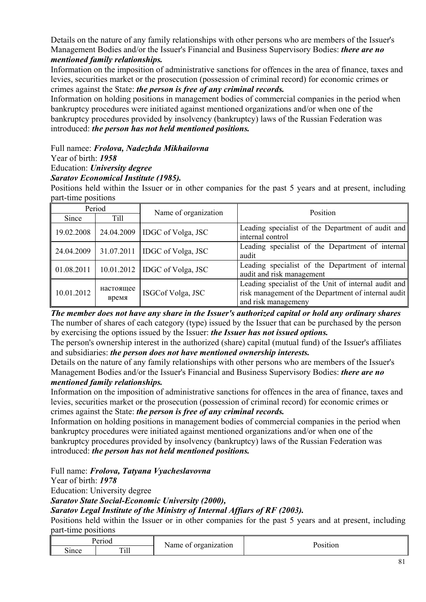Details on the nature of any family relationships with other persons who are members of the Issuer's Management Bodies and/or the Issuer's Financial and Business Supervisory Bodies: *there are no mentioned family relationships.* 

Information on the imposition of administrative sanctions for offences in the area of finance, taxes and levies, securities market or the prosecution (possession of criminal record) for economic crimes or crimes against the State: *the person is free of any criminal records.* 

Information on holding positions in management bodies of commercial companies in the period when bankruptcy procedures were initiated against mentioned organizations and/or when one of the bankruptcy procedures provided by insolvency (bankruptcy) laws of the Russian Federation was introduced: *the person has not held mentioned positions.* 

Full namee: *Frolova, Nadezhda Mikhailovna*

Year of birth: *1958*

Education: *University degree* 

## *Saratov Economical Institute (1985).*

Positions held within the Issuer or in other companies for the past 5 years and at present, including part-time positions

| Period     |                    | Name of organization            | Position                                                                                                                           |  |
|------------|--------------------|---------------------------------|------------------------------------------------------------------------------------------------------------------------------------|--|
| Since      | Till               |                                 |                                                                                                                                    |  |
| 19.02.2008 |                    | 24.04.2009   IDGC of Volga, JSC | Leading specialist of the Department of audit and<br>internal control                                                              |  |
| 24.04.2009 |                    | $31.07.2011$ IDGC of Volga, JSC | Leading specialist of the Department of internal<br>audit                                                                          |  |
| 01.08.2011 |                    | 10.01.2012   IDGC of Volga, JSC | Leading specialist of the Department of internal<br>audit and risk management                                                      |  |
| 10.01.2012 | настоящее<br>время | ISGCof Volga, JSC               | Leading specialist of the Unit of internal audit and<br>risk management of the Department of internal audit<br>and risk managemeny |  |

*The member does not have any share in the Issuer's authorized capital or hold any ordinary shares*  The number of shares of each category (type) issued by the Issuer that can be purchased by the person by exercising the options issued by the Issuer: *the Issuer has not issued options.* 

The person's ownership interest in the authorized (share) capital (mutual fund) of the Issuer's affiliates and subsidiaries: *the person does not have mentioned ownership interests.* 

Details on the nature of any family relationships with other persons who are members of the Issuer's Management Bodies and/or the Issuer's Financial and Business Supervisory Bodies: *there are no mentioned family relationships.* 

Information on the imposition of administrative sanctions for offences in the area of finance, taxes and levies, securities market or the prosecution (possession of criminal record) for economic crimes or crimes against the State: *the person is free of any criminal records.* 

Information on holding positions in management bodies of commercial companies in the period when bankruptcy procedures were initiated against mentioned organizations and/or when one of the bankruptcy procedures provided by insolvency (bankruptcy) laws of the Russian Federation was introduced: *the person has not held mentioned positions.* 

Full name: *Frolova, Tatyana Vyacheslavovna* 

Year of birth: *1978*

Education: University degree

*Saratov State Social-Economic University (2000),* 

*Saratov Legal Institute of the Ministry of Internal Affiars of RF (2003).*

Positions held within the Issuer or in other companies for the past 5 years and at present, including part-time positions

| Period |      | Name of organization | Position |
|--------|------|----------------------|----------|
| since  | Till |                      |          |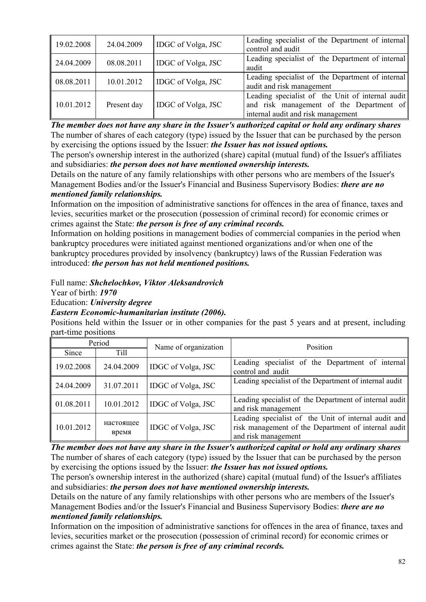| 19.02.2008 | 24.04.2009  | IDGC of Volga, JSC | Leading specialist of the Department of internal<br>control and audit                                                              |
|------------|-------------|--------------------|------------------------------------------------------------------------------------------------------------------------------------|
| 24.04.2009 | 08.08.2011  | IDGC of Volga, JSC | Leading specialist of the Department of internal<br>audit                                                                          |
| 08.08.2011 | 10.01.2012  | IDGC of Volga, JSC | Leading specialist of the Department of internal<br>audit and risk management                                                      |
| 10.01.2012 | Present day | IDGC of Volga, JSC | Leading specialist of the Unit of internal audit<br>and risk management of the Department of<br>internal audit and risk management |

*The member does not have any share in the Issuer's authorized capital or hold any ordinary shares*  The number of shares of each category (type) issued by the Issuer that can be purchased by the person by exercising the options issued by the Issuer: *the Issuer has not issued options.* 

The person's ownership interest in the authorized (share) capital (mutual fund) of the Issuer's affiliates and subsidiaries: *the person does not have mentioned ownership interests.* 

Details on the nature of any family relationships with other persons who are members of the Issuer's Management Bodies and/or the Issuer's Financial and Business Supervisory Bodies: *there are no mentioned family relationships.* 

Information on the imposition of administrative sanctions for offences in the area of finance, taxes and levies, securities market or the prosecution (possession of criminal record) for economic crimes or crimes against the State: *the person is free of any criminal records.* 

Information on holding positions in management bodies of commercial companies in the period when bankruptcy procedures were initiated against mentioned organizations and/or when one of the bankruptcy procedures provided by insolvency (bankruptcy) laws of the Russian Federation was introduced: *the person has not held mentioned positions.* 

Full name: *Shchelochkov, Viktor Aleksandrovich* 

Year of birth: *1970*

Education: *University degree* 

## *Eastern Economic-humanitarian institute (2006).*

Positions held within the Issuer or in other companies for the past 5 years and at present, including part-time positions

| Period     |                    | Name of organization | Position                                                                                                                           |  |
|------------|--------------------|----------------------|------------------------------------------------------------------------------------------------------------------------------------|--|
| Since      | <b>Till</b>        |                      |                                                                                                                                    |  |
| 19.02.2008 | 24.04.2009         | IDGC of Volga, JSC   | Leading specialist of the Department of internal<br>control and audit                                                              |  |
| 24.04.2009 | 31.07.2011         | IDGC of Volga, JSC   | Leading specialist of the Department of internal audit                                                                             |  |
| 01.08.2011 | 10.01.2012         | IDGC of Volga, JSC   | Leading specialist of the Department of internal audit<br>and risk management                                                      |  |
| 10.01.2012 | настоящее<br>время | IDGC of Volga, JSC   | Leading specialist of the Unit of internal audit and<br>risk management of the Department of internal audit<br>and risk management |  |

*The member does not have any share in the Issuer's authorized capital or hold any ordinary shares*  The number of shares of each category (type) issued by the Issuer that can be purchased by the person by exercising the options issued by the Issuer: *the Issuer has not issued options.* 

The person's ownership interest in the authorized (share) capital (mutual fund) of the Issuer's affiliates and subsidiaries: *the person does not have mentioned ownership interests.* 

Details on the nature of any family relationships with other persons who are members of the Issuer's Management Bodies and/or the Issuer's Financial and Business Supervisory Bodies: *there are no mentioned family relationships.* 

Information on the imposition of administrative sanctions for offences in the area of finance, taxes and levies, securities market or the prosecution (possession of criminal record) for economic crimes or crimes against the State: *the person is free of any criminal records.*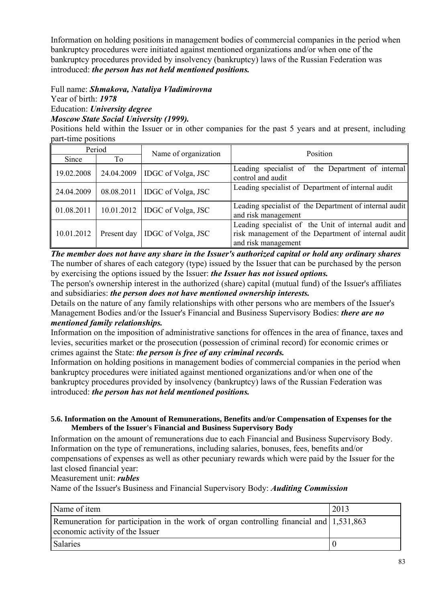Information on holding positions in management bodies of commercial companies in the period when bankruptcy procedures were initiated against mentioned organizations and/or when one of the bankruptcy procedures provided by insolvency (bankruptcy) laws of the Russian Federation was introduced: *the person has not held mentioned positions.* 

#### Full name: *Shmakova, Nataliya Vladimirovna*  Year of birth: *1978* Education: *University degree Moscow State Social University (1999).*

Positions held within the Issuer or in other companies for the past 5 years and at present, including part-time positions

| Period     |             | Name of organization            | Position                                                                                                                           |  |
|------------|-------------|---------------------------------|------------------------------------------------------------------------------------------------------------------------------------|--|
| Since      | To          |                                 |                                                                                                                                    |  |
| 19.02.2008 | 24.04.2009  | <b>IDGC</b> of Volga, JSC       | Leading specialist of<br>the Department of internal<br>control and audit                                                           |  |
| 24.04.2009 | 08.08.2011  | <b>IDGC</b> of Volga, JSC       | Leading specialist of Department of internal audit                                                                                 |  |
| 01.08.2011 |             | 10.01.2012   IDGC of Volga, JSC | Leading specialist of the Department of internal audit<br>and risk management                                                      |  |
| 10.01.2012 | Present day | <b>IDGC</b> of Volga, JSC       | Leading specialist of the Unit of internal audit and<br>risk management of the Department of internal audit<br>and risk management |  |

*The member does not have any share in the Issuer's authorized capital or hold any ordinary shares*  The number of shares of each category (type) issued by the Issuer that can be purchased by the person by exercising the options issued by the Issuer: *the Issuer has not issued options.* 

The person's ownership interest in the authorized (share) capital (mutual fund) of the Issuer's affiliates and subsidiaries: *the person does not have mentioned ownership interests.* 

Details on the nature of any family relationships with other persons who are members of the Issuer's Management Bodies and/or the Issuer's Financial and Business Supervisory Bodies: *there are no mentioned family relationships.* 

Information on the imposition of administrative sanctions for offences in the area of finance, taxes and levies, securities market or the prosecution (possession of criminal record) for economic crimes or crimes against the State: *the person is free of any criminal records.* 

Information on holding positions in management bodies of commercial companies in the period when bankruptcy procedures were initiated against mentioned organizations and/or when one of the bankruptcy procedures provided by insolvency (bankruptcy) laws of the Russian Federation was introduced: *the person has not held mentioned positions.* 

#### **5.6. Information on the Amount of Remunerations, Benefits and/or Compensation of Expenses for the Members of the Issuer's Financial and Business Supervisory Body**

Information on the amount of remunerations due to each Financial and Business Supervisory Body. Information on the type of remunerations, including salaries, bonuses, fees, benefits and/or compensations of expenses as well as other pecuniary rewards which were paid by the Issuer for the last closed financial year:

## Measurement unit: *rubles*

Name of the Issuer's Business and Financial Supervisory Body: *Auditing Commission* 

| Name of item                                                                                                               | 2013 |
|----------------------------------------------------------------------------------------------------------------------------|------|
| Remuneration for participation in the work of organ controlling financial and 1,531,863<br>economic activity of the Issuer |      |
|                                                                                                                            |      |
| Salaries                                                                                                                   |      |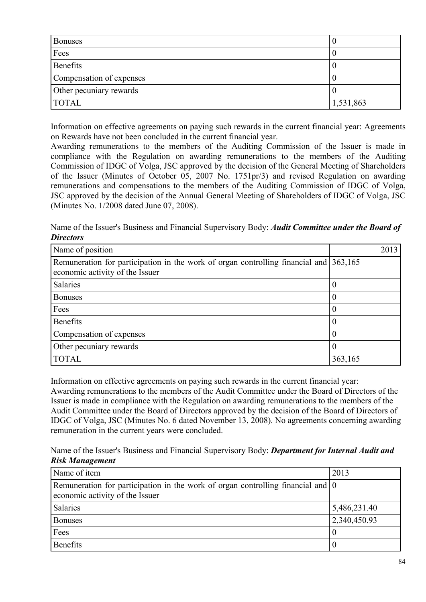| <b>Bonuses</b>           |           |
|--------------------------|-----------|
| Fees                     |           |
| Benefits                 |           |
| Compensation of expenses |           |
| Other pecuniary rewards  |           |
| <b>TOTAL</b>             | 1,531,863 |

Information on effective agreements on paying such rewards in the current financial year: Agreements on Rewards have not been concluded in the current financial year.

Awarding remunerations to the members of the Auditing Commission of the Issuer is made in compliance with the Regulation on awarding remunerations to the members of the Auditing Commission of IDGC of Volga, JSC approved by the decision of the General Meeting of Shareholders of the Issuer (Minutes of October 05, 2007 No. 1751pr/3) and revised Regulation on awarding remunerations and compensations to the members of the Auditing Commission of IDGC of Volga, JSC approved by the decision of the Annual General Meeting of Shareholders of IDGC of Volga, JSC (Minutes No. 1/2008 dated June 07, 2008).

Name of the Issuer's Business and Financial Supervisory Body: *Audit Committee under the Board of Directors* 

| Name of position                                                                                                         | 2013     |
|--------------------------------------------------------------------------------------------------------------------------|----------|
| Remuneration for participation in the work of organ controlling financial and 363,165<br>economic activity of the Issuer |          |
| <b>Salaries</b>                                                                                                          | U        |
| <b>Bonuses</b>                                                                                                           | 0        |
| Fees                                                                                                                     | $\left($ |
| <b>Benefits</b>                                                                                                          | $\cup$   |
| Compensation of expenses                                                                                                 | O        |
| Other pecuniary rewards                                                                                                  |          |
| <b>TOTAL</b>                                                                                                             | 363,165  |

Information on effective agreements on paying such rewards in the current financial year: Awarding remunerations to the members of the Audit Committee under the Board of Directors of the Issuer is made in compliance with the Regulation on awarding remunerations to the members of the Audit Committee under the Board of Directors approved by the decision of the Board of Directors of IDGC of Volga, JSC (Minutes No. 6 dated November 13, 2008). No agreements concerning awarding remuneration in the current years were concluded.

Name of the Issuer's Business and Financial Supervisory Body: *Department for Internal Audit and Risk Management* 

| Name of item                                                                                                                       | 2013         |
|------------------------------------------------------------------------------------------------------------------------------------|--------------|
| Remuneration for participation in the work of organ controlling financial and $\vert 0 \rangle$<br>economic activity of the Issuer |              |
| Salaries                                                                                                                           | 5,486,231.40 |
| <b>Bonuses</b>                                                                                                                     | 2,340,450.93 |
| Fees                                                                                                                               | $\left($     |
| <b>Benefits</b>                                                                                                                    |              |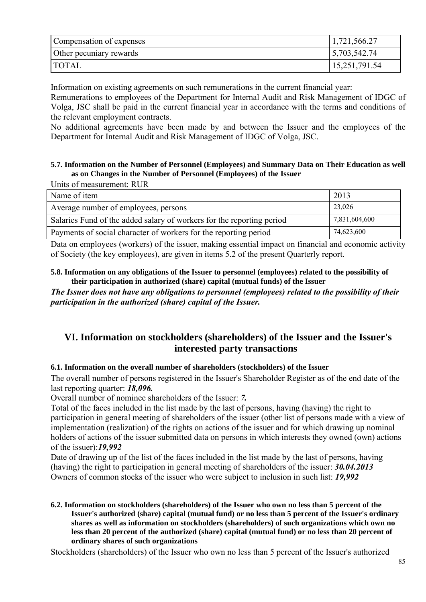| Compensation of expenses | 1,721,566.27  |
|--------------------------|---------------|
| Other pecuniary rewards  | 5,703,542.74  |
| <b>TOTAL</b>             | 15,251,791.54 |

Information on existing agreements on such remunerations in the current financial year:

Remunerations to employees of the Department for Internal Audit and Risk Management of IDGC of Volga, JSC shall be paid in the current financial year in accordance with the terms and conditions of the relevant employment contracts.

No additional agreements have been made by and between the Issuer and the employees of the Department for Internal Audit and Risk Management of IDGC of Volga, JSC.

#### **5.7. Information on the Number of Personnel (Employees) and Summary Data on Their Education as well as on Changes in the Number of Personnel (Employees) of the Issuer**

Units of measurement: RUR

| Name of item                                                          | 2013          |
|-----------------------------------------------------------------------|---------------|
| Average number of employees, persons                                  | 23,026        |
| Salaries Fund of the added salary of workers for the reporting period | 7,831,604,600 |
| Payments of social character of workers for the reporting period      | 74,623,600    |

Data on employees (workers) of the issuer, making essential impact on financial and economic activity of Society (the key employees), are given in items 5.2 of the present Quarterly report.

#### **5.8. Information on any obligations of the Issuer to personnel (employees) related to the possibility of their participation in authorized (share) capital (mutual funds) of the Issuer**

*The Issuer does not have any obligations to personnel (employees) related to the possibility of their participation in the authorized (share) capital of the Issuer.* 

# **VI. Information on stockholders (shareholders) of the Issuer and the Issuer's interested party transactions**

## **6.1. Information on the overall number of shareholders (stockholders) of the Issuer**

The overall number of persons registered in the Issuer's Shareholder Register as of the end date of the last reporting quarter: *18,096.* 

Overall number of nominee shareholders of the Issuer: *7.* 

Total of the faces included in the list made by the last of persons, having (having) the right to participation in general meeting of shareholders of the issuer (other list of persons made with a view of implementation (realization) of the rights on actions of the issuer and for which drawing up nominal holders of actions of the issuer submitted data on persons in which interests they owned (own) actions of the issuer):*19,992*

Date of drawing up of the list of the faces included in the list made by the last of persons, having (having) the right to participation in general meeting of shareholders of the issuer: *30.04.2013* Owners of common stocks of the issuer who were subject to inclusion in such list: *19,992*

**6.2. Information on stockholders (shareholders) of the Issuer who own no less than 5 percent of the Issuer's authorized (share) capital (mutual fund) or no less than 5 percent of the Issuer's ordinary shares as well as information on stockholders (shareholders) of such organizations which own no less than 20 percent of the authorized (share) capital (mutual fund) or no less than 20 percent of ordinary shares of such organizations** 

Stockholders (shareholders) of the Issuer who own no less than 5 percent of the Issuer's authorized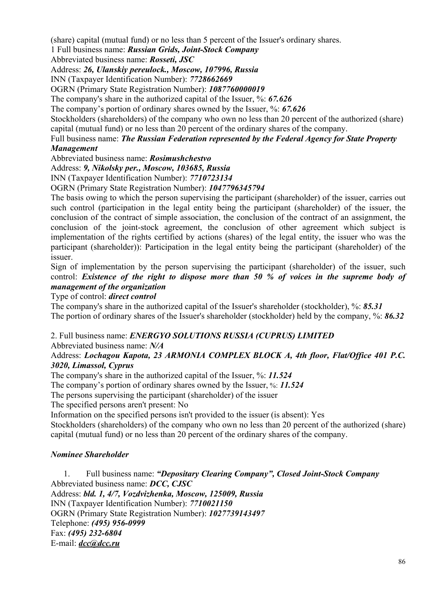(share) capital (mutual fund) or no less than 5 percent of the Issuer's ordinary shares.

1 Full business name: *Russian Grids, Joint-Stock Company* 

Abbreviated business name: *Rosseti, JSC* 

Address: *26, Ulanskiy pereulock., Moscow, 107996, Russia* 

INN (Taxpayer Identification Number): *7728662669* 

OGRN (Primary State Registration Number): *1087760000019* 

The company's share in the authorized capital of the Issuer, %: *67.626* 

The company's portion of ordinary shares owned by the Issuer, %: *67.626* 

Stockholders (shareholders) of the company who own no less than 20 percent of the authorized (share) capital (mutual fund) or no less than 20 percent of the ordinary shares of the company.

Full business name: *The Russian Federation represented by the Federal Agency for State Property Management* 

Abbreviated business name: *Rosimushchestvo* 

Address: *9, Nikolsky per., Moscow, 103685, Russia* 

INN (Taxpayer Identification Number): *7710723134* 

OGRN (Primary State Registration Number): *1047796345794* 

The basis owing to which the person supervising the participant (shareholder) of the issuer, carries out such control (participation in the legal entity being the participant (shareholder) of the issuer, the conclusion of the contract of simple association, the conclusion of the contract of an assignment, the conclusion of the joint-stock agreement, the conclusion of other agreement which subject is implementation of the rights certified by actions (shares) of the legal entity, the issuer who was the participant (shareholder)): Participation in the legal entity being the participant (shareholder) of the issuer.

Sign of implementation by the person supervising the participant (shareholder) of the issuer, such control: *Existence of the right to dispose more than 50 % of voices in the supreme body of management of the organization*

Type of control: *direct control* 

The company's share in the authorized capital of the Issuer's shareholder (stockholder), %: *85.31*  The portion of ordinary shares of the Issuer's shareholder (stockholder) held by the company, %: *86.32* 

2. Full business name: *ENERGYO SOLUTIONS RUSSIA (CUPRUS) LIMITED* 

Abbreviated business name: *N/A* 

## Address: *Lochagou Kapota, 23 ARMONIA COMPLEX BLOCK A, 4th floor, Flat/Office 401 P.C. 3020, Limassol, Cyprus*

The company's share in the authorized capital of the Issuer, %: *11.524* 

The company's portion of ordinary shares owned by the Issuer, %: *11.524* 

The persons supervising the participant (shareholder) of the issuer

The specified persons aren't present: No

Information on the specified persons isn't provided to the issuer (is absent): Yes

Stockholders (shareholders) of the company who own no less than 20 percent of the authorized (share) capital (mutual fund) or no less than 20 percent of the ordinary shares of the company.

## *Nominee Shareholder*

1. Full business name: *"Depositary Clearing Company", Closed Joint-Stock Company*  Abbreviated business name: *DCC, CJSC*  Address: *bld. 1, 4/7, Vozdvizhenka, Moscow, 125009, Russia*  INN (Taxpayer Identification Number): *7710021150*  OGRN (Primary State Registration Number): *1027739143497*  Telephone: *(495) 956-0999*  Fax: *(495) 232-6804*  E-mail: *dcc@dcc.ru*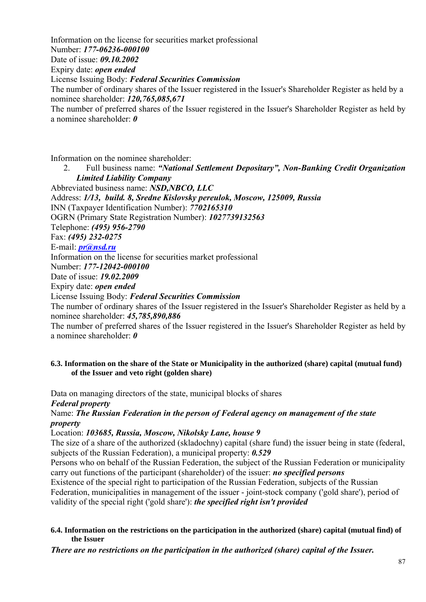Information on the license for securities market professional Number: *177-06236-000100*  Date of issue: *09.10.2002*  Expiry date: *open ended*  License Issuing Body: *Federal Securities Commission*  The number of ordinary shares of the Issuer registered in the Issuer's Shareholder Register as held by a nominee shareholder: *120,765,085,671*  The number of preferred shares of the Issuer registered in the Issuer's Shareholder Register as held by a nominee shareholder: *0* 

Information on the nominee shareholder:

2. Full business name: *"National Settlement Depositary", Non-Banking Credit Organization Limited Liability Company* 

Abbreviated business name: *NSD,NBCO, LLC*  Address: *1/13, build. 8, Sredne Kislovsky pereulok, Moscow, 125009, Russia*  INN (Taxpayer Identification Number): *7702165310*  OGRN (Primary State Registration Number): *1027739132563*  Telephone: *(495) 956-2790*  Fax: *(495) 232-0275*  E-mail: *pr@nsd.ru* Information on the license for securities market professional Number: *177-12042-000100*  Date of issue: *19.02.2009*  Expiry date: *open ended*  License Issuing Body: *Federal Securities Commission*  The number of ordinary shares of the Issuer registered in the Issuer's Shareholder Register as held by a nominee shareholder: *45,785,890,886* 

The number of preferred shares of the Issuer registered in the Issuer's Shareholder Register as held by a nominee shareholder: *0* 

#### **6.3. Information on the share of the State or Municipality in the authorized (share) capital (mutual fund) of the Issuer and veto right (golden share)**

Data on managing directors of the state, municipal blocks of shares

*Federal property* 

## Name: *The Russian Federation in the person of Federal agency on management of the state property*

Location: *103685, Russia, Moscow, Nikolsky Lane, house 9*

The size of a share of the authorized (skladochny) capital (share fund) the issuer being in state (federal, subjects of the Russian Federation), a municipal property: *0.529*

Persons who on behalf of the Russian Federation, the subject of the Russian Federation or municipality carry out functions of the participant (shareholder) of the issuer: *no specified persons*

Existence of the special right to participation of the Russian Federation, subjects of the Russian Federation, municipalities in management of the issuer - joint-stock company ('gold share'), period of validity of the special right ('gold share'): *the specified right isn't provided* 

#### **6.4. Information on the restrictions on the participation in the authorized (share) capital (mutual find) of the Issuer**

*There are no restrictions on the participation in the authorized (share) capital of the Issuer.*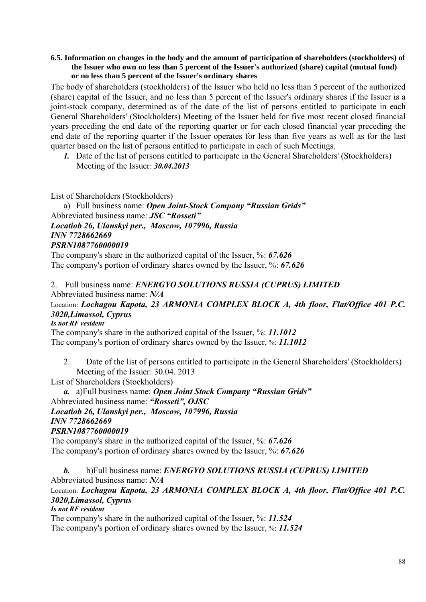#### **6.5. Information on changes in the body and the amount of participation of shareholders (stockholders) of the Issuer who own no less than 5 percent of the Issuer's authorized (share) capital (mutual fund) or no less than 5 percent of the Issuer's ordinary shares**

The body of shareholders (stockholders) of the Issuer who held no less than 5 percent of the authorized (share) capital of the Issuer, and no less than 5 percent of the Issuer's ordinary shares if the Issuer is a joint-stock company, determined as of the date of the list of persons entitled to participate in each General Shareholders' (Stockholders) Meeting of the Issuer held for five most recent closed financial years preceding the end date of the reporting quarter or for each closed financial year preceding the end date of the reporting quarter if the Issuer operates for less than five years as well as for the last quarter based on the list of persons entitled to participate in each of such Meetings.

*1.* Date of the list of persons entitled to participate in the General Shareholders' (Stockholders) Meeting of the Issuer: *30.04.2013* 

List of Shareholders (Stockholders)

a) Full business name: *Open Joint-Stock Company "Russian Grids"*  Abbreviated business name: *JSC "Rosseti" Locatiob 26, Ulanskyi per., Moscow, 107996, Russia INN 7728662669 PSRN1087760000019*

The company's share in the authorized capital of the Issuer, %: *67.626*  The company's portion of ordinary shares owned by the Issuer, %: *67.626* 

## 2. Full business name: *ENERGYO SOLUTIONS RUSSIA (CUPRUS) LIMITED*

Abbreviated business name: *N/A* 

Location: *Lochagou Kapota, 23 ARMONIA COMPLEX BLOCK A, 4th floor, Flat/Office 401 P.C. 3020,Limassol, Cyprus*

#### *Is not RF resident*

The company's share in the authorized capital of the Issuer, %: *11.1012*  The company's portion of ordinary shares owned by the Issuer, %: *11.1012* 

2. Date of the list of persons entitled to participate in the General Shareholders' (Stockholders) Meeting of the Issuer: 30.04. 2013

List of Shareholders (Stockholders)

*a.* a)Full business name: *Open Joint Stock Company "Russian Grids"*  Abbreviated business name: *"Rosseti", OJSC Locatiob 26, Ulanskyi per., Moscow, 107996, Russia INN 7728662669* 

#### *PSRN1087760000019*

The company's share in the authorized capital of the Issuer, %: *67.626*  The company's portion of ordinary shares owned by the Issuer, %: *67.626* 

*b.* b)Full business name: *ENERGYO SOLUTIONS RUSSIA (CUPRUS) LIMITED*  Abbreviated business name: *N/A* 

Location: *Lochagou Kapota, 23 ARMONIA COMPLEX BLOCK A, 4th floor, Flat/Office 401 P.C. 3020,Limassol, Cyprus*

*Is not RF resident* 

The company's share in the authorized capital of the Issuer, %: *11.524*  The company's portion of ordinary shares owned by the Issuer, %: *11.524*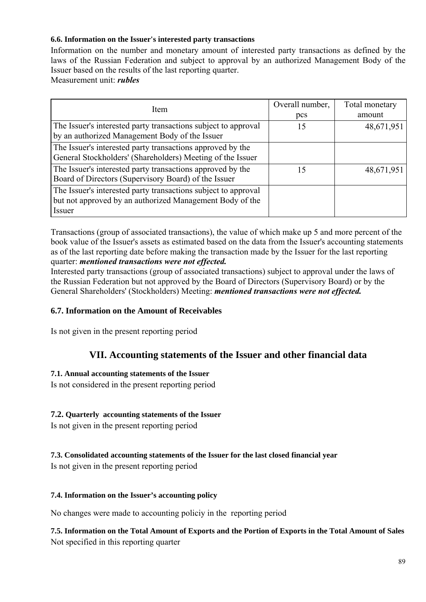## **6.6. Information on the Issuer's interested party transactions**

Information on the number and monetary amount of interested party transactions as defined by the laws of the Russian Federation and subject to approval by an authorized Management Body of the Issuer based on the results of the last reporting quarter.

Measurement unit: *rubles* 

| Item                                                                                                                                 | Overall number, | Total monetary |
|--------------------------------------------------------------------------------------------------------------------------------------|-----------------|----------------|
|                                                                                                                                      | pcs             | amount         |
| The Issuer's interested party transactions subject to approval<br>by an authorized Management Body of the Issuer                     | 15              | 48,671,951     |
| The Issuer's interested party transactions approved by the<br>General Stockholders' (Shareholders) Meeting of the Issuer             |                 |                |
| The Issuer's interested party transactions approved by the<br>Board of Directors (Supervisory Board) of the Issuer                   | 15              | 48,671,951     |
| The Issuer's interested party transactions subject to approval<br>but not approved by an authorized Management Body of the<br>Issuer |                 |                |

Transactions (group of associated transactions), the value of which make up 5 and more percent of the book value of the Issuer's assets as estimated based on the data from the Issuer's accounting statements as of the last reporting date before making the transaction made by the Issuer for the last reporting quarter: *mentioned transactions were not effected.* 

Interested party transactions (group of associated transactions) subject to approval under the laws of the Russian Federation but not approved by the Board of Directors (Supervisory Board) or by the General Shareholders' (Stockholders) Meeting: *mentioned transactions were not effected.* 

## **6.7. Information on the Amount of Receivables**

Is not given in the present reporting period

# **VII. Accounting statements of the Issuer and other financial data**

#### **7.1. Annual accounting statements of the Issuer**

Is not considered in the present reporting period

## **7.2. Quarterly accounting statements of the Issuer**

Is not given in the present reporting period

## **7.3. Consolidated accounting statements of the Issuer for the last closed financial year**

Is not given in the present reporting period

#### **7.4. Information on the Issuer's accounting policy**

No changes were made to accounting policiy in the reporting period

**7.5. Information on the Total Amount of Exports and the Portion of Exports in the Total Amount of Sales**  Not specified in this reporting quarter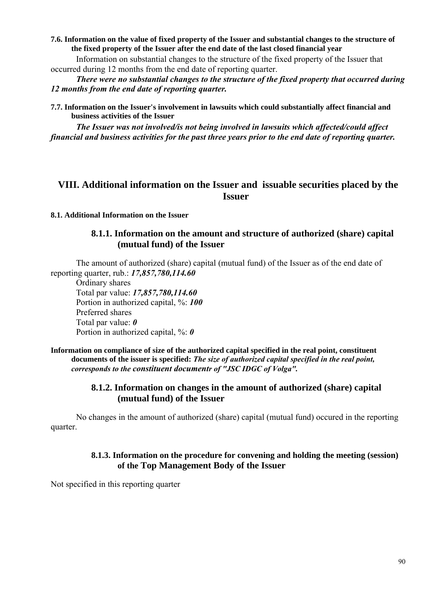**7.6. Information on the value of fixed property of the Issuer and substantial changes to the structure of the fixed property of the Issuer after the end date of the last closed financial year** 

Information on substantial changes to the structure of the fixed property of the Issuer that occurred during 12 months from the end date of reporting quarter.

*There were no substantial changes to the structure of the fixed property that occurred during 12 months from the end date of reporting quarter.* 

**7.7. Information on the Issuer's involvement in lawsuits which could substantially affect financial and business activities of the Issuer** 

*The Issuer was not involved/is not being involved in lawsuits which affected/could affect financial and business activities for the past three years prior to the end date of reporting quarter.* 

# **VIII. Additional information on the Issuer and issuable securities placed by the Issuer**

#### **8.1. Additional Information on the Issuer**

### **8.1.1. Information on the amount and structure of authorized (share) capital (mutual fund) of the Issuer**

The amount of authorized (share) capital (mutual fund) of the Issuer as of the end date of reporting quarter, rub.: *17,857,780,114.60* 

Ordinary shares Total par value: *17,857,780,114.60*  Portion in authorized capital, %: *100*  Preferred shares Total par value: *0*  Portion in authorized capital, %: *0* 

**Information on compliance of size of the authorized capital specified in the real point, constituent documents of the issuer is specified:** *The size of authorized capital specified in the real point, corresponds to the constituent documentr of "JSC IDGC of Volga".* 

## **8.1.2. Information on changes in the amount of authorized (share) capital (mutual fund) of the Issuer**

No changes in the amount of authorized (share) capital (mutual fund) occured in the reporting quarter.

## **8.1.3. Information on the procedure for convening and holding the meeting (session) of the Top Management Body of the Issuer**

Not specified in this reporting quarter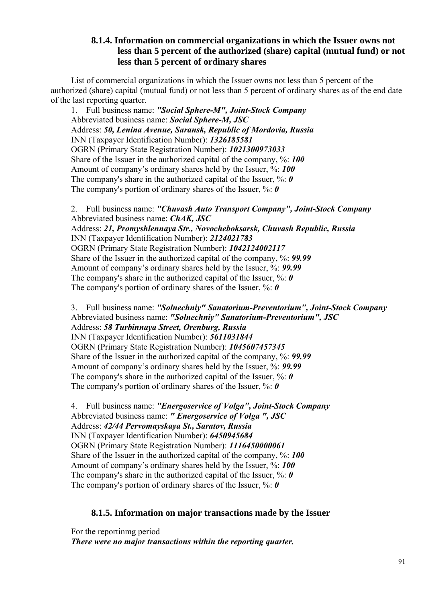## **8.1.4. Information on commercial organizations in which the Issuer owns not less than 5 percent of the authorized (share) capital (mutual fund) or not less than 5 percent of ordinary shares**

List of commercial organizations in which the Issuer owns not less than 5 percent of the authorized (share) capital (mutual fund) or not less than 5 percent of ordinary shares as of the end date of the last reporting quarter.

1. Full business name: *"Social Sphere-M", Joint-Stock Company*  Abbreviated business name: *Social Sphere-M, JSC*  Address: *50, Lenina Avenue, Saransk, Republic of Mordovia, Russia*  INN (Taxpayer Identification Number): *1326185581*  OGRN (Primary State Registration Number): *1021300973033*  Share of the Issuer in the authorized capital of the company, %: *100*  Amount of company's ordinary shares held by the Issuer, %: *100*  The company's share in the authorized capital of the Issuer, %: *0*  The company's portion of ordinary shares of the Issuer, %: *0* 

2. Full business name: *"Chuvash Auto Transport Company", Joint-Stock Company*  Abbreviated business name: *ChAK, JSC*  Address: *21, Promyshlennaya Str., Novocheboksarsk, Chuvash Republic, Russia*  INN (Taxpayer Identification Number): *2124021783*  OGRN (Primary State Registration Number): *1042124002117*  Share of the Issuer in the authorized capital of the company, %: *99.99*  Amount of company's ordinary shares held by the Issuer, %: *99.99*  The company's share in the authorized capital of the Issuer, %: 0 The company's portion of ordinary shares of the Issuer, %: *0* 

3. Full business name: *"Solnechniy" Sanatorium-Preventorium", Joint-Stock Company*  Abbreviated business name: *"Solnechniy" Sanatorium-Preventorium", JSC*  Address: *58 Turbinnaya Street, Orenburg, Russia*  INN (Taxpayer Identification Number): *5611031844*  OGRN (Primary State Registration Number): *1045607457345*  Share of the Issuer in the authorized capital of the company, %: *99.99*  Amount of company's ordinary shares held by the Issuer, %: *99.99*  The company's share in the authorized capital of the Issuer, %: *0*  The company's portion of ordinary shares of the Issuer, %: *0* 

4. Full business name: *"Energoservice of Volga", Joint-Stock Company*  Abbreviated business name: *" Energoservice of Volga ", JSC*  Address: *42/44 Pervomayskaya St., Saratov, Russia*  INN (Taxpayer Identification Number): *6450945684*  OGRN (Primary State Registration Number): *1116450000061*  Share of the Issuer in the authorized capital of the company, %: *100*  Amount of company's ordinary shares held by the Issuer, %: *100*  The company's share in the authorized capital of the Issuer, %: *0*  The company's portion of ordinary shares of the Issuer, %: *0* 

# **8.1.5. Information on major transactions made by the Issuer**

For the reportinmg period *There were no major transactions within the reporting quarter.*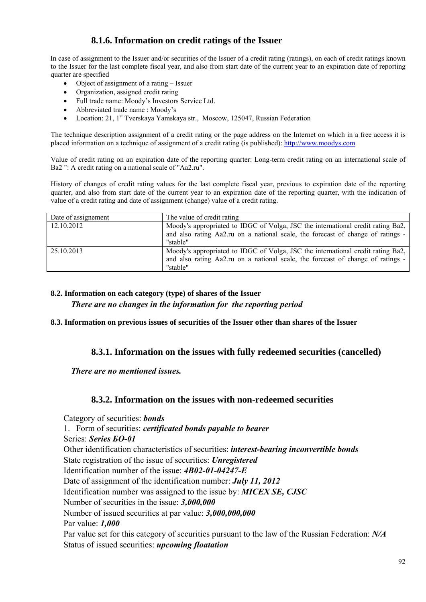# **8.1.6. Information on credit ratings of the Issuer**

In case of assignment to the Issuer and/or securities of the Issuer of a credit rating (ratings), on each of credit ratings known to the Issuer for the last complete fiscal year, and also from start date of the current year to an expiration date of reporting quarter are specified

- Object of assignment of a rating Issuer
- Organization, assigned credit rating
- Full trade name: Moody's Investors Service Ltd.
- Abbreviated trade name : Moody's
- Location: 21,  $1^{st}$  Tverskaya Yamskaya str., Moscow, 125047, Russian Federation

The technique description assignment of a credit rating or the page address on the Internet on which in a free access it is placed information on a technique of assignment of a credit rating (is published): http://www.moodys.com

Value of credit rating on an expiration date of the reporting quarter: Long-term credit rating on an international scale of Ba2 ": A credit rating on a national scale of "Aa2.ru".

History of changes of credit rating values for the last complete fiscal year, previous to expiration date of the reporting quarter, and also from start date of the current year to an expiration date of the reporting quarter, with the indication of value of a credit rating and date of assignment (change) value of a credit rating.

| Date of assignement | The value of credit rating                                                                                                                                         |
|---------------------|--------------------------------------------------------------------------------------------------------------------------------------------------------------------|
| 12.10.2012          | Moody's appropriated to IDGC of Volga, JSC the international credit rating Ba2,                                                                                    |
|                     | and also rating Aa2.ru on a national scale, the forecast of change of ratings -                                                                                    |
|                     | "stable"                                                                                                                                                           |
| 25.10.2013          | Moody's appropriated to IDGC of Volga, JSC the international credit rating Ba2,<br>and also rating Aa2.ru on a national scale, the forecast of change of ratings - |
|                     | "stable"                                                                                                                                                           |

#### **8.2. Information on each category (type) of shares of the Issuer**

*There are no changes in the information for the reporting period* 

**8.3. Information on previous issues of securities of the Issuer other than shares of the Issuer** 

## **8.3.1. Information on the issues with fully redeemed securities (cancelled)**

*There are no mentioned issues.* 

## **8.3.2. Information on the issues with non-redeemed securities**

Category of securities: *bonds* 1. Form of securities: *certificated bonds payable to bearer* Series: *Series БО-01*  Other identification characteristics of securities: *interest-bearing inconvertible bonds*  State registration of the issue of securities: *Unregistered* Identification number of the issue: *4В02-01-04247-Е* Date of assignment of the identification number: *July 11, 2012* Identification number was assigned to the issue by: *MICEX SE, CJSC* Number of securities in the issue: *3,000,000* Number of issued securities at par value: *3,000,000,000* Par value: *1,000* Par value set for this category of securities pursuant to the law of the Russian Federation: *N/A* Status of issued securities: *upcoming floatation*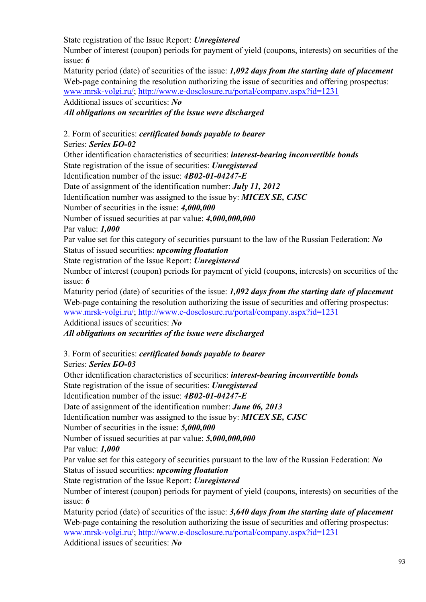State registration of the Issue Report: *Unregistered*

Number of interest (coupon) periods for payment of yield (coupons, interests) on securities of the issue: *6*

Maturity period (date) of securities of the issue: *1,092 days from the starting date of placement* Web-page containing the resolution authorizing the issue of securities and offering prospectus: www.mrsk-volgi.ru/; http://www.e-dosclosure.ru/portal/company.aspx?id=1231

Additional issues of securities: *No*

# *All obligations on securities of the issue were discharged*

# 2. Form of securities: *certificated bonds payable to bearer*

# Series: *Series БО-02*

Other identification characteristics of securities: *interest-bearing inconvertible bonds* 

State registration of the issue of securities: *Unregistered*

Identification number of the issue: *4В02-01-04247-Е*

Date of assignment of the identification number: *July 11, 2012*

Identification number was assigned to the issue by: *MICEX SE, CJSC*

Number of securities in the issue: *4,000,000*

Number of issued securities at par value: *4,000,000,000*

Par value: *1,000*

Par value set for this category of securities pursuant to the law of the Russian Federation: *No* Status of issued securities: *upcoming floatation*

State registration of the Issue Report: *Unregistered*

Number of interest (coupon) periods for payment of yield (coupons, interests) on securities of the issue: *6*

Maturity period (date) of securities of the issue: *1,092 days from the starting date of placement* Web-page containing the resolution authorizing the issue of securities and offering prospectus: www.mrsk-volgi.ru/; http://www.e-dosclosure.ru/portal/company.aspx?id=1231

Additional issues of securities: *No*

*All obligations on securities of the issue were discharged* 

3. Form of securities: *certificated bonds payable to bearer*

Series: *Series БО-03*

Other identification characteristics of securities: *interest-bearing inconvertible bonds*  State registration of the issue of securities: *Unregistered*

Identification number of the issue: *4В02-01-04247-Е*

Date of assignment of the identification number: *June 06, 2013*

Identification number was assigned to the issue by: *MICEX SE, CJSC*

Number of securities in the issue: *5,000,000*

Number of issued securities at par value: *5,000,000,000*

Par value: *1,000*

Par value set for this category of securities pursuant to the law of the Russian Federation: *No* Status of issued securities: *upcoming floatation*

State registration of the Issue Report: *Unregistered*

Number of interest (coupon) periods for payment of yield (coupons, interests) on securities of the issue: *6*

Maturity period (date) of securities of the issue: *3,640 days from the starting date of placement* Web-page containing the resolution authorizing the issue of securities and offering prospectus: www.mrsk-volgi.ru/; http://www.e-dosclosure.ru/portal/company.aspx?id=1231

Additional issues of securities: *No*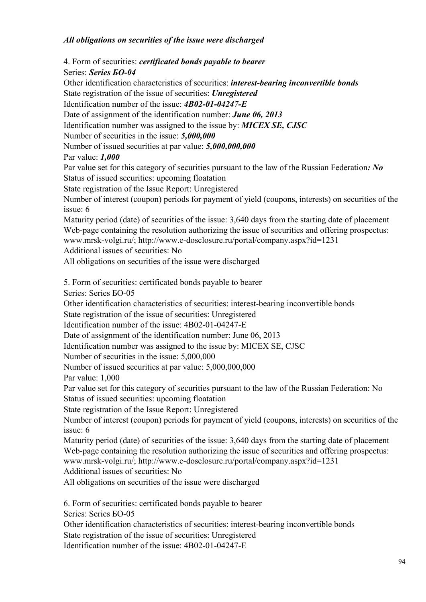## *All obligations on securities of the issue were discharged*

4. Form of securities: *certificated bonds payable to bearer* Series: *Series БО-04* Other identification characteristics of securities: *interest-bearing inconvertible bonds*  State registration of the issue of securities: *Unregistered* Identification number of the issue: *4В02-01-04247-Е* Date of assignment of the identification number: *June 06, 2013* Identification number was assigned to the issue by: *MICEX SE, CJSC* Number of securities in the issue: *5,000,000* Number of issued securities at par value: *5,000,000,000* Par value: *1,000* Par value set for this category of securities pursuant to the law of the Russian Federation*: No*  Status of issued securities: upcoming floatation State registration of the Issue Report: Unregistered Number of interest (coupon) periods for payment of yield (coupons, interests) on securities of the issue: 6 Maturity period (date) of securities of the issue: 3,640 days from the starting date of placement Web-page containing the resolution authorizing the issue of securities and offering prospectus: www.mrsk-volgi.ru/; http://www.e-dosclosure.ru/portal/company.aspx?id=1231 Additional issues of securities: No All obligations on securities of the issue were discharged 5. Form of securities: certificated bonds payable to bearer Series: Series БО-05 Other identification characteristics of securities: interest-bearing inconvertible bonds State registration of the issue of securities: Unregistered Identification number of the issue: 4В02-01-04247-Е Date of assignment of the identification number: June 06, 2013 Identification number was assigned to the issue by: MICEX SE, CJSC Number of securities in the issue: 5,000,000 Number of issued securities at par value: 5,000,000,000 Par value: 1,000 Par value set for this category of securities pursuant to the law of the Russian Federation: No Status of issued securities: upcoming floatation State registration of the Issue Report: Unregistered Number of interest (coupon) periods for payment of yield (coupons, interests) on securities of the issue: 6 Maturity period (date) of securities of the issue: 3,640 days from the starting date of placement Web-page containing the resolution authorizing the issue of securities and offering prospectus: www.mrsk-volgi.ru/; http://www.e-dosclosure.ru/portal/company.aspx?id=1231 Additional issues of securities: No All obligations on securities of the issue were discharged 6. Form of securities: certificated bonds payable to bearer Series: Series БО-05 Other identification characteristics of securities: interest-bearing inconvertible bonds

State registration of the issue of securities: Unregistered

Identification number of the issue: 4В02-01-04247-Е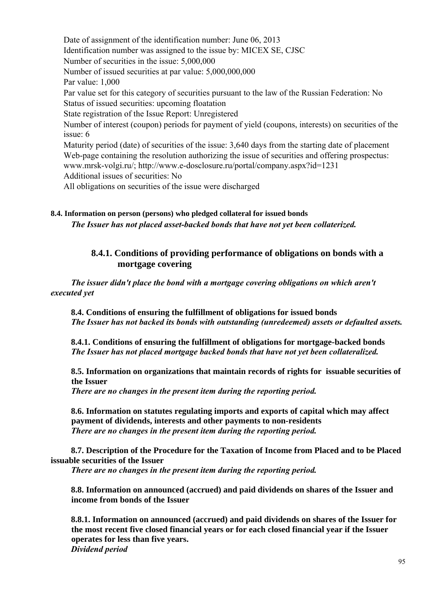Date of assignment of the identification number: June 06, 2013 Identification number was assigned to the issue by: MICEX SE, CJSC Number of securities in the issue: 5,000,000 Number of issued securities at par value: 5,000,000,000 Par value: 1,000 Par value set for this category of securities pursuant to the law of the Russian Federation: No Status of issued securities: upcoming floatation State registration of the Issue Report: Unregistered Number of interest (coupon) periods for payment of yield (coupons, interests) on securities of the issue: 6 Maturity period (date) of securities of the issue: 3,640 days from the starting date of placement Web-page containing the resolution authorizing the issue of securities and offering prospectus: www.mrsk-volgi.ru/; http://www.e-dosclosure.ru/portal/company.aspx?id=1231 Additional issues of securities: No All obligations on securities of the issue were discharged

## **8.4. Information on person (persons) who pledged collateral for issued bonds**  *The Issuer has not placed asset-backed bonds that have not yet been collaterized.*

## **8.4.1. Conditions of providing performance of obligations on bonds with a mortgage covering**

*The issuer didn't place the bond with a mortgage covering obligations on which aren't executed yet* 

**8.4. Conditions of ensuring the fulfillment of obligations for issued bonds**  *The Issuer has not backed its bonds with outstanding (unredeemed) assets or defaulted assets.* 

**8.4.1. Conditions of ensuring the fulfillment of obligations for mortgage-backed bonds**  *The Issuer has not placed mortgage backed bonds that have not yet been collateralized.* 

**8.5. Information on organizations that maintain records of rights for issuable securities of the Issuer** 

*There are no changes in the present item during the reporting period.* 

**8.6. Information on statutes regulating imports and exports of capital which may affect payment of dividends, interests and other payments to non-residents**  *There are no changes in the present item during the reporting period.* 

**8.7. Description of the Procedure for the Taxation of Income from Placed and to be Placed issuable securities of the Issuer** 

*There are no changes in the present item during the reporting period.* 

**8.8. Information on announced (accrued) and paid dividends on shares of the Issuer and income from bonds of the Issuer** 

**8.8.1. Information on announced (accrued) and paid dividends on shares of the Issuer for the most recent five closed financial years or for each closed financial year if the Issuer operates for less than five years.**  *Dividend period*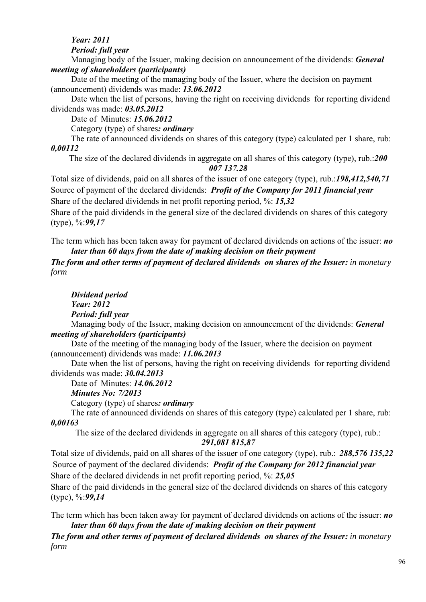# *Year: 2011*

*Period: full year* 

Managing body of the Issuer, making decision on announcement of the dividends: *General meeting of shareholders (participants)* 

Date of the meeting of the managing body of the Issuer, where the decision on payment (announcement) dividends was made: *13.06.2012* 

Date when the list of persons, having the right on receiving dividends for reporting dividend dividends was made: *03.05.2012* 

Date of Minutes: *15.06.2012* 

Category (type) of shares*: ordinary* 

The rate of announced dividends on shares of this category (type) calculated per 1 share, rub: *0,00112* 

The size of the declared dividends in aggregate on all shares of this category (type), rub.:*200 007 137.28* 

Total size of dividends, paid on all shares of the issuer of one category (type), rub.:*198,412,540,71* Source of payment of the declared dividends: *Profit of the Company for 2011 financial year*  Share of the declared dividends in net profit reporting period, %: *15,32*

Share of the paid dividends in the general size of the declared dividends on shares of this category (type), %:*99,17*

The term which has been taken away for payment of declared dividends on actions of the issuer: *no later than 60 days from the date of making decision on their payment* 

*The form and other terms of payment of declared dividends on shares of the Issuer: in monetary form* 

*Dividend period Year: 2012 Period: full year* 

Managing body of the Issuer, making decision on announcement of the dividends: *General meeting of shareholders (participants)* 

Date of the meeting of the managing body of the Issuer, where the decision on payment (announcement) dividends was made: *11.06.2013* 

Date when the list of persons, having the right on receiving dividends for reporting dividend dividends was made: *30.04.2013* 

Date of Minutes: *14.06.2012* 

*Minutes No: 7/2013* 

Category (type) of shares*: ordinary* 

The rate of announced dividends on shares of this category (type) calculated per 1 share, rub: *0,00163* 

The size of the declared dividends in aggregate on all shares of this category (type), rub.: *291,081 815,87* 

Total size of dividends, paid on all shares of the issuer of one category (type), rub.: *288,576 135,22* Source of payment of the declared dividends: *Profit of the Company for 2012 financial year*  Share of the declared dividends in net profit reporting period, %: *25,05*

Share of the paid dividends in the general size of the declared dividends on shares of this category (type), %:*99,14*

The term which has been taken away for payment of declared dividends on actions of the issuer: *no later than 60 days from the date of making decision on their payment* 

*The form and other terms of payment of declared dividends on shares of the Issuer: in monetary form*